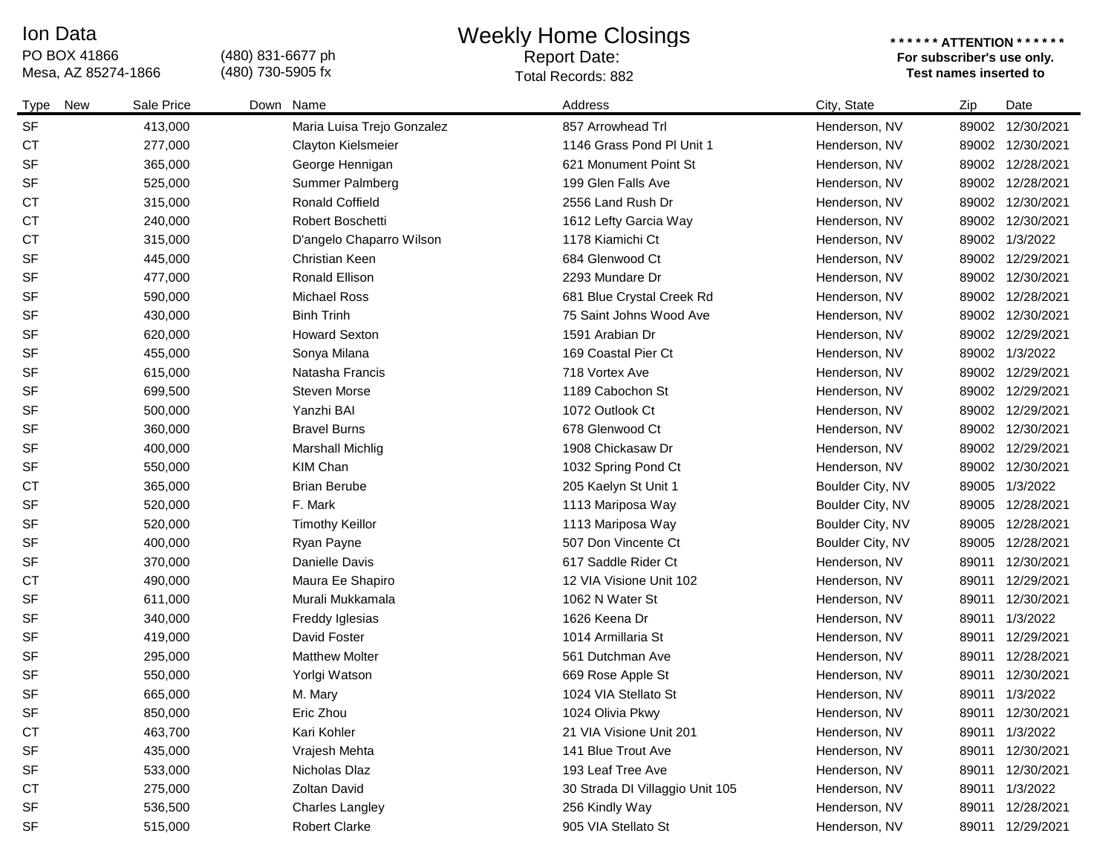#### Ion Data

# PO BOX 41866<br>Mesa, AZ 85274-1866

(480) 831-6677 ph (480) 730-5905 fx

### Weekly Home Closings

## Report Date:

#### **\* \* \* \* \* \* ATTENTION \* \* \* \* \* \* For subscriber's use only.**  Mesa, AZ 85274-1866 **Test names inserted to**  Total Records: 882

| New<br>Type | Sale Price | Down Name                  | Address                         | City, State      | Zip   | Date             |
|-------------|------------|----------------------------|---------------------------------|------------------|-------|------------------|
| <b>SF</b>   | 413,000    | Maria Luisa Trejo Gonzalez | 857 Arrowhead Trl               | Henderson, NV    | 89002 | 12/30/2021       |
| <b>CT</b>   | 277,000    | Clayton Kielsmeier         | 1146 Grass Pond PI Unit 1       | Henderson, NV    |       | 89002 12/30/2021 |
| <b>SF</b>   | 365,000    | George Hennigan            | 621 Monument Point St           | Henderson, NV    |       | 89002 12/28/2021 |
| <b>SF</b>   | 525,000    | Summer Palmberg            | 199 Glen Falls Ave              | Henderson, NV    |       | 89002 12/28/2021 |
| <b>CT</b>   | 315,000    | <b>Ronald Coffield</b>     | 2556 Land Rush Dr               | Henderson, NV    |       | 89002 12/30/2021 |
| <b>CT</b>   | 240,000    | <b>Robert Boschetti</b>    | 1612 Lefty Garcia Way           | Henderson, NV    |       | 89002 12/30/2021 |
| <b>CT</b>   | 315,000    | D'angelo Chaparro Wilson   | 1178 Kiamichi Ct                | Henderson, NV    |       | 89002 1/3/2022   |
| <b>SF</b>   | 445,000    | <b>Christian Keen</b>      | 684 Glenwood Ct                 | Henderson, NV    |       | 89002 12/29/2021 |
| <b>SF</b>   | 477,000    | Ronald Ellison             | 2293 Mundare Dr                 | Henderson, NV    |       | 89002 12/30/2021 |
| <b>SF</b>   | 590,000    | <b>Michael Ross</b>        | 681 Blue Crystal Creek Rd       | Henderson, NV    |       | 89002 12/28/2021 |
| <b>SF</b>   | 430,000    | <b>Binh Trinh</b>          | 75 Saint Johns Wood Ave         | Henderson, NV    | 89002 | 12/30/2021       |
| <b>SF</b>   | 620,000    | <b>Howard Sexton</b>       | 1591 Arabian Dr                 | Henderson, NV    |       | 89002 12/29/2021 |
| <b>SF</b>   | 455,000    | Sonya Milana               | 169 Coastal Pier Ct             | Henderson, NV    |       | 89002 1/3/2022   |
| <b>SF</b>   | 615,000    | Natasha Francis            | 718 Vortex Ave                  | Henderson, NV    |       | 89002 12/29/2021 |
| <b>SF</b>   | 699,500    | Steven Morse               | 1189 Cabochon St                | Henderson, NV    |       | 89002 12/29/2021 |
| <b>SF</b>   | 500,000    | Yanzhi BAI                 | 1072 Outlook Ct                 | Henderson, NV    |       | 89002 12/29/2021 |
| <b>SF</b>   | 360,000    | <b>Bravel Burns</b>        | 678 Glenwood Ct                 | Henderson, NV    |       | 89002 12/30/2021 |
| <b>SF</b>   | 400,000    | <b>Marshall Michlig</b>    | 1908 Chickasaw Dr               | Henderson, NV    |       | 89002 12/29/2021 |
| <b>SF</b>   | 550,000    | KIM Chan                   | 1032 Spring Pond Ct             | Henderson, NV    | 89002 | 12/30/2021       |
| <b>CT</b>   | 365,000    | <b>Brian Berube</b>        | 205 Kaelyn St Unit 1            | Boulder City, NV | 89005 | 1/3/2022         |
| <b>SF</b>   | 520,000    | F. Mark                    | 1113 Mariposa Way               | Boulder City, NV | 89005 | 12/28/2021       |
| <b>SF</b>   | 520,000    | <b>Timothy Keillor</b>     | 1113 Mariposa Way               | Boulder City, NV | 89005 | 12/28/2021       |
| <b>SF</b>   | 400,000    | Ryan Payne                 | 507 Don Vincente Ct             | Boulder City, NV | 89005 | 12/28/2021       |
| <b>SF</b>   | 370,000    | Danielle Davis             | 617 Saddle Rider Ct             | Henderson, NV    | 89011 | 12/30/2021       |
| <b>CT</b>   | 490,000    | Maura Ee Shapiro           | 12 VIA Visione Unit 102         | Henderson, NV    | 89011 | 12/29/2021       |
| <b>SF</b>   | 611,000    | Murali Mukkamala           | 1062 N Water St                 | Henderson, NV    | 89011 | 12/30/2021       |
| <b>SF</b>   | 340,000    | Freddy Iglesias            | 1626 Keena Dr                   | Henderson, NV    | 89011 | 1/3/2022         |
| <b>SF</b>   | 419,000    | David Foster               | 1014 Armillaria St              | Henderson, NV    | 89011 | 12/29/2021       |
| <b>SF</b>   | 295,000    | <b>Matthew Molter</b>      | 561 Dutchman Ave                | Henderson, NV    | 89011 | 12/28/2021       |
| <b>SF</b>   | 550,000    | Yorlgi Watson              | 669 Rose Apple St               | Henderson, NV    | 89011 | 12/30/2021       |
| <b>SF</b>   | 665,000    | M. Mary                    | 1024 VIA Stellato St            | Henderson, NV    | 89011 | 1/3/2022         |
| <b>SF</b>   | 850,000    | Eric Zhou                  | 1024 Olivia Pkwy                | Henderson, NV    |       | 89011 12/30/2021 |
| <b>CT</b>   | 463,700    | Kari Kohler                | 21 VIA Visione Unit 201         | Henderson, NV    |       | 89011 1/3/2022   |
| <b>SF</b>   | 435,000    | Vrajesh Mehta              | 141 Blue Trout Ave              | Henderson, NV    |       | 89011 12/30/2021 |
| <b>SF</b>   | 533,000    | Nicholas Dlaz              | 193 Leaf Tree Ave               | Henderson, NV    | 89011 | 12/30/2021       |
| <b>CT</b>   | 275,000    | Zoltan David               | 30 Strada DI Villaggio Unit 105 | Henderson, NV    |       | 89011 1/3/2022   |
| <b>SF</b>   | 536,500    | Charles Langley            | 256 Kindly Way                  | Henderson, NV    | 89011 | 12/28/2021       |
| <b>SF</b>   | 515,000    | Robert Clarke              | 905 VIA Stellato St             | Henderson, NV    |       | 89011 12/29/2021 |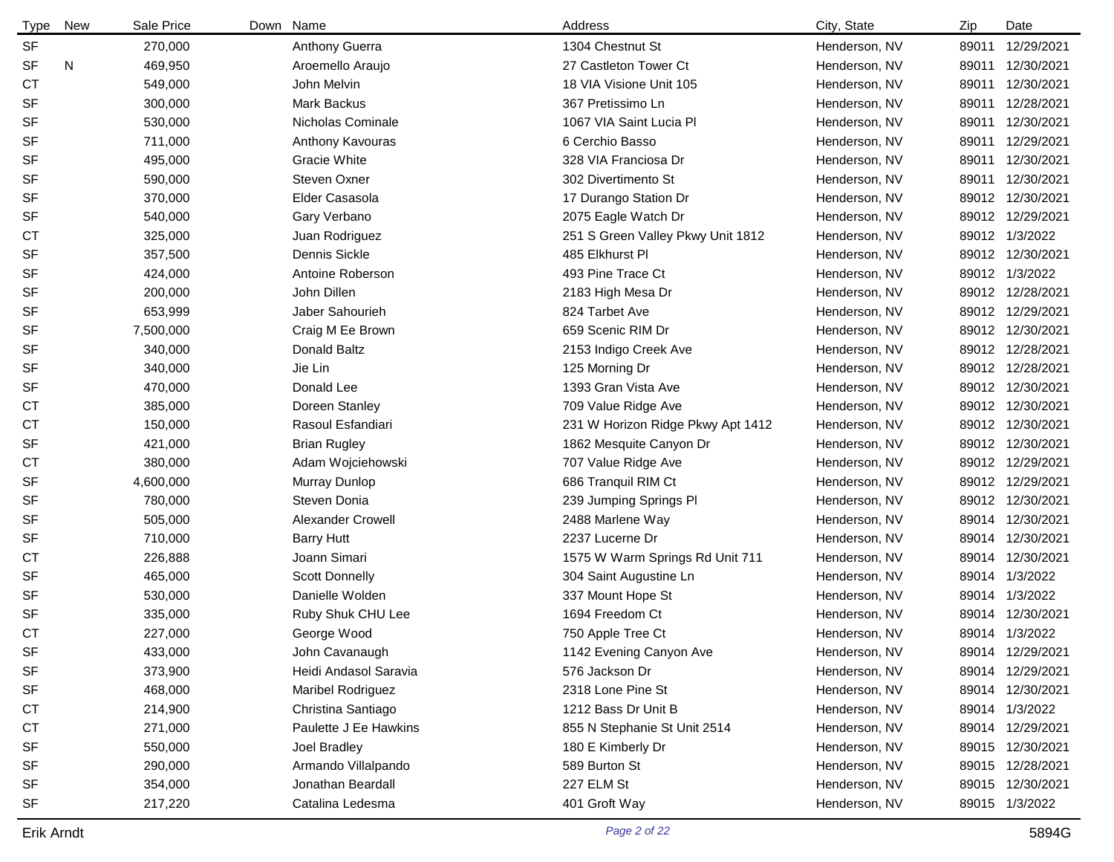| <b>Type</b> | <b>New</b> | Sale Price | Down Name             | Address                           |                                   | City, State<br>Zip     | Date             |
|-------------|------------|------------|-----------------------|-----------------------------------|-----------------------------------|------------------------|------------------|
| <b>SF</b>   |            | 270,000    | Anthony Guerra        | 1304 Chestnut St                  |                                   | Henderson, NV<br>89011 | 12/29/2021       |
| SF          | Ν          | 469,950    | Aroemello Araujo      | 27 Castleton Tower Ct             |                                   | Henderson, NV<br>89011 | 12/30/2021       |
| <b>CT</b>   |            | 549,000    | John Melvin           | 18 VIA Visione Unit 105           |                                   | Henderson, NV<br>89011 | 12/30/2021       |
| SF          |            | 300,000    | Mark Backus           | 367 Pretissimo Ln                 |                                   | Henderson, NV<br>89011 | 12/28/2021       |
| SF          |            | 530,000    | Nicholas Cominale     | 1067 VIA Saint Lucia Pl           |                                   | Henderson, NV<br>89011 | 12/30/2021       |
| SF          |            | 711,000    | Anthony Kavouras      | 6 Cerchio Basso                   |                                   | Henderson, NV<br>89011 | 12/29/2021       |
| SF          |            | 495,000    | Gracie White          | 328 VIA Franciosa Dr              |                                   | Henderson, NV<br>89011 | 12/30/2021       |
| SF          |            | 590,000    | Steven Oxner          | 302 Divertimento St               |                                   | Henderson, NV<br>89011 | 12/30/2021       |
| SF          |            | 370,000    | Elder Casasola        | 17 Durango Station Dr             |                                   | Henderson, NV          | 89012 12/30/2021 |
| SF          |            | 540,000    | Gary Verbano          | 2075 Eagle Watch Dr               |                                   | Henderson, NV          | 89012 12/29/2021 |
| <b>CT</b>   |            | 325,000    | Juan Rodriguez        | 251 S Green Valley Pkwy Unit 1812 |                                   | Henderson, NV          | 89012 1/3/2022   |
| SF          |            | 357,500    | Dennis Sickle         | 485 Elkhurst Pl                   |                                   | Henderson, NV          | 89012 12/30/2021 |
| SF          |            | 424,000    | Antoine Roberson      | 493 Pine Trace Ct                 |                                   | Henderson, NV          | 89012 1/3/2022   |
| SF          |            | 200,000    | John Dillen           | 2183 High Mesa Dr                 |                                   | Henderson, NV          | 89012 12/28/2021 |
| SF          |            | 653,999    | Jaber Sahourieh       | 824 Tarbet Ave                    |                                   | Henderson, NV          | 89012 12/29/2021 |
| SF          |            | 7,500,000  | Craig M Ee Brown      | 659 Scenic RIM Dr                 |                                   | Henderson, NV          | 89012 12/30/2021 |
| SF          |            | 340,000    | Donald Baltz          | 2153 Indigo Creek Ave             |                                   | Henderson, NV          | 89012 12/28/2021 |
| SF          |            | 340,000    | Jie Lin               | 125 Morning Dr                    |                                   | Henderson, NV          | 89012 12/28/2021 |
| SF          |            | 470,000    | Donald Lee            | 1393 Gran Vista Ave               |                                   | Henderson, NV          | 89012 12/30/2021 |
| СT          |            | 385,000    | Doreen Stanley        | 709 Value Ridge Ave               |                                   | Henderson, NV          | 89012 12/30/2021 |
| СT          |            | 150,000    | Rasoul Esfandiari     |                                   | 231 W Horizon Ridge Pkwy Apt 1412 | Henderson, NV          | 89012 12/30/2021 |
| SF          |            | 421,000    | <b>Brian Rugley</b>   | 1862 Mesquite Canyon Dr           |                                   | Henderson, NV          | 89012 12/30/2021 |
| <b>CT</b>   |            | 380,000    | Adam Wojciehowski     | 707 Value Ridge Ave               |                                   | Henderson, NV          | 89012 12/29/2021 |
| SF          |            | 4,600,000  | Murray Dunlop         | 686 Tranquil RIM Ct               |                                   | Henderson, NV          | 89012 12/29/2021 |
| SF          |            | 780,000    | Steven Donia          | 239 Jumping Springs Pl            |                                   | Henderson, NV          | 89012 12/30/2021 |
| SF          |            | 505,000    | Alexander Crowell     | 2488 Marlene Way                  |                                   | Henderson, NV          | 89014 12/30/2021 |
| SF          |            | 710,000    | <b>Barry Hutt</b>     | 2237 Lucerne Dr                   |                                   | Henderson, NV          | 89014 12/30/2021 |
| <b>CT</b>   |            | 226,888    | Joann Simari          | 1575 W Warm Springs Rd Unit 711   |                                   | Henderson, NV          | 89014 12/30/2021 |
| SF          |            | 465,000    | <b>Scott Donnelly</b> | 304 Saint Augustine Ln            |                                   | Henderson, NV          | 89014 1/3/2022   |
| SF          |            | 530,000    | Danielle Wolden       | 337 Mount Hope St                 |                                   | Henderson, NV          | 89014 1/3/2022   |
| SF          |            | 335,000    | Ruby Shuk CHU Lee     | 1694 Freedom Ct                   |                                   | Henderson, NV          | 89014 12/30/2021 |
| СT          |            | 227,000    | George Wood           | 750 Apple Tree Ct                 |                                   | Henderson, NV          | 89014 1/3/2022   |
| <b>SF</b>   |            | 433,000    | John Cavanaugh        | 1142 Evening Canyon Ave           |                                   | Henderson, NV          | 89014 12/29/2021 |
| SF          |            | 373,900    | Heidi Andasol Saravia | 576 Jackson Dr                    |                                   | Henderson, NV          | 89014 12/29/2021 |
| SF          |            | 468,000    | Maribel Rodriguez     | 2318 Lone Pine St                 |                                   | Henderson, NV          | 89014 12/30/2021 |
| <b>CT</b>   |            | 214,900    | Christina Santiago    | 1212 Bass Dr Unit B               |                                   | Henderson, NV          | 89014 1/3/2022   |
| <b>CT</b>   |            | 271,000    | Paulette J Ee Hawkins | 855 N Stephanie St Unit 2514      |                                   | Henderson, NV          | 89014 12/29/2021 |
| SF          |            | 550,000    | Joel Bradley          | 180 E Kimberly Dr                 |                                   | Henderson, NV          | 89015 12/30/2021 |
| SF          |            | 290,000    | Armando Villalpando   | 589 Burton St                     |                                   | Henderson, NV          | 89015 12/28/2021 |
| SF          |            | 354,000    | Jonathan Beardall     | 227 ELM St                        |                                   | Henderson, NV          | 89015 12/30/2021 |
| SF          |            | 217,220    | Catalina Ledesma      | 401 Groft Way                     |                                   | Henderson, NV          | 89015 1/3/2022   |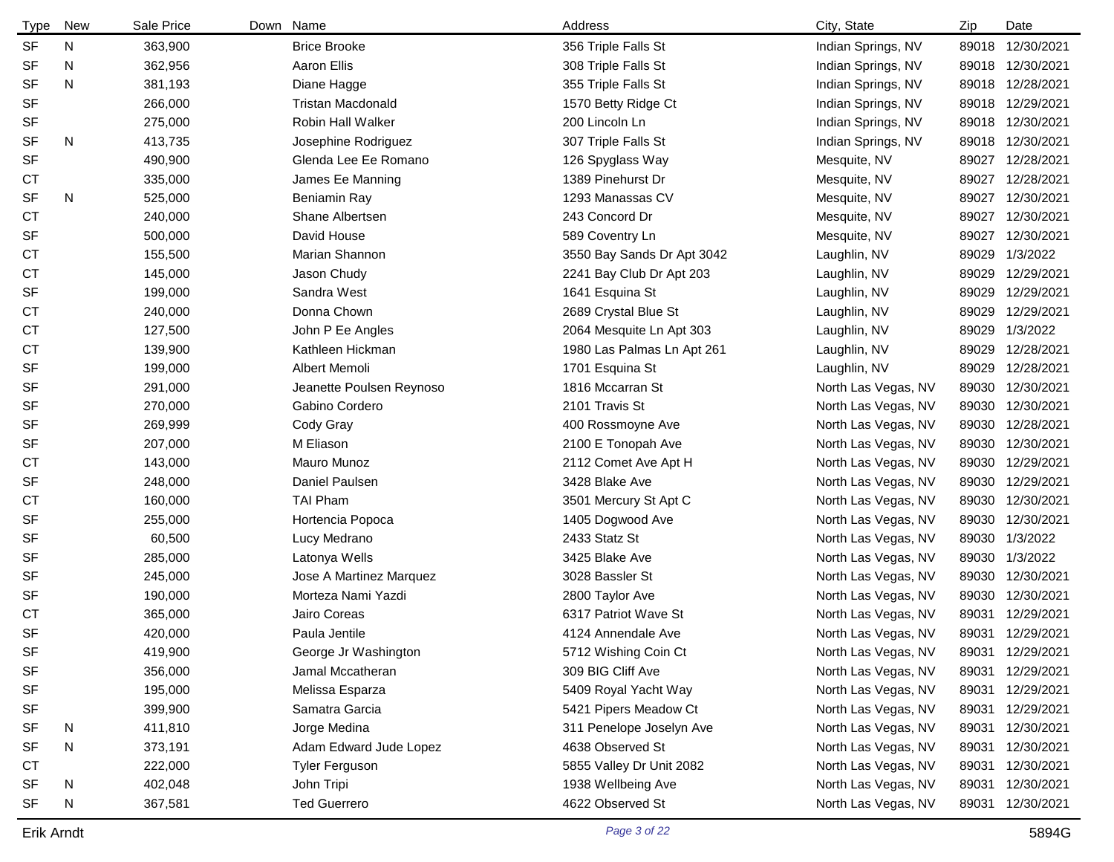| <b>Type</b> | New | Sale Price | Down Name                | Address                    | City, State         | Zip   | Date             |
|-------------|-----|------------|--------------------------|----------------------------|---------------------|-------|------------------|
| <b>SF</b>   | N   | 363,900    | <b>Brice Brooke</b>      | 356 Triple Falls St        | Indian Springs, NV  |       | 89018 12/30/2021 |
| <b>SF</b>   | N   | 362,956    | Aaron Ellis              | 308 Triple Falls St        | Indian Springs, NV  |       | 89018 12/30/2021 |
| <b>SF</b>   | N   | 381,193    | Diane Hagge              | 355 Triple Falls St        | Indian Springs, NV  |       | 89018 12/28/2021 |
| <b>SF</b>   |     | 266,000    | <b>Tristan Macdonald</b> | 1570 Betty Ridge Ct        | Indian Springs, NV  |       | 89018 12/29/2021 |
| SF          |     | 275,000    | <b>Robin Hall Walker</b> | 200 Lincoln Ln             | Indian Springs, NV  |       | 89018 12/30/2021 |
| <b>SF</b>   | N   | 413,735    | Josephine Rodriguez      | 307 Triple Falls St        | Indian Springs, NV  |       | 89018 12/30/2021 |
| SF          |     | 490,900    | Glenda Lee Ee Romano     | 126 Spyglass Way           | Mesquite, NV        | 89027 | 12/28/2021       |
| СT          |     | 335,000    | James Ee Manning         | 1389 Pinehurst Dr          | Mesquite, NV        | 89027 | 12/28/2021       |
| <b>SF</b>   | N   | 525,000    | Beniamin Ray             | 1293 Manassas CV           | Mesquite, NV        | 89027 | 12/30/2021       |
| <b>CT</b>   |     | 240,000    | Shane Albertsen          | 243 Concord Dr             | Mesquite, NV        | 89027 | 12/30/2021       |
| <b>SF</b>   |     | 500,000    | David House              | 589 Coventry Ln            | Mesquite, NV        | 89027 | 12/30/2021       |
| СT          |     | 155,500    | Marian Shannon           | 3550 Bay Sands Dr Apt 3042 | Laughlin, NV        |       | 89029 1/3/2022   |
| <b>CT</b>   |     | 145,000    | Jason Chudy              | 2241 Bay Club Dr Apt 203   | Laughlin, NV        | 89029 | 12/29/2021       |
| <b>SF</b>   |     | 199,000    | Sandra West              | 1641 Esquina St            | Laughlin, NV        | 89029 | 12/29/2021       |
| <b>CT</b>   |     | 240,000    | Donna Chown              | 2689 Crystal Blue St       | Laughlin, NV        | 89029 | 12/29/2021       |
| СT          |     | 127,500    | John P Ee Angles         | 2064 Mesquite Ln Apt 303   | Laughlin, NV        |       | 89029 1/3/2022   |
| <b>CT</b>   |     | 139,900    | Kathleen Hickman         | 1980 Las Palmas Ln Apt 261 | Laughlin, NV        |       | 89029 12/28/2021 |
| <b>SF</b>   |     | 199,000    | Albert Memoli            | 1701 Esquina St            | Laughlin, NV        |       | 89029 12/28/2021 |
| <b>SF</b>   |     | 291,000    | Jeanette Poulsen Reynoso | 1816 Mccarran St           | North Las Vegas, NV |       | 89030 12/30/2021 |
| <b>SF</b>   |     | 270,000    | Gabino Cordero           | 2101 Travis St             | North Las Vegas, NV |       | 89030 12/30/2021 |
| <b>SF</b>   |     | 269,999    | Cody Gray                | 400 Rossmoyne Ave          | North Las Vegas, NV |       | 89030 12/28/2021 |
| <b>SF</b>   |     | 207,000    | M Eliason                | 2100 E Tonopah Ave         | North Las Vegas, NV |       | 89030 12/30/2021 |
| <b>CT</b>   |     | 143,000    | <b>Mauro Munoz</b>       | 2112 Comet Ave Apt H       | North Las Vegas, NV |       | 89030 12/29/2021 |
| <b>SF</b>   |     | 248,000    | Daniel Paulsen           | 3428 Blake Ave             | North Las Vegas, NV |       | 89030 12/29/2021 |
| СT          |     | 160,000    | <b>TAI Pham</b>          | 3501 Mercury St Apt C      | North Las Vegas, NV |       | 89030 12/30/2021 |
| <b>SF</b>   |     | 255,000    | Hortencia Popoca         | 1405 Dogwood Ave           | North Las Vegas, NV |       | 89030 12/30/2021 |
| <b>SF</b>   |     | 60,500     | Lucy Medrano             | 2433 Statz St              | North Las Vegas, NV |       | 89030 1/3/2022   |
| SF          |     | 285,000    | Latonya Wells            | 3425 Blake Ave             | North Las Vegas, NV |       | 89030 1/3/2022   |
| <b>SF</b>   |     | 245,000    | Jose A Martinez Marquez  | 3028 Bassler St            | North Las Vegas, NV |       | 89030 12/30/2021 |
| <b>SF</b>   |     | 190,000    | Morteza Nami Yazdi       | 2800 Taylor Ave            | North Las Vegas, NV |       | 89030 12/30/2021 |
| СT          |     | 365,000    | Jairo Coreas             | 6317 Patriot Wave St       | North Las Vegas, NV | 89031 | 12/29/2021       |
| <b>SF</b>   |     | 420,000    | Paula Jentile            | 4124 Annendale Ave         | North Las Vegas, NV |       | 89031 12/29/2021 |
| SF          |     | 419,900    | George Jr Washington     | 5712 Wishing Coin Ct       | North Las Vegas, NV | 89031 | 12/29/2021       |
| SF          |     | 356,000    | Jamal Mccatheran         | 309 BIG Cliff Ave          | North Las Vegas, NV |       | 89031 12/29/2021 |
| SF          |     | 195,000    | Melissa Esparza          | 5409 Royal Yacht Way       | North Las Vegas, NV | 89031 | 12/29/2021       |
| SF          |     | 399,900    | Samatra Garcia           | 5421 Pipers Meadow Ct      | North Las Vegas, NV |       | 89031 12/29/2021 |
| <b>SF</b>   | N   | 411,810    | Jorge Medina             | 311 Penelope Joselyn Ave   | North Las Vegas, NV |       | 89031 12/30/2021 |
| SF          | N   | 373,191    | Adam Edward Jude Lopez   | 4638 Observed St           | North Las Vegas, NV |       | 89031 12/30/2021 |
| <b>CT</b>   |     | 222,000    | <b>Tyler Ferguson</b>    | 5855 Valley Dr Unit 2082   | North Las Vegas, NV | 89031 | 12/30/2021       |
| <b>SF</b>   | N   | 402,048    | John Tripi               | 1938 Wellbeing Ave         | North Las Vegas, NV |       | 89031 12/30/2021 |
| SF          | N   | 367,581    | <b>Ted Guerrero</b>      | 4622 Observed St           | North Las Vegas, NV |       | 89031 12/30/2021 |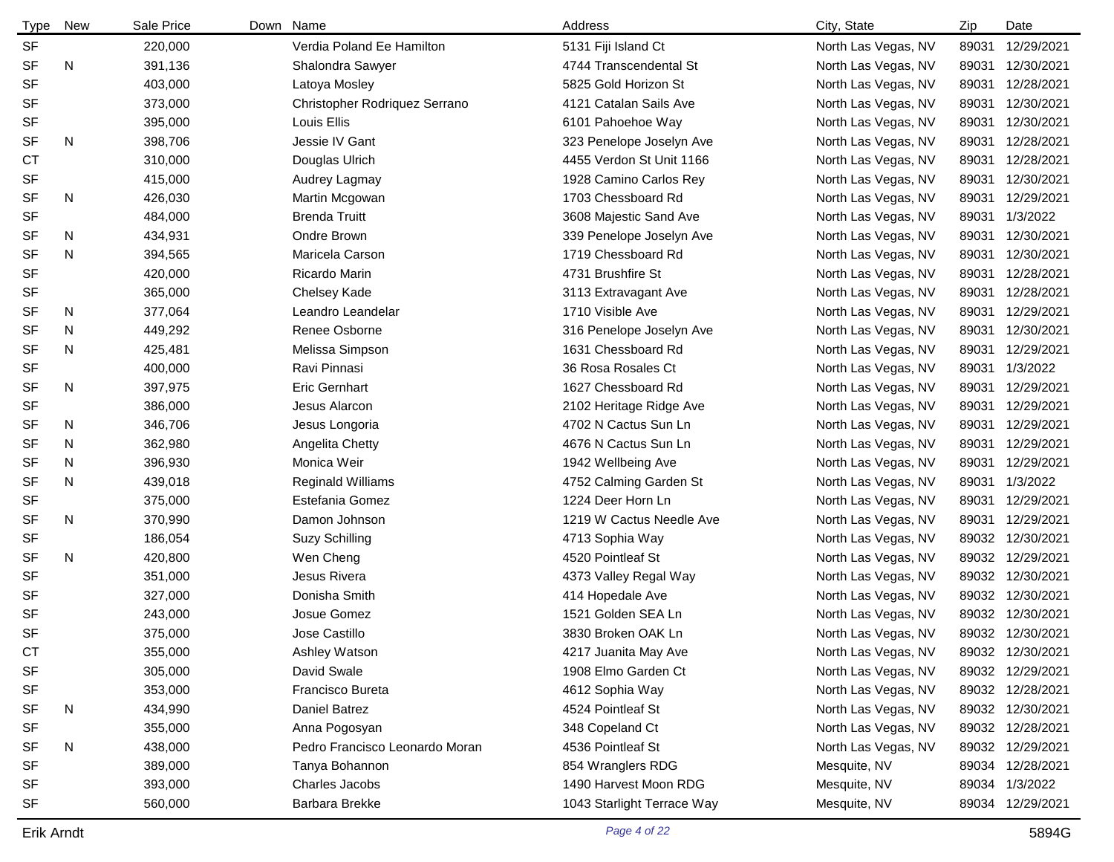| <b>Type</b> | New | Sale Price | Down Name |                                | Address                    | City, State         | Zip   | Date             |
|-------------|-----|------------|-----------|--------------------------------|----------------------------|---------------------|-------|------------------|
| SF          |     | 220,000    |           | Verdia Poland Ee Hamilton      | 5131 Fiji Island Ct        | North Las Vegas, NV | 89031 | 12/29/2021       |
| <b>SF</b>   | N   | 391,136    |           | Shalondra Sawyer               | 4744 Transcendental St     | North Las Vegas, NV | 89031 | 12/30/2021       |
| <b>SF</b>   |     | 403,000    |           | Latoya Mosley                  | 5825 Gold Horizon St       | North Las Vegas, NV | 89031 | 12/28/2021       |
| <b>SF</b>   |     | 373,000    |           | Christopher Rodriquez Serrano  | 4121 Catalan Sails Ave     | North Las Vegas, NV | 89031 | 12/30/2021       |
| <b>SF</b>   |     | 395,000    |           | Louis Ellis                    | 6101 Pahoehoe Way          | North Las Vegas, NV | 89031 | 12/30/2021       |
| <b>SF</b>   | N   | 398,706    |           | Jessie IV Gant                 | 323 Penelope Joselyn Ave   | North Las Vegas, NV | 89031 | 12/28/2021       |
| <b>CT</b>   |     | 310,000    |           | Douglas Ulrich                 | 4455 Verdon St Unit 1166   | North Las Vegas, NV | 89031 | 12/28/2021       |
| SF          |     | 415,000    |           | Audrey Lagmay                  | 1928 Camino Carlos Rey     | North Las Vegas, NV | 89031 | 12/30/2021       |
| <b>SF</b>   | N   | 426,030    |           | Martin Mcgowan                 | 1703 Chessboard Rd         | North Las Vegas, NV | 89031 | 12/29/2021       |
| <b>SF</b>   |     | 484,000    |           | <b>Brenda Truitt</b>           | 3608 Majestic Sand Ave     | North Las Vegas, NV | 89031 | 1/3/2022         |
| SF          | N   | 434,931    |           | Ondre Brown                    | 339 Penelope Joselyn Ave   | North Las Vegas, NV | 89031 | 12/30/2021       |
| <b>SF</b>   | N   | 394,565    |           | Maricela Carson                | 1719 Chessboard Rd         | North Las Vegas, NV | 89031 | 12/30/2021       |
| <b>SF</b>   |     | 420,000    |           | Ricardo Marin                  | 4731 Brushfire St          | North Las Vegas, NV | 89031 | 12/28/2021       |
| SF          |     | 365,000    |           | Chelsey Kade                   | 3113 Extravagant Ave       | North Las Vegas, NV | 89031 | 12/28/2021       |
| <b>SF</b>   | N   | 377,064    |           | Leandro Leandelar              | 1710 Visible Ave           | North Las Vegas, NV | 89031 | 12/29/2021       |
| SF          | N   | 449,292    |           | Renee Osborne                  | 316 Penelope Joselyn Ave   | North Las Vegas, NV | 89031 | 12/30/2021       |
| <b>SF</b>   | N   | 425,481    |           | Melissa Simpson                | 1631 Chessboard Rd         | North Las Vegas, NV | 89031 | 12/29/2021       |
| <b>SF</b>   |     | 400,000    |           | Ravi Pinnasi                   | 36 Rosa Rosales Ct         | North Las Vegas, NV | 89031 | 1/3/2022         |
| <b>SF</b>   | N   | 397,975    |           | <b>Eric Gernhart</b>           | 1627 Chessboard Rd         | North Las Vegas, NV | 89031 | 12/29/2021       |
| <b>SF</b>   |     | 386,000    |           | Jesus Alarcon                  | 2102 Heritage Ridge Ave    | North Las Vegas, NV | 89031 | 12/29/2021       |
| <b>SF</b>   | N   | 346,706    |           | Jesus Longoria                 | 4702 N Cactus Sun Ln       | North Las Vegas, NV | 89031 | 12/29/2021       |
| <b>SF</b>   | N   | 362,980    |           | Angelita Chetty                | 4676 N Cactus Sun Ln       | North Las Vegas, NV | 89031 | 12/29/2021       |
| <b>SF</b>   | N   | 396,930    |           | Monica Weir                    | 1942 Wellbeing Ave         | North Las Vegas, NV | 89031 | 12/29/2021       |
| <b>SF</b>   | N   | 439,018    |           | <b>Reginald Williams</b>       | 4752 Calming Garden St     | North Las Vegas, NV | 89031 | 1/3/2022         |
| <b>SF</b>   |     | 375,000    |           | Estefania Gomez                | 1224 Deer Horn Ln          | North Las Vegas, NV | 89031 | 12/29/2021       |
| <b>SF</b>   | N   | 370,990    |           | Damon Johnson                  | 1219 W Cactus Needle Ave   | North Las Vegas, NV | 89031 | 12/29/2021       |
| <b>SF</b>   |     | 186,054    |           | <b>Suzy Schilling</b>          | 4713 Sophia Way            | North Las Vegas, NV | 89032 | 12/30/2021       |
| <b>SF</b>   | N   | 420,800    |           | Wen Cheng                      | 4520 Pointleaf St          | North Las Vegas, NV | 89032 | 12/29/2021       |
| <b>SF</b>   |     | 351,000    |           | Jesus Rivera                   | 4373 Valley Regal Way      | North Las Vegas, NV | 89032 | 12/30/2021       |
| <b>SF</b>   |     | 327,000    |           | Donisha Smith                  | 414 Hopedale Ave           | North Las Vegas, NV |       | 89032 12/30/2021 |
| <b>SF</b>   |     | 243,000    |           | Josue Gomez                    | 1521 Golden SEA Ln         | North Las Vegas, NV |       | 89032 12/30/2021 |
| <b>SF</b>   |     | 375,000    |           | Jose Castillo                  | 3830 Broken OAK Ln         | North Las Vegas, NV |       | 89032 12/30/2021 |
| <b>CT</b>   |     | 355,000    |           | Ashley Watson                  | 4217 Juanita May Ave       | North Las Vegas, NV | 89032 | 12/30/2021       |
| <b>SF</b>   |     | 305,000    |           | David Swale                    | 1908 Elmo Garden Ct        | North Las Vegas, NV |       | 89032 12/29/2021 |
| SF          |     | 353,000    |           | Francisco Bureta               | 4612 Sophia Way            | North Las Vegas, NV |       | 89032 12/28/2021 |
| <b>SF</b>   | N   | 434,990    |           | Daniel Batrez                  | 4524 Pointleaf St          | North Las Vegas, NV |       | 89032 12/30/2021 |
| <b>SF</b>   |     | 355,000    |           | Anna Pogosyan                  | 348 Copeland Ct            | North Las Vegas, NV |       | 89032 12/28/2021 |
| SF          | N   | 438,000    |           | Pedro Francisco Leonardo Moran | 4536 Pointleaf St          | North Las Vegas, NV | 89032 | 12/29/2021       |
| <b>SF</b>   |     | 389,000    |           | Tanya Bohannon                 | 854 Wranglers RDG          | Mesquite, NV        | 89034 | 12/28/2021       |
| SF          |     | 393,000    |           | Charles Jacobs                 | 1490 Harvest Moon RDG      | Mesquite, NV        |       | 89034 1/3/2022   |
| SF          |     | 560,000    |           | Barbara Brekke                 | 1043 Starlight Terrace Way | Mesquite, NV        |       | 89034 12/29/2021 |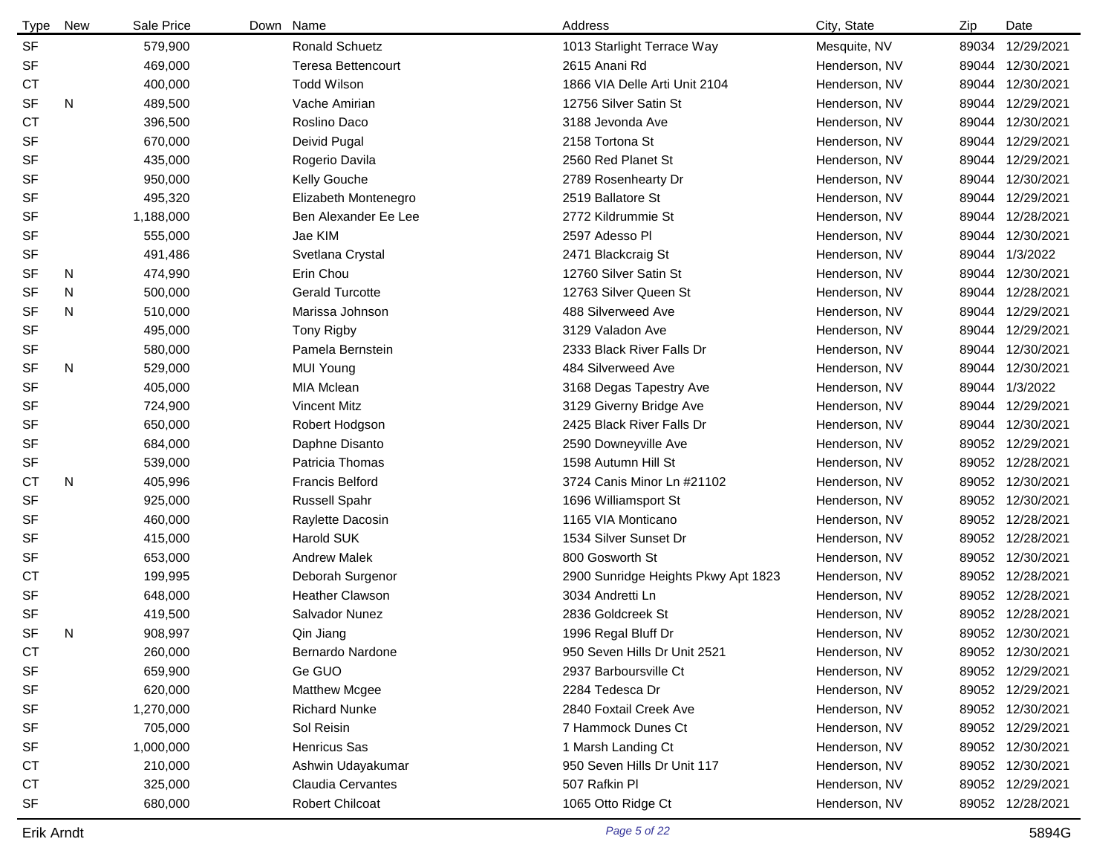| Type      | New | Sale Price | Down Name                 | Address                             | City, State   | Zip   | Date             |
|-----------|-----|------------|---------------------------|-------------------------------------|---------------|-------|------------------|
| <b>SF</b> |     | 579,900    | <b>Ronald Schuetz</b>     | 1013 Starlight Terrace Way          | Mesquite, NV  | 89034 | 12/29/2021       |
| <b>SF</b> |     | 469,000    | <b>Teresa Bettencourt</b> | 2615 Anani Rd                       | Henderson, NV | 89044 | 12/30/2021       |
| <b>CT</b> |     | 400,000    | <b>Todd Wilson</b>        | 1866 VIA Delle Arti Unit 2104       | Henderson, NV | 89044 | 12/30/2021       |
| <b>SF</b> | N   | 489,500    | Vache Amirian             | 12756 Silver Satin St               | Henderson, NV | 89044 | 12/29/2021       |
| <b>CT</b> |     | 396,500    | Roslino Daco              | 3188 Jevonda Ave                    | Henderson, NV | 89044 | 12/30/2021       |
| <b>SF</b> |     | 670,000    | Deivid Pugal              | 2158 Tortona St                     | Henderson, NV | 89044 | 12/29/2021       |
| <b>SF</b> |     | 435,000    | Rogerio Davila            | 2560 Red Planet St                  | Henderson, NV | 89044 | 12/29/2021       |
| <b>SF</b> |     | 950,000    | Kelly Gouche              | 2789 Rosenhearty Dr                 | Henderson, NV | 89044 | 12/30/2021       |
| <b>SF</b> |     | 495,320    | Elizabeth Montenegro      | 2519 Ballatore St                   | Henderson, NV | 89044 | 12/29/2021       |
| <b>SF</b> |     | 1,188,000  | Ben Alexander Ee Lee      | 2772 Kildrummie St                  | Henderson, NV | 89044 | 12/28/2021       |
| <b>SF</b> |     | 555,000    | Jae KIM                   | 2597 Adesso PI                      | Henderson, NV | 89044 | 12/30/2021       |
| <b>SF</b> |     | 491,486    | Svetlana Crystal          | 2471 Blackcraig St                  | Henderson, NV | 89044 | 1/3/2022         |
| <b>SF</b> | N   | 474,990    | Erin Chou                 | 12760 Silver Satin St               | Henderson, NV | 89044 | 12/30/2021       |
| <b>SF</b> | N   | 500,000    | <b>Gerald Turcotte</b>    | 12763 Silver Queen St               | Henderson, NV | 89044 | 12/28/2021       |
| <b>SF</b> | N   | 510,000    | Marissa Johnson           | 488 Silverweed Ave                  | Henderson, NV | 89044 | 12/29/2021       |
| <b>SF</b> |     | 495,000    | <b>Tony Rigby</b>         | 3129 Valadon Ave                    | Henderson, NV | 89044 | 12/29/2021       |
| <b>SF</b> |     | 580,000    | Pamela Bernstein          | 2333 Black River Falls Dr           | Henderson, NV | 89044 | 12/30/2021       |
| <b>SF</b> | N   | 529,000    | <b>MUI Young</b>          | 484 Silverweed Ave                  | Henderson, NV | 89044 | 12/30/2021       |
| <b>SF</b> |     | 405,000    | MIA Mclean                | 3168 Degas Tapestry Ave             | Henderson, NV | 89044 | 1/3/2022         |
| <b>SF</b> |     | 724,900    | <b>Vincent Mitz</b>       | 3129 Giverny Bridge Ave             | Henderson, NV | 89044 | 12/29/2021       |
| <b>SF</b> |     | 650,000    | Robert Hodgson            | 2425 Black River Falls Dr           | Henderson, NV | 89044 | 12/30/2021       |
| <b>SF</b> |     | 684,000    | Daphne Disanto            | 2590 Downeyville Ave                | Henderson, NV | 89052 | 12/29/2021       |
| <b>SF</b> |     | 539,000    | Patricia Thomas           | 1598 Autumn Hill St                 | Henderson, NV |       | 89052 12/28/2021 |
| <b>CT</b> | N   | 405,996    | <b>Francis Belford</b>    | 3724 Canis Minor Ln #21102          | Henderson, NV | 89052 | 12/30/2021       |
| <b>SF</b> |     | 925,000    | <b>Russell Spahr</b>      | 1696 Williamsport St                | Henderson, NV |       | 89052 12/30/2021 |
| <b>SF</b> |     | 460,000    | Raylette Dacosin          | 1165 VIA Monticano                  | Henderson, NV |       | 89052 12/28/2021 |
| <b>SF</b> |     | 415,000    | <b>Harold SUK</b>         | 1534 Silver Sunset Dr               | Henderson, NV |       | 89052 12/28/2021 |
| <b>SF</b> |     | 653,000    | <b>Andrew Malek</b>       | 800 Gosworth St                     | Henderson, NV |       | 89052 12/30/2021 |
| <b>CT</b> |     | 199,995    | Deborah Surgenor          | 2900 Sunridge Heights Pkwy Apt 1823 | Henderson, NV |       | 89052 12/28/2021 |
| <b>SF</b> |     | 648,000    | <b>Heather Clawson</b>    | 3034 Andretti Ln                    | Henderson, NV |       | 89052 12/28/2021 |
| <b>SF</b> |     | 419,500    | Salvador Nunez            | 2836 Goldcreek St                   | Henderson, NV |       | 89052 12/28/2021 |
| <b>SF</b> | N   | 908,997    | Qin Jiang                 | 1996 Regal Bluff Dr                 | Henderson, NV |       | 89052 12/30/2021 |
| CT        |     | 260,000    | Bernardo Nardone          | 950 Seven Hills Dr Unit 2521        | Henderson, NV |       | 89052 12/30/2021 |
| <b>SF</b> |     | 659,900    | Ge GUO                    | 2937 Barboursville Ct               | Henderson, NV |       | 89052 12/29/2021 |
| <b>SF</b> |     | 620,000    | <b>Matthew Mcgee</b>      | 2284 Tedesca Dr                     | Henderson, NV |       | 89052 12/29/2021 |
| <b>SF</b> |     | 1,270,000  | <b>Richard Nunke</b>      | 2840 Foxtail Creek Ave              | Henderson, NV |       | 89052 12/30/2021 |
| <b>SF</b> |     | 705,000    | Sol Reisin                | 7 Hammock Dunes Ct                  | Henderson, NV |       | 89052 12/29/2021 |
| <b>SF</b> |     | 1,000,000  | <b>Henricus Sas</b>       | 1 Marsh Landing Ct                  | Henderson, NV |       | 89052 12/30/2021 |
| <b>CT</b> |     | 210,000    | Ashwin Udayakumar         | 950 Seven Hills Dr Unit 117         | Henderson, NV |       | 89052 12/30/2021 |
| <b>CT</b> |     | 325,000    | <b>Claudia Cervantes</b>  | 507 Rafkin Pl                       | Henderson, NV |       | 89052 12/29/2021 |
| <b>SF</b> |     | 680,000    | <b>Robert Chilcoat</b>    | 1065 Otto Ridge Ct                  | Henderson, NV |       | 89052 12/28/2021 |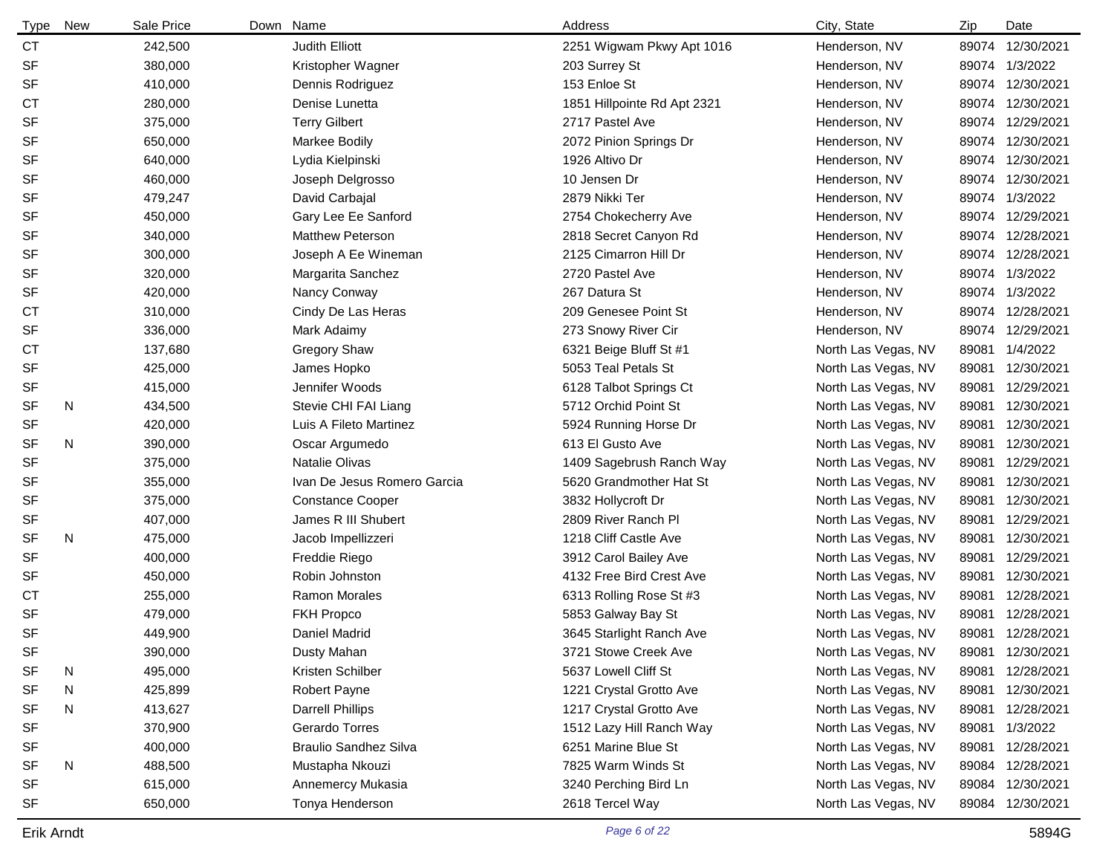| <b>Type</b> | <b>New</b> | Sale Price | Down Name                    | Address                     | City, State         | Zip   | Date             |
|-------------|------------|------------|------------------------------|-----------------------------|---------------------|-------|------------------|
| <b>CT</b>   |            | 242,500    | Judith Elliott               | 2251 Wigwam Pkwy Apt 1016   | Henderson, NV       | 89074 | 12/30/2021       |
| <b>SF</b>   |            | 380,000    | Kristopher Wagner            | 203 Surrey St               | Henderson, NV       | 89074 | 1/3/2022         |
| <b>SF</b>   |            | 410,000    | Dennis Rodriguez             | 153 Enloe St                | Henderson, NV       | 89074 | 12/30/2021       |
| <b>CT</b>   |            | 280,000    | Denise Lunetta               | 1851 Hillpointe Rd Apt 2321 | Henderson, NV       | 89074 | 12/30/2021       |
| <b>SF</b>   |            | 375,000    | <b>Terry Gilbert</b>         | 2717 Pastel Ave             | Henderson, NV       | 89074 | 12/29/2021       |
| <b>SF</b>   |            | 650,000    | Markee Bodily                | 2072 Pinion Springs Dr      | Henderson, NV       | 89074 | 12/30/2021       |
| <b>SF</b>   |            | 640,000    | Lydia Kielpinski             | 1926 Altivo Dr              | Henderson, NV       | 89074 | 12/30/2021       |
| <b>SF</b>   |            | 460,000    | Joseph Delgrosso             | 10 Jensen Dr                | Henderson, NV       | 89074 | 12/30/2021       |
| <b>SF</b>   |            | 479,247    | David Carbajal               | 2879 Nikki Ter              | Henderson, NV       | 89074 | 1/3/2022         |
| <b>SF</b>   |            | 450,000    | Gary Lee Ee Sanford          | 2754 Chokecherry Ave        | Henderson, NV       | 89074 | 12/29/2021       |
| <b>SF</b>   |            | 340,000    | <b>Matthew Peterson</b>      | 2818 Secret Canyon Rd       | Henderson, NV       | 89074 | 12/28/2021       |
| <b>SF</b>   |            | 300,000    | Joseph A Ee Wineman          | 2125 Cimarron Hill Dr       | Henderson, NV       | 89074 | 12/28/2021       |
| <b>SF</b>   |            | 320,000    | Margarita Sanchez            | 2720 Pastel Ave             | Henderson, NV       | 89074 | 1/3/2022         |
| <b>SF</b>   |            | 420,000    | Nancy Conway                 | 267 Datura St               | Henderson, NV       | 89074 | 1/3/2022         |
| <b>CT</b>   |            | 310,000    | Cindy De Las Heras           | 209 Genesee Point St        | Henderson, NV       | 89074 | 12/28/2021       |
| SF          |            | 336,000    | Mark Adaimy                  | 273 Snowy River Cir         | Henderson, NV       | 89074 | 12/29/2021       |
| <b>CT</b>   |            | 137,680    | <b>Gregory Shaw</b>          | 6321 Beige Bluff St #1      | North Las Vegas, NV | 89081 | 1/4/2022         |
| <b>SF</b>   |            | 425,000    | James Hopko                  | 5053 Teal Petals St         | North Las Vegas, NV | 89081 | 12/30/2021       |
| <b>SF</b>   |            | 415,000    | Jennifer Woods               | 6128 Talbot Springs Ct      | North Las Vegas, NV | 89081 | 12/29/2021       |
| <b>SF</b>   | N          | 434,500    | Stevie CHI FAI Liang         | 5712 Orchid Point St        | North Las Vegas, NV | 89081 | 12/30/2021       |
| <b>SF</b>   |            | 420,000    | Luis A Fileto Martinez       | 5924 Running Horse Dr       | North Las Vegas, NV | 89081 | 12/30/2021       |
| <b>SF</b>   | N          | 390,000    | Oscar Argumedo               | 613 El Gusto Ave            | North Las Vegas, NV | 89081 | 12/30/2021       |
| <b>SF</b>   |            | 375,000    | <b>Natalie Olivas</b>        | 1409 Sagebrush Ranch Way    | North Las Vegas, NV | 89081 | 12/29/2021       |
| <b>SF</b>   |            | 355,000    | Ivan De Jesus Romero Garcia  | 5620 Grandmother Hat St     | North Las Vegas, NV | 89081 | 12/30/2021       |
| <b>SF</b>   |            | 375,000    | <b>Constance Cooper</b>      | 3832 Hollycroft Dr          | North Las Vegas, NV | 89081 | 12/30/2021       |
| <b>SF</b>   |            | 407,000    | James R III Shubert          | 2809 River Ranch Pl         | North Las Vegas, NV | 89081 | 12/29/2021       |
| <b>SF</b>   | N          | 475,000    | Jacob Impellizzeri           | 1218 Cliff Castle Ave       | North Las Vegas, NV | 89081 | 12/30/2021       |
| <b>SF</b>   |            | 400,000    | Freddie Riego                | 3912 Carol Bailey Ave       | North Las Vegas, NV | 89081 | 12/29/2021       |
| <b>SF</b>   |            | 450,000    | Robin Johnston               | 4132 Free Bird Crest Ave    | North Las Vegas, NV | 89081 | 12/30/2021       |
| <b>CT</b>   |            | 255,000    | <b>Ramon Morales</b>         | 6313 Rolling Rose St #3     | North Las Vegas, NV | 89081 | 12/28/2021       |
| <b>SF</b>   |            | 479,000    | FKH Propco                   | 5853 Galway Bay St          | North Las Vegas, NV | 89081 | 12/28/2021       |
| <b>SF</b>   |            | 449,900    | Daniel Madrid                | 3645 Starlight Ranch Ave    | North Las Vegas, NV |       | 89081 12/28/2021 |
| <b>SF</b>   |            | 390,000    | Dusty Mahan                  | 3721 Stowe Creek Ave        | North Las Vegas, NV | 89081 | 12/30/2021       |
| SF          | N          | 495,000    | Kristen Schilber             | 5637 Lowell Cliff St        | North Las Vegas, NV | 89081 | 12/28/2021       |
| <b>SF</b>   | N          | 425,899    | Robert Payne                 | 1221 Crystal Grotto Ave     | North Las Vegas, NV | 89081 | 12/30/2021       |
| <b>SF</b>   | N          | 413,627    | <b>Darrell Phillips</b>      | 1217 Crystal Grotto Ave     | North Las Vegas, NV | 89081 | 12/28/2021       |
| <b>SF</b>   |            | 370,900    | Gerardo Torres               | 1512 Lazy Hill Ranch Way    | North Las Vegas, NV | 89081 | 1/3/2022         |
| <b>SF</b>   |            | 400,000    | <b>Braulio Sandhez Silva</b> | 6251 Marine Blue St         | North Las Vegas, NV | 89081 | 12/28/2021       |
| <b>SF</b>   | N          | 488,500    | Mustapha Nkouzi              | 7825 Warm Winds St          | North Las Vegas, NV | 89084 | 12/28/2021       |
| <b>SF</b>   |            | 615,000    | Annemercy Mukasia            | 3240 Perching Bird Ln       | North Las Vegas, NV | 89084 | 12/30/2021       |
| <b>SF</b>   |            | 650,000    | Tonya Henderson              | 2618 Tercel Way             | North Las Vegas, NV | 89084 | 12/30/2021       |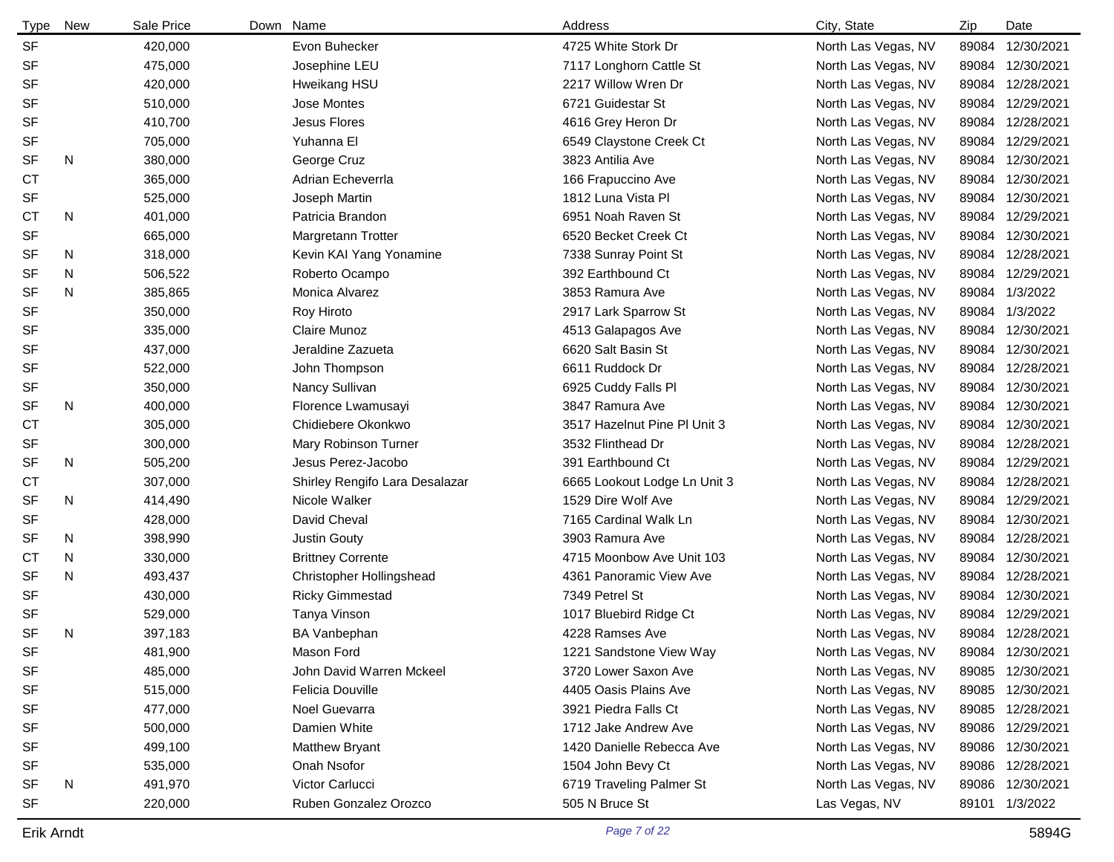| <b>Type</b> | New | Sale Price | Down Name                      | Address                      | City, State         | Zip   | Date             |
|-------------|-----|------------|--------------------------------|------------------------------|---------------------|-------|------------------|
| <b>SF</b>   |     | 420,000    | Evon Buhecker                  | 4725 White Stork Dr          | North Las Vegas, NV | 89084 | 12/30/2021       |
| <b>SF</b>   |     | 475,000    | Josephine LEU                  | 7117 Longhorn Cattle St      | North Las Vegas, NV | 89084 | 12/30/2021       |
| SF          |     | 420,000    | Hweikang HSU                   | 2217 Willow Wren Dr          | North Las Vegas, NV | 89084 | 12/28/2021       |
| <b>SF</b>   |     | 510,000    | <b>Jose Montes</b>             | 6721 Guidestar St            | North Las Vegas, NV | 89084 | 12/29/2021       |
| <b>SF</b>   |     | 410,700    | <b>Jesus Flores</b>            | 4616 Grey Heron Dr           | North Las Vegas, NV | 89084 | 12/28/2021       |
| SF          |     | 705,000    | Yuhanna El                     | 6549 Claystone Creek Ct      | North Las Vegas, NV | 89084 | 12/29/2021       |
| <b>SF</b>   | N   | 380,000    | George Cruz                    | 3823 Antilia Ave             | North Las Vegas, NV | 89084 | 12/30/2021       |
| <b>CT</b>   |     | 365,000    | Adrian Echeverrla              | 166 Frapuccino Ave           | North Las Vegas, NV | 89084 | 12/30/2021       |
| SF          |     | 525,000    | Joseph Martin                  | 1812 Luna Vista Pl           | North Las Vegas, NV | 89084 | 12/30/2021       |
| СT          | N   | 401,000    | Patricia Brandon               | 6951 Noah Raven St           | North Las Vegas, NV | 89084 | 12/29/2021       |
| <b>SF</b>   |     | 665,000    | Margretann Trotter             | 6520 Becket Creek Ct         | North Las Vegas, NV | 89084 | 12/30/2021       |
| SF          | N   | 318,000    | Kevin KAI Yang Yonamine        | 7338 Sunray Point St         | North Las Vegas, NV | 89084 | 12/28/2021       |
| <b>SF</b>   | N   | 506,522    | Roberto Ocampo                 | 392 Earthbound Ct            | North Las Vegas, NV | 89084 | 12/29/2021       |
| <b>SF</b>   | N   | 385,865    | Monica Alvarez                 | 3853 Ramura Ave              | North Las Vegas, NV | 89084 | 1/3/2022         |
| <b>SF</b>   |     | 350,000    | Roy Hiroto                     | 2917 Lark Sparrow St         | North Las Vegas, NV | 89084 | 1/3/2022         |
| <b>SF</b>   |     | 335,000    | Claire Munoz                   | 4513 Galapagos Ave           | North Las Vegas, NV | 89084 | 12/30/2021       |
| <b>SF</b>   |     | 437,000    | Jeraldine Zazueta              | 6620 Salt Basin St           | North Las Vegas, NV | 89084 | 12/30/2021       |
| <b>SF</b>   |     | 522,000    | John Thompson                  | 6611 Ruddock Dr              | North Las Vegas, NV | 89084 | 12/28/2021       |
| <b>SF</b>   |     | 350,000    | Nancy Sullivan                 | 6925 Cuddy Falls Pl          | North Las Vegas, NV | 89084 | 12/30/2021       |
| <b>SF</b>   | N   | 400,000    | Florence Lwamusayi             | 3847 Ramura Ave              | North Las Vegas, NV | 89084 | 12/30/2021       |
| <b>CT</b>   |     | 305,000    | Chidiebere Okonkwo             | 3517 Hazelnut Pine PI Unit 3 | North Las Vegas, NV | 89084 | 12/30/2021       |
| <b>SF</b>   |     | 300,000    | Mary Robinson Turner           | 3532 Flinthead Dr            | North Las Vegas, NV | 89084 | 12/28/2021       |
| <b>SF</b>   | N   | 505,200    | Jesus Perez-Jacobo             | 391 Earthbound Ct            | North Las Vegas, NV | 89084 | 12/29/2021       |
| <b>CT</b>   |     | 307,000    | Shirley Rengifo Lara Desalazar | 6665 Lookout Lodge Ln Unit 3 | North Las Vegas, NV | 89084 | 12/28/2021       |
| <b>SF</b>   | N   | 414,490    | Nicole Walker                  | 1529 Dire Wolf Ave           | North Las Vegas, NV | 89084 | 12/29/2021       |
| <b>SF</b>   |     | 428,000    | David Cheval                   | 7165 Cardinal Walk Ln        | North Las Vegas, NV | 89084 | 12/30/2021       |
| <b>SF</b>   | N   | 398,990    | Justin Gouty                   | 3903 Ramura Ave              | North Las Vegas, NV | 89084 | 12/28/2021       |
| <b>CT</b>   | N   | 330,000    | <b>Brittney Corrente</b>       | 4715 Moonbow Ave Unit 103    | North Las Vegas, NV | 89084 | 12/30/2021       |
| <b>SF</b>   | N   | 493,437    | Christopher Hollingshead       | 4361 Panoramic View Ave      | North Las Vegas, NV | 89084 | 12/28/2021       |
| <b>SF</b>   |     | 430,000    | <b>Ricky Gimmestad</b>         | 7349 Petrel St               | North Las Vegas, NV | 89084 | 12/30/2021       |
| <b>SF</b>   |     | 529,000    | Tanya Vinson                   | 1017 Bluebird Ridge Ct       | North Las Vegas, NV | 89084 | 12/29/2021       |
| <b>SF</b>   | N   | 397,183    | <b>BA Vanbephan</b>            | 4228 Ramses Ave              | North Las Vegas, NV |       | 89084 12/28/2021 |
| <b>SF</b>   |     | 481,900    | Mason Ford                     | 1221 Sandstone View Way      | North Las Vegas, NV | 89084 | 12/30/2021       |
| SF          |     | 485,000    | John David Warren Mckeel       | 3720 Lower Saxon Ave         | North Las Vegas, NV | 89085 | 12/30/2021       |
| SF          |     | 515,000    | Felicia Douville               | 4405 Oasis Plains Ave        | North Las Vegas, NV |       | 89085 12/30/2021 |
| SF          |     | 477,000    | Noel Guevarra                  | 3921 Piedra Falls Ct         | North Las Vegas, NV |       | 89085 12/28/2021 |
| SF          |     | 500,000    | Damien White                   | 1712 Jake Andrew Ave         | North Las Vegas, NV |       | 89086 12/29/2021 |
| SF          |     | 499,100    | Matthew Bryant                 | 1420 Danielle Rebecca Ave    | North Las Vegas, NV |       | 89086 12/30/2021 |
| SF          |     | 535,000    | Onah Nsofor                    | 1504 John Bevy Ct            | North Las Vegas, NV |       | 89086 12/28/2021 |
| SF          | N   | 491,970    | Victor Carlucci                | 6719 Traveling Palmer St     | North Las Vegas, NV |       | 89086 12/30/2021 |
| SF          |     | 220,000    | Ruben Gonzalez Orozco          | 505 N Bruce St               | Las Vegas, NV       |       | 89101 1/3/2022   |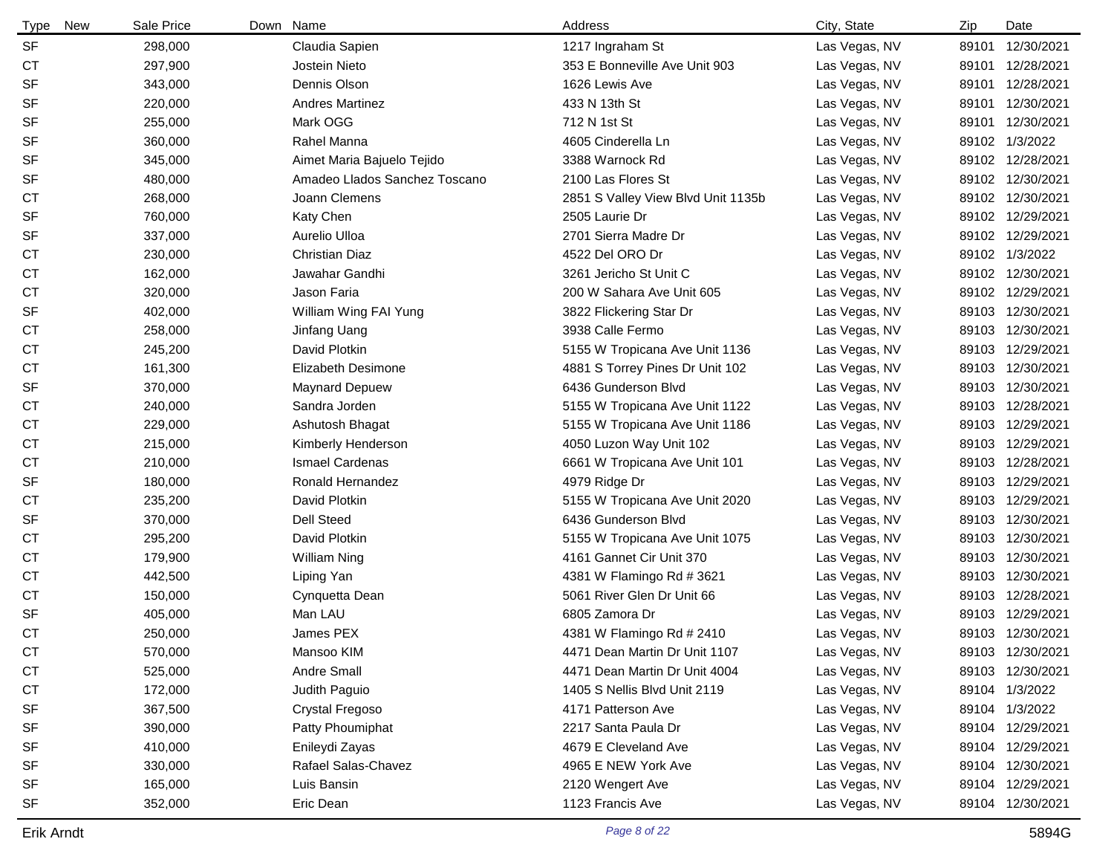| Type<br>New | Sale Price | Down Name                     | Address                            | City, State   | Zip   | Date             |
|-------------|------------|-------------------------------|------------------------------------|---------------|-------|------------------|
| <b>SF</b>   | 298,000    | Claudia Sapien                | 1217 Ingraham St                   | Las Vegas, NV | 89101 | 12/30/2021       |
| <b>CT</b>   | 297,900    | Jostein Nieto                 | 353 E Bonneville Ave Unit 903      | Las Vegas, NV |       | 89101 12/28/2021 |
| <b>SF</b>   | 343,000    | Dennis Olson                  | 1626 Lewis Ave                     | Las Vegas, NV |       | 89101 12/28/2021 |
| <b>SF</b>   | 220,000    | <b>Andres Martinez</b>        | 433 N 13th St                      | Las Vegas, NV |       | 89101 12/30/2021 |
| <b>SF</b>   | 255,000    | Mark OGG                      | 712 N 1st St                       | Las Vegas, NV | 89101 | 12/30/2021       |
| <b>SF</b>   | 360,000    | Rahel Manna                   | 4605 Cinderella Ln                 | Las Vegas, NV |       | 89102 1/3/2022   |
| <b>SF</b>   | 345,000    | Aimet Maria Bajuelo Tejido    | 3388 Warnock Rd                    | Las Vegas, NV |       | 89102 12/28/2021 |
| <b>SF</b>   | 480,000    | Amadeo Llados Sanchez Toscano | 2100 Las Flores St                 | Las Vegas, NV |       | 89102 12/30/2021 |
| <b>CT</b>   | 268,000    | Joann Clemens                 | 2851 S Valley View Blvd Unit 1135b | Las Vegas, NV |       | 89102 12/30/2021 |
| <b>SF</b>   | 760,000    | Katy Chen                     | 2505 Laurie Dr                     | Las Vegas, NV |       | 89102 12/29/2021 |
| <b>SF</b>   | 337,000    | Aurelio Ulloa                 | 2701 Sierra Madre Dr               | Las Vegas, NV |       | 89102 12/29/2021 |
| <b>CT</b>   | 230,000    | <b>Christian Diaz</b>         | 4522 Del ORO Dr                    | Las Vegas, NV |       | 89102 1/3/2022   |
| <b>CT</b>   | 162,000    | Jawahar Gandhi                | 3261 Jericho St Unit C             | Las Vegas, NV |       | 89102 12/30/2021 |
| <b>CT</b>   | 320,000    | Jason Faria                   | 200 W Sahara Ave Unit 605          | Las Vegas, NV |       | 89102 12/29/2021 |
| <b>SF</b>   | 402,000    | William Wing FAI Yung         | 3822 Flickering Star Dr            | Las Vegas, NV |       | 89103 12/30/2021 |
| <b>CT</b>   | 258,000    | Jinfang Uang                  | 3938 Calle Fermo                   | Las Vegas, NV |       | 89103 12/30/2021 |
| <b>CT</b>   | 245,200    | David Plotkin                 | 5155 W Tropicana Ave Unit 1136     | Las Vegas, NV |       | 89103 12/29/2021 |
| <b>CT</b>   | 161,300    | <b>Elizabeth Desimone</b>     | 4881 S Torrey Pines Dr Unit 102    | Las Vegas, NV |       | 89103 12/30/2021 |
| <b>SF</b>   | 370,000    | <b>Maynard Depuew</b>         | 6436 Gunderson Blvd                | Las Vegas, NV |       | 89103 12/30/2021 |
| СT          | 240,000    | Sandra Jorden                 | 5155 W Tropicana Ave Unit 1122     | Las Vegas, NV |       | 89103 12/28/2021 |
| СT          | 229,000    | Ashutosh Bhagat               | 5155 W Tropicana Ave Unit 1186     | Las Vegas, NV |       | 89103 12/29/2021 |
| СT          | 215,000    | Kimberly Henderson            | 4050 Luzon Way Unit 102            | Las Vegas, NV | 89103 | 12/29/2021       |
| <b>CT</b>   | 210,000    | <b>Ismael Cardenas</b>        | 6661 W Tropicana Ave Unit 101      | Las Vegas, NV |       | 89103 12/28/2021 |
| <b>SF</b>   | 180,000    | Ronald Hernandez              | 4979 Ridge Dr                      | Las Vegas, NV |       | 89103 12/29/2021 |
| <b>CT</b>   | 235,200    | David Plotkin                 | 5155 W Tropicana Ave Unit 2020     | Las Vegas, NV |       | 89103 12/29/2021 |
| <b>SF</b>   | 370,000    | <b>Dell Steed</b>             | 6436 Gunderson Blvd                | Las Vegas, NV | 89103 | 12/30/2021       |
| <b>CT</b>   | 295,200    | David Plotkin                 | 5155 W Tropicana Ave Unit 1075     | Las Vegas, NV |       | 89103 12/30/2021 |
| <b>CT</b>   | 179,900    | <b>William Ning</b>           | 4161 Gannet Cir Unit 370           | Las Vegas, NV |       | 89103 12/30/2021 |
| <b>CT</b>   | 442,500    | Liping Yan                    | 4381 W Flamingo Rd # 3621          | Las Vegas, NV |       | 89103 12/30/2021 |
| <b>CT</b>   | 150,000    | Cynquetta Dean                | 5061 River Glen Dr Unit 66         | Las Vegas, NV | 89103 | 12/28/2021       |
| <b>SF</b>   | 405,000    | Man LAU                       | 6805 Zamora Dr                     | Las Vegas, NV |       | 89103 12/29/2021 |
| <b>CT</b>   | 250,000    | James PEX                     | 4381 W Flamingo Rd # 2410          | Las Vegas, NV |       | 89103 12/30/2021 |
| CТ          | 570,000    | Mansoo KIM                    | 4471 Dean Martin Dr Unit 1107      | Las Vegas, NV |       | 89103 12/30/2021 |
| <b>CT</b>   | 525,000    | Andre Small                   | 4471 Dean Martin Dr Unit 4004      | Las Vegas, NV |       | 89103 12/30/2021 |
| <b>CT</b>   | 172,000    | Judith Paguio                 | 1405 S Nellis Blvd Unit 2119       | Las Vegas, NV |       | 89104 1/3/2022   |
| <b>SF</b>   | 367,500    | Crystal Fregoso               | 4171 Patterson Ave                 | Las Vegas, NV |       | 89104 1/3/2022   |
| <b>SF</b>   | 390,000    | Patty Phoumiphat              | 2217 Santa Paula Dr                | Las Vegas, NV |       | 89104 12/29/2021 |
| <b>SF</b>   | 410,000    | Enileydi Zayas                | 4679 E Cleveland Ave               | Las Vegas, NV |       | 89104 12/29/2021 |
| <b>SF</b>   | 330,000    | Rafael Salas-Chavez           | 4965 E NEW York Ave                | Las Vegas, NV |       | 89104 12/30/2021 |
| <b>SF</b>   | 165,000    | Luis Bansin                   | 2120 Wengert Ave                   | Las Vegas, NV |       | 89104 12/29/2021 |
| <b>SF</b>   | 352,000    | Eric Dean                     | 1123 Francis Ave                   | Las Vegas, NV |       | 89104 12/30/2021 |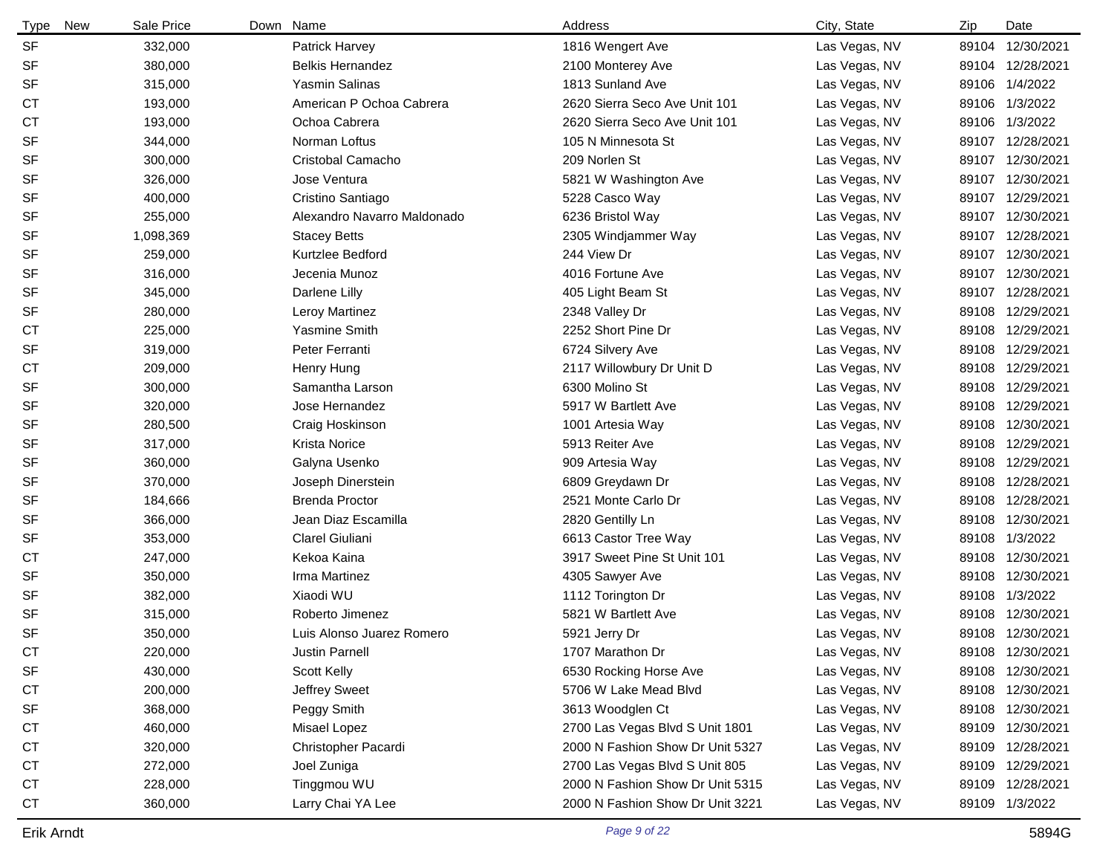| Type<br>New    | Sale Price | Down Name                   | Address                          | City, State   | Zip   | Date             |
|----------------|------------|-----------------------------|----------------------------------|---------------|-------|------------------|
| <b>SF</b>      | 332,000    | Patrick Harvey              | 1816 Wengert Ave                 | Las Vegas, NV |       | 89104 12/30/2021 |
| <b>SF</b>      | 380,000    | <b>Belkis Hernandez</b>     | 2100 Monterey Ave                | Las Vegas, NV |       | 89104 12/28/2021 |
| <b>SF</b>      | 315,000    | Yasmin Salinas              | 1813 Sunland Ave                 | Las Vegas, NV |       | 89106 1/4/2022   |
| СT             | 193,000    | American P Ochoa Cabrera    | 2620 Sierra Seco Ave Unit 101    | Las Vegas, NV |       | 89106 1/3/2022   |
| <b>CT</b>      | 193,000    | Ochoa Cabrera               | 2620 Sierra Seco Ave Unit 101    | Las Vegas, NV |       | 89106 1/3/2022   |
| <b>SF</b>      | 344,000    | Norman Loftus               | 105 N Minnesota St               | Las Vegas, NV | 89107 | 12/28/2021       |
| <b>SF</b>      | 300,000    | Cristobal Camacho           | 209 Norlen St                    | Las Vegas, NV |       | 89107 12/30/2021 |
| <b>SF</b>      | 326,000    | Jose Ventura                | 5821 W Washington Ave            | Las Vegas, NV |       | 89107 12/30/2021 |
| <b>SF</b>      | 400,000    | Cristino Santiago           | 5228 Casco Way                   | Las Vegas, NV |       | 89107 12/29/2021 |
| <b>SF</b>      | 255,000    | Alexandro Navarro Maldonado | 6236 Bristol Way                 | Las Vegas, NV | 89107 | 12/30/2021       |
| <b>SF</b>      | 1,098,369  | <b>Stacey Betts</b>         | 2305 Windjammer Way              | Las Vegas, NV |       | 89107 12/28/2021 |
| <b>SF</b>      | 259,000    | Kurtzlee Bedford            | 244 View Dr                      | Las Vegas, NV |       | 89107 12/30/2021 |
| <b>SF</b>      | 316,000    | Jecenia Munoz               | 4016 Fortune Ave                 | Las Vegas, NV | 89107 | 12/30/2021       |
| <b>SF</b>      | 345,000    | Darlene Lilly               | 405 Light Beam St                | Las Vegas, NV | 89107 | 12/28/2021       |
| <b>SF</b>      | 280,000    | Leroy Martinez              | 2348 Valley Dr                   | Las Vegas, NV | 89108 | 12/29/2021       |
| СT             | 225,000    | Yasmine Smith               | 2252 Short Pine Dr               | Las Vegas, NV | 89108 | 12/29/2021       |
| <b>SF</b>      | 319,000    | Peter Ferranti              | 6724 Silvery Ave                 | Las Vegas, NV |       | 89108 12/29/2021 |
| СT             | 209,000    | Henry Hung                  | 2117 Willowbury Dr Unit D        | Las Vegas, NV | 89108 | 12/29/2021       |
| <b>SF</b>      | 300,000    | Samantha Larson             | 6300 Molino St                   | Las Vegas, NV |       | 89108 12/29/2021 |
| <b>SF</b>      | 320,000    | Jose Hernandez              | 5917 W Bartlett Ave              | Las Vegas, NV | 89108 | 12/29/2021       |
| <b>SF</b>      | 280,500    | Craig Hoskinson             | 1001 Artesia Way                 | Las Vegas, NV |       | 89108 12/30/2021 |
| <b>SF</b>      | 317,000    | <b>Krista Norice</b>        | 5913 Reiter Ave                  | Las Vegas, NV | 89108 | 12/29/2021       |
| <b>SF</b>      | 360,000    | Galyna Usenko               | 909 Artesia Way                  | Las Vegas, NV |       | 89108 12/29/2021 |
| <b>SF</b>      | 370,000    | Joseph Dinerstein           | 6809 Greydawn Dr                 | Las Vegas, NV | 89108 | 12/28/2021       |
| <b>SF</b>      | 184,666    | <b>Brenda Proctor</b>       | 2521 Monte Carlo Dr              | Las Vegas, NV |       | 89108 12/28/2021 |
| <b>SF</b>      | 366,000    | Jean Diaz Escamilla         | 2820 Gentilly Ln                 | Las Vegas, NV | 89108 | 12/30/2021       |
| <b>SF</b>      | 353,000    | Clarel Giuliani             | 6613 Castor Tree Way             | Las Vegas, NV |       | 89108 1/3/2022   |
| СT             | 247,000    | Kekoa Kaina                 | 3917 Sweet Pine St Unit 101      | Las Vegas, NV |       | 89108 12/30/2021 |
| <b>SF</b>      | 350,000    | Irma Martinez               | 4305 Sawyer Ave                  | Las Vegas, NV | 89108 | 12/30/2021       |
| <b>SF</b>      | 382,000    | Xiaodi WU                   | 1112 Torington Dr                | Las Vegas, NV | 89108 | 1/3/2022         |
| <b>SF</b>      | 315,000    | Roberto Jimenez             | 5821 W Bartlett Ave              | Las Vegas, NV | 89108 | 12/30/2021       |
| <b>SF</b>      | 350,000    | Luis Alonso Juarez Romero   | 5921 Jerry Dr                    | Las Vegas, NV |       | 89108 12/30/2021 |
| C <sub>T</sub> | 220,000    | Justin Parnell              | 1707 Marathon Dr                 | Las Vegas, NV |       | 89108 12/30/2021 |
| SF             | 430,000    | Scott Kelly                 | 6530 Rocking Horse Ave           | Las Vegas, NV |       | 89108 12/30/2021 |
| <b>CT</b>      | 200,000    | Jeffrey Sweet               | 5706 W Lake Mead Blvd            | Las Vegas, NV |       | 89108 12/30/2021 |
| SF             | 368,000    | Peggy Smith                 | 3613 Woodglen Ct                 | Las Vegas, NV |       | 89108 12/30/2021 |
| <b>CT</b>      | 460,000    | Misael Lopez                | 2700 Las Vegas Blvd S Unit 1801  | Las Vegas, NV |       | 89109 12/30/2021 |
| <b>CT</b>      | 320,000    | Christopher Pacardi         | 2000 N Fashion Show Dr Unit 5327 | Las Vegas, NV |       | 89109 12/28/2021 |
| <b>CT</b>      | 272,000    | Joel Zuniga                 | 2700 Las Vegas Blvd S Unit 805   | Las Vegas, NV |       | 89109 12/29/2021 |
| CT             | 228,000    | Tinggmou WU                 | 2000 N Fashion Show Dr Unit 5315 | Las Vegas, NV |       | 89109 12/28/2021 |
| <b>CT</b>      | 360,000    | Larry Chai YA Lee           | 2000 N Fashion Show Dr Unit 3221 | Las Vegas, NV |       | 89109 1/3/2022   |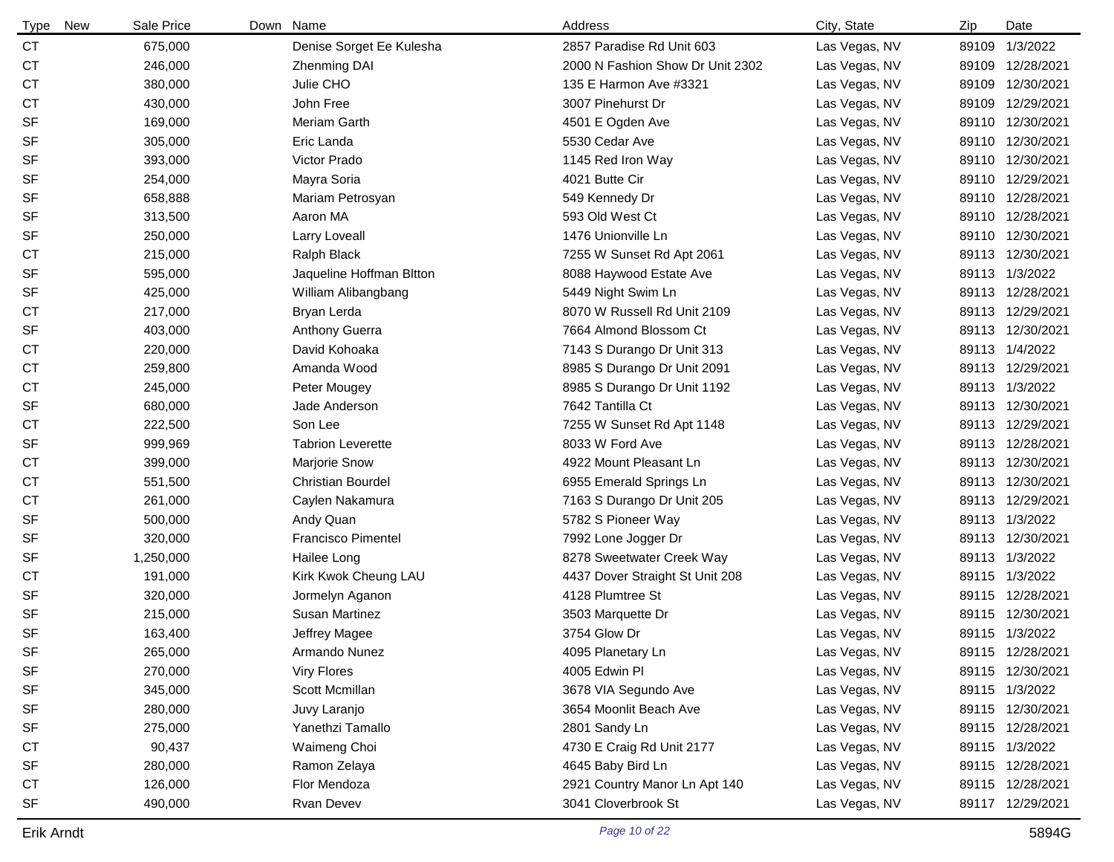| <b>Type</b> | Sale Price<br>New | Down | Name                      | Address                          | City, State   | Zip | Date             |
|-------------|-------------------|------|---------------------------|----------------------------------|---------------|-----|------------------|
| <b>CT</b>   | 675,000           |      | Denise Sorget Ee Kulesha  | 2857 Paradise Rd Unit 603        | Las Vegas, NV |     | 89109 1/3/2022   |
| <b>CT</b>   | 246,000           |      | <b>Zhenming DAI</b>       | 2000 N Fashion Show Dr Unit 2302 | Las Vegas, NV |     | 89109 12/28/2021 |
| <b>CT</b>   | 380,000           |      | Julie CHO                 | 135 E Harmon Ave #3321           | Las Vegas, NV |     | 89109 12/30/2021 |
| СT          | 430,000           |      | John Free                 | 3007 Pinehurst Dr                | Las Vegas, NV |     | 89109 12/29/2021 |
| <b>SF</b>   | 169,000           |      | Meriam Garth              | 4501 E Ogden Ave                 | Las Vegas, NV |     | 89110 12/30/2021 |
| <b>SF</b>   | 305,000           |      | Eric Landa                | 5530 Cedar Ave                   | Las Vegas, NV |     | 89110 12/30/2021 |
| <b>SF</b>   | 393,000           |      | Victor Prado              | 1145 Red Iron Way                | Las Vegas, NV |     | 89110 12/30/2021 |
| <b>SF</b>   | 254,000           |      | Mayra Soria               | 4021 Butte Cir                   | Las Vegas, NV |     | 89110 12/29/2021 |
| <b>SF</b>   | 658,888           |      | Mariam Petrosyan          | 549 Kennedy Dr                   | Las Vegas, NV |     | 89110 12/28/2021 |
| <b>SF</b>   | 313,500           |      | Aaron MA                  | 593 Old West Ct                  | Las Vegas, NV |     | 89110 12/28/2021 |
| <b>SF</b>   | 250,000           |      | Larry Loveall             | 1476 Unionville Ln               | Las Vegas, NV |     | 89110 12/30/2021 |
| СT          | 215,000           |      | Ralph Black               | 7255 W Sunset Rd Apt 2061        | Las Vegas, NV |     | 89113 12/30/2021 |
| <b>SF</b>   | 595,000           |      | Jaqueline Hoffman Bitton  | 8088 Haywood Estate Ave          | Las Vegas, NV |     | 89113 1/3/2022   |
| <b>SF</b>   | 425,000           |      | William Alibangbang       | 5449 Night Swim Ln               | Las Vegas, NV |     | 89113 12/28/2021 |
| <b>CT</b>   | 217,000           |      | Bryan Lerda               | 8070 W Russell Rd Unit 2109      | Las Vegas, NV |     | 89113 12/29/2021 |
| <b>SF</b>   | 403,000           |      | Anthony Guerra            | 7664 Almond Blossom Ct           | Las Vegas, NV |     | 89113 12/30/2021 |
| <b>CT</b>   | 220,000           |      | David Kohoaka             | 7143 S Durango Dr Unit 313       | Las Vegas, NV |     | 89113 1/4/2022   |
| <b>CT</b>   | 259,800           |      | Amanda Wood               | 8985 S Durango Dr Unit 2091      | Las Vegas, NV |     | 89113 12/29/2021 |
| <b>CT</b>   | 245,000           |      | Peter Mougey              | 8985 S Durango Dr Unit 1192      | Las Vegas, NV |     | 89113 1/3/2022   |
| <b>SF</b>   | 680,000           |      | Jade Anderson             | 7642 Tantilla Ct                 | Las Vegas, NV |     | 89113 12/30/2021 |
| <b>CT</b>   | 222,500           |      | Son Lee                   | 7255 W Sunset Rd Apt 1148        | Las Vegas, NV |     | 89113 12/29/2021 |
| <b>SF</b>   | 999,969           |      | <b>Tabrion Leverette</b>  | 8033 W Ford Ave                  | Las Vegas, NV |     | 89113 12/28/2021 |
| <b>CT</b>   | 399,000           |      | Marjorie Snow             | 4922 Mount Pleasant Ln           | Las Vegas, NV |     | 89113 12/30/2021 |
| СT          | 551,500           |      | <b>Christian Bourdel</b>  | 6955 Emerald Springs Ln          | Las Vegas, NV |     | 89113 12/30/2021 |
| <b>CT</b>   | 261,000           |      | Caylen Nakamura           | 7163 S Durango Dr Unit 205       | Las Vegas, NV |     | 89113 12/29/2021 |
| <b>SF</b>   | 500,000           |      | Andy Quan                 | 5782 S Pioneer Way               | Las Vegas, NV |     | 89113 1/3/2022   |
| <b>SF</b>   | 320,000           |      | <b>Francisco Pimentel</b> | 7992 Lone Jogger Dr              | Las Vegas, NV |     | 89113 12/30/2021 |
| <b>SF</b>   | 1,250,000         |      | Hailee Long               | 8278 Sweetwater Creek Way        | Las Vegas, NV |     | 89113 1/3/2022   |
| <b>CT</b>   | 191,000           |      | Kirk Kwok Cheung LAU      | 4437 Dover Straight St Unit 208  | Las Vegas, NV |     | 89115 1/3/2022   |
| <b>SF</b>   | 320,000           |      | Jormelyn Aganon           | 4128 Plumtree St                 | Las Vegas, NV |     | 89115 12/28/2021 |
| <b>SF</b>   | 215,000           |      | Susan Martinez            | 3503 Marquette Dr                | Las Vegas, NV |     | 89115 12/30/2021 |
| <b>SF</b>   | 163,400           |      | Jeffrey Magee             | 3754 Glow Dr                     | Las Vegas, NV |     | 89115 1/3/2022   |
| SF          | 265,000           |      | Armando Nunez             | 4095 Planetary Ln                | Las Vegas, NV |     | 89115 12/28/2021 |
| SF          | 270,000           |      | Viry Flores               | 4005 Edwin Pl                    | Las Vegas, NV |     | 89115 12/30/2021 |
| SF          | 345,000           |      | Scott Mcmillan            | 3678 VIA Segundo Ave             | Las Vegas, NV |     | 89115 1/3/2022   |
| SF          | 280,000           |      | Juvy Laranjo              | 3654 Moonlit Beach Ave           | Las Vegas, NV |     | 89115 12/30/2021 |
| SF          | 275,000           |      | Yanethzi Tamallo          | 2801 Sandy Ln                    | Las Vegas, NV |     | 89115 12/28/2021 |
| <b>CT</b>   | 90,437            |      | Waimeng Choi              | 4730 E Craig Rd Unit 2177        | Las Vegas, NV |     | 89115 1/3/2022   |
| SF          | 280,000           |      | Ramon Zelaya              | 4645 Baby Bird Ln                | Las Vegas, NV |     | 89115 12/28/2021 |
| CT          | 126,000           |      | Flor Mendoza              | 2921 Country Manor Ln Apt 140    | Las Vegas, NV |     | 89115 12/28/2021 |
| SF          | 490,000           |      | Rvan Devev                | 3041 Cloverbrook St              | Las Vegas, NV |     | 89117 12/29/2021 |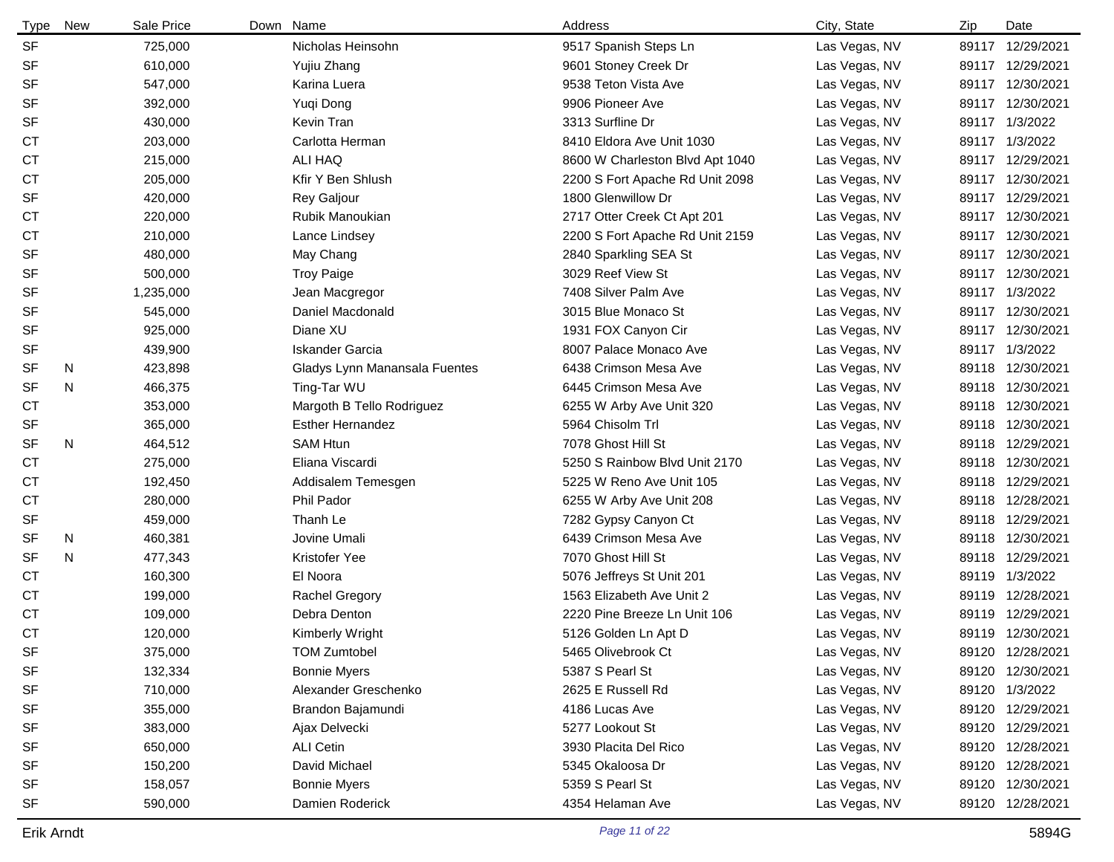| <b>Type</b> | New | Sale Price | Down | Name                          | Address                         | City, State   | Zip   | Date             |
|-------------|-----|------------|------|-------------------------------|---------------------------------|---------------|-------|------------------|
| <b>SF</b>   |     | 725,000    |      | Nicholas Heinsohn             | 9517 Spanish Steps Ln           | Las Vegas, NV |       | 89117 12/29/2021 |
| <b>SF</b>   |     | 610,000    |      | Yujiu Zhang                   | 9601 Stoney Creek Dr            | Las Vegas, NV |       | 89117 12/29/2021 |
| <b>SF</b>   |     | 547,000    |      | Karina Luera                  | 9538 Teton Vista Ave            | Las Vegas, NV |       | 89117 12/30/2021 |
| <b>SF</b>   |     | 392,000    |      | Yuqi Dong                     | 9906 Pioneer Ave                | Las Vegas, NV |       | 89117 12/30/2021 |
| <b>SF</b>   |     | 430,000    |      | Kevin Tran                    | 3313 Surfline Dr                | Las Vegas, NV |       | 89117 1/3/2022   |
| <b>CT</b>   |     | 203,000    |      | Carlotta Herman               | 8410 Eldora Ave Unit 1030       | Las Vegas, NV |       | 89117 1/3/2022   |
| <b>CT</b>   |     | 215,000    |      | ALI HAQ                       | 8600 W Charleston Blvd Apt 1040 | Las Vegas, NV |       | 89117 12/29/2021 |
| <b>CT</b>   |     | 205,000    |      | Kfir Y Ben Shlush             | 2200 S Fort Apache Rd Unit 2098 | Las Vegas, NV |       | 89117 12/30/2021 |
| <b>SF</b>   |     | 420,000    |      | Rey Galjour                   | 1800 Glenwillow Dr              | Las Vegas, NV |       | 89117 12/29/2021 |
| <b>CT</b>   |     | 220,000    |      | Rubik Manoukian               | 2717 Otter Creek Ct Apt 201     | Las Vegas, NV |       | 89117 12/30/2021 |
| <b>CT</b>   |     | 210,000    |      | Lance Lindsey                 | 2200 S Fort Apache Rd Unit 2159 | Las Vegas, NV |       | 89117 12/30/2021 |
| <b>SF</b>   |     | 480,000    |      | May Chang                     | 2840 Sparkling SEA St           | Las Vegas, NV |       | 89117 12/30/2021 |
| <b>SF</b>   |     | 500,000    |      | <b>Troy Paige</b>             | 3029 Reef View St               | Las Vegas, NV |       | 89117 12/30/2021 |
| <b>SF</b>   |     | 1,235,000  |      | Jean Macgregor                | 7408 Silver Palm Ave            | Las Vegas, NV |       | 89117 1/3/2022   |
| <b>SF</b>   |     | 545,000    |      | Daniel Macdonald              | 3015 Blue Monaco St             | Las Vegas, NV |       | 89117 12/30/2021 |
| <b>SF</b>   |     | 925,000    |      | Diane XU                      | 1931 FOX Canyon Cir             | Las Vegas, NV |       | 89117 12/30/2021 |
| <b>SF</b>   |     | 439,900    |      | <b>Iskander Garcia</b>        | 8007 Palace Monaco Ave          | Las Vegas, NV |       | 89117 1/3/2022   |
| <b>SF</b>   | N   | 423,898    |      | Gladys Lynn Manansala Fuentes | 6438 Crimson Mesa Ave           | Las Vegas, NV |       | 89118 12/30/2021 |
| <b>SF</b>   | N   | 466,375    |      | Ting-Tar WU                   | 6445 Crimson Mesa Ave           | Las Vegas, NV |       | 89118 12/30/2021 |
| СT          |     | 353,000    |      | Margoth B Tello Rodriguez     | 6255 W Arby Ave Unit 320        | Las Vegas, NV |       | 89118 12/30/2021 |
| SF          |     | 365,000    |      | <b>Esther Hernandez</b>       | 5964 Chisolm Trl                | Las Vegas, NV | 89118 | 12/30/2021       |
| <b>SF</b>   | N   | 464,512    |      | <b>SAM Htun</b>               | 7078 Ghost Hill St              | Las Vegas, NV | 89118 | 12/29/2021       |
| <b>CT</b>   |     | 275,000    |      | Eliana Viscardi               | 5250 S Rainbow Blvd Unit 2170   | Las Vegas, NV | 89118 | 12/30/2021       |
| СT          |     | 192,450    |      | Addisalem Temesgen            | 5225 W Reno Ave Unit 105        | Las Vegas, NV |       | 89118 12/29/2021 |
| <b>CT</b>   |     | 280,000    |      | Phil Pador                    | 6255 W Arby Ave Unit 208        | Las Vegas, NV |       | 89118 12/28/2021 |
| <b>SF</b>   |     | 459,000    |      | Thanh Le                      | 7282 Gypsy Canyon Ct            | Las Vegas, NV | 89118 | 12/29/2021       |
| <b>SF</b>   | N   | 460,381    |      | Jovine Umali                  | 6439 Crimson Mesa Ave           | Las Vegas, NV |       | 89118 12/30/2021 |
| SF          | N   | 477,343    |      | Kristofer Yee                 | 7070 Ghost Hill St              | Las Vegas, NV |       | 89118 12/29/2021 |
| <b>CT</b>   |     | 160,300    |      | El Noora                      | 5076 Jeffreys St Unit 201       | Las Vegas, NV |       | 89119 1/3/2022   |
| СT          |     | 199,000    |      | <b>Rachel Gregory</b>         | 1563 Elizabeth Ave Unit 2       | Las Vegas, NV |       | 89119 12/28/2021 |
| <b>CT</b>   |     | 109,000    |      | Debra Denton                  | 2220 Pine Breeze Ln Unit 106    | Las Vegas, NV |       | 89119 12/29/2021 |
| <b>CT</b>   |     | 120,000    |      | Kimberly Wright               | 5126 Golden Ln Apt D            | Las Vegas, NV |       | 89119 12/30/2021 |
| SF          |     | 375,000    |      | TOM Zumtobel                  | 5465 Olivebrook Ct              | Las Vegas, NV |       | 89120 12/28/2021 |
| <b>SF</b>   |     | 132,334    |      | <b>Bonnie Myers</b>           | 5387 S Pearl St                 | Las Vegas, NV |       | 89120 12/30/2021 |
| <b>SF</b>   |     | 710,000    |      | Alexander Greschenko          | 2625 E Russell Rd               | Las Vegas, NV |       | 89120 1/3/2022   |
| SF          |     | 355,000    |      | Brandon Bajamundi             | 4186 Lucas Ave                  | Las Vegas, NV |       | 89120 12/29/2021 |
| <b>SF</b>   |     | 383,000    |      | Ajax Delvecki                 | 5277 Lookout St                 | Las Vegas, NV |       | 89120 12/29/2021 |
| <b>SF</b>   |     | 650,000    |      | ALI Cetin                     | 3930 Placita Del Rico           | Las Vegas, NV |       | 89120 12/28/2021 |
| <b>SF</b>   |     | 150,200    |      | David Michael                 | 5345 Okaloosa Dr                | Las Vegas, NV |       | 89120 12/28/2021 |
| <b>SF</b>   |     | 158,057    |      | <b>Bonnie Myers</b>           | 5359 S Pearl St                 | Las Vegas, NV |       | 89120 12/30/2021 |
| <b>SF</b>   |     | 590,000    |      | Damien Roderick               | 4354 Helaman Ave                | Las Vegas, NV |       | 89120 12/28/2021 |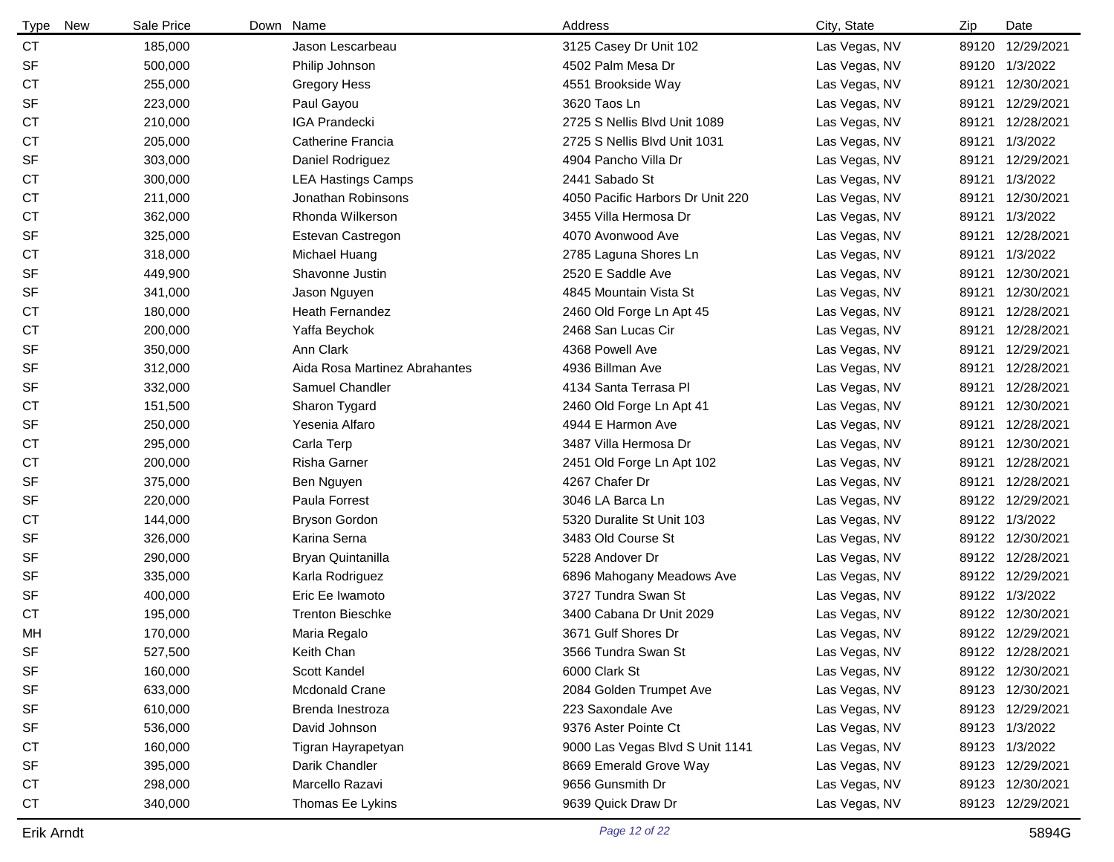| New<br>Type | Sale Price | Down Name                     | Address                          | City, State   | Zip   | Date             |
|-------------|------------|-------------------------------|----------------------------------|---------------|-------|------------------|
| <b>CT</b>   | 185,000    | Jason Lescarbeau              | 3125 Casey Dr Unit 102           | Las Vegas, NV | 89120 | 12/29/2021       |
| <b>SF</b>   | 500,000    | Philip Johnson                | 4502 Palm Mesa Dr                | Las Vegas, NV | 89120 | 1/3/2022         |
| <b>CT</b>   | 255,000    | <b>Gregory Hess</b>           | 4551 Brookside Way               | Las Vegas, NV | 89121 | 12/30/2021       |
| <b>SF</b>   | 223,000    | Paul Gayou                    | 3620 Taos Ln                     | Las Vegas, NV | 89121 | 12/29/2021       |
| <b>CT</b>   | 210,000    | <b>IGA Prandecki</b>          | 2725 S Nellis Blvd Unit 1089     | Las Vegas, NV | 89121 | 12/28/2021       |
| <b>CT</b>   | 205,000    | Catherine Francia             | 2725 S Nellis Blvd Unit 1031     | Las Vegas, NV | 89121 | 1/3/2022         |
| <b>SF</b>   | 303,000    | Daniel Rodriguez              | 4904 Pancho Villa Dr             | Las Vegas, NV | 89121 | 12/29/2021       |
| <b>CT</b>   | 300,000    | <b>LEA Hastings Camps</b>     | 2441 Sabado St                   | Las Vegas, NV | 89121 | 1/3/2022         |
| <b>CT</b>   | 211,000    | Jonathan Robinsons            | 4050 Pacific Harbors Dr Unit 220 | Las Vegas, NV | 89121 | 12/30/2021       |
| <b>CT</b>   | 362,000    | Rhonda Wilkerson              | 3455 Villa Hermosa Dr            | Las Vegas, NV | 89121 | 1/3/2022         |
| <b>SF</b>   | 325,000    | Estevan Castregon             | 4070 Avonwood Ave                | Las Vegas, NV | 89121 | 12/28/2021       |
| <b>CT</b>   | 318,000    | Michael Huang                 | 2785 Laguna Shores Ln            | Las Vegas, NV | 89121 | 1/3/2022         |
| <b>SF</b>   | 449,900    | Shavonne Justin               | 2520 E Saddle Ave                | Las Vegas, NV | 89121 | 12/30/2021       |
| <b>SF</b>   | 341,000    | Jason Nguyen                  | 4845 Mountain Vista St           | Las Vegas, NV | 89121 | 12/30/2021       |
| <b>CT</b>   | 180,000    | Heath Fernandez               | 2460 Old Forge Ln Apt 45         | Las Vegas, NV | 89121 | 12/28/2021       |
| СT          | 200,000    | Yaffa Beychok                 | 2468 San Lucas Cir               | Las Vegas, NV | 89121 | 12/28/2021       |
| <b>SF</b>   | 350,000    | Ann Clark                     | 4368 Powell Ave                  | Las Vegas, NV | 89121 | 12/29/2021       |
| <b>SF</b>   | 312,000    | Aida Rosa Martinez Abrahantes | 4936 Billman Ave                 | Las Vegas, NV | 89121 | 12/28/2021       |
| <b>SF</b>   | 332,000    | Samuel Chandler               | 4134 Santa Terrasa Pl            | Las Vegas, NV | 89121 | 12/28/2021       |
| <b>CT</b>   | 151,500    | Sharon Tygard                 | 2460 Old Forge Ln Apt 41         | Las Vegas, NV | 89121 | 12/30/2021       |
| <b>SF</b>   | 250,000    | Yesenia Alfaro                | 4944 E Harmon Ave                | Las Vegas, NV | 89121 | 12/28/2021       |
| <b>CT</b>   | 295,000    | Carla Terp                    | 3487 Villa Hermosa Dr            | Las Vegas, NV | 89121 | 12/30/2021       |
| <b>CT</b>   | 200,000    | Risha Garner                  | 2451 Old Forge Ln Apt 102        | Las Vegas, NV | 89121 | 12/28/2021       |
| SF          | 375,000    | Ben Nguyen                    | 4267 Chafer Dr                   | Las Vegas, NV | 89121 | 12/28/2021       |
| <b>SF</b>   | 220,000    | Paula Forrest                 | 3046 LA Barca Ln                 | Las Vegas, NV |       | 89122 12/29/2021 |
| <b>CT</b>   | 144,000    | <b>Bryson Gordon</b>          | 5320 Duralite St Unit 103        | Las Vegas, NV |       | 89122 1/3/2022   |
| <b>SF</b>   | 326,000    | Karina Serna                  | 3483 Old Course St               | Las Vegas, NV |       | 89122 12/30/2021 |
| <b>SF</b>   | 290,000    | Bryan Quintanilla             | 5228 Andover Dr                  | Las Vegas, NV |       | 89122 12/28/2021 |
| <b>SF</b>   | 335,000    | Karla Rodriguez               | 6896 Mahogany Meadows Ave        | Las Vegas, NV |       | 89122 12/29/2021 |
| SF          | 400,000    | Eric Ee Iwamoto               | 3727 Tundra Swan St              | Las Vegas, NV |       | 89122 1/3/2022   |
| <b>CT</b>   | 195,000    | <b>Trenton Bieschke</b>       | 3400 Cabana Dr Unit 2029         | Las Vegas, NV |       | 89122 12/30/2021 |
| MН          | 170,000    | Maria Regalo                  | 3671 Gulf Shores Dr              | Las Vegas, NV |       | 89122 12/29/2021 |
| SF          | 527,500    | Keith Chan                    | 3566 Tundra Swan St              | Las Vegas, NV |       | 89122 12/28/2021 |
| SF          | 160,000    | Scott Kandel                  | 6000 Clark St                    | Las Vegas, NV |       | 89122 12/30/2021 |
| SF          | 633,000    | Mcdonald Crane                | 2084 Golden Trumpet Ave          | Las Vegas, NV |       | 89123 12/30/2021 |
| SF          | 610,000    | Brenda Inestroza              | 223 Saxondale Ave                | Las Vegas, NV |       | 89123 12/29/2021 |
| SF          | 536,000    | David Johnson                 | 9376 Aster Pointe Ct             | Las Vegas, NV |       | 89123 1/3/2022   |
| <b>CT</b>   | 160,000    | Tigran Hayrapetyan            | 9000 Las Vegas Blvd S Unit 1141  | Las Vegas, NV |       | 89123 1/3/2022   |
| <b>SF</b>   | 395,000    | Darik Chandler                | 8669 Emerald Grove Way           | Las Vegas, NV |       | 89123 12/29/2021 |
| <b>CT</b>   | 298,000    | Marcello Razavi               | 9656 Gunsmith Dr                 | Las Vegas, NV |       | 89123 12/30/2021 |
| <b>CT</b>   | 340,000    | Thomas Ee Lykins              | 9639 Quick Draw Dr               | Las Vegas, NV |       | 89123 12/29/2021 |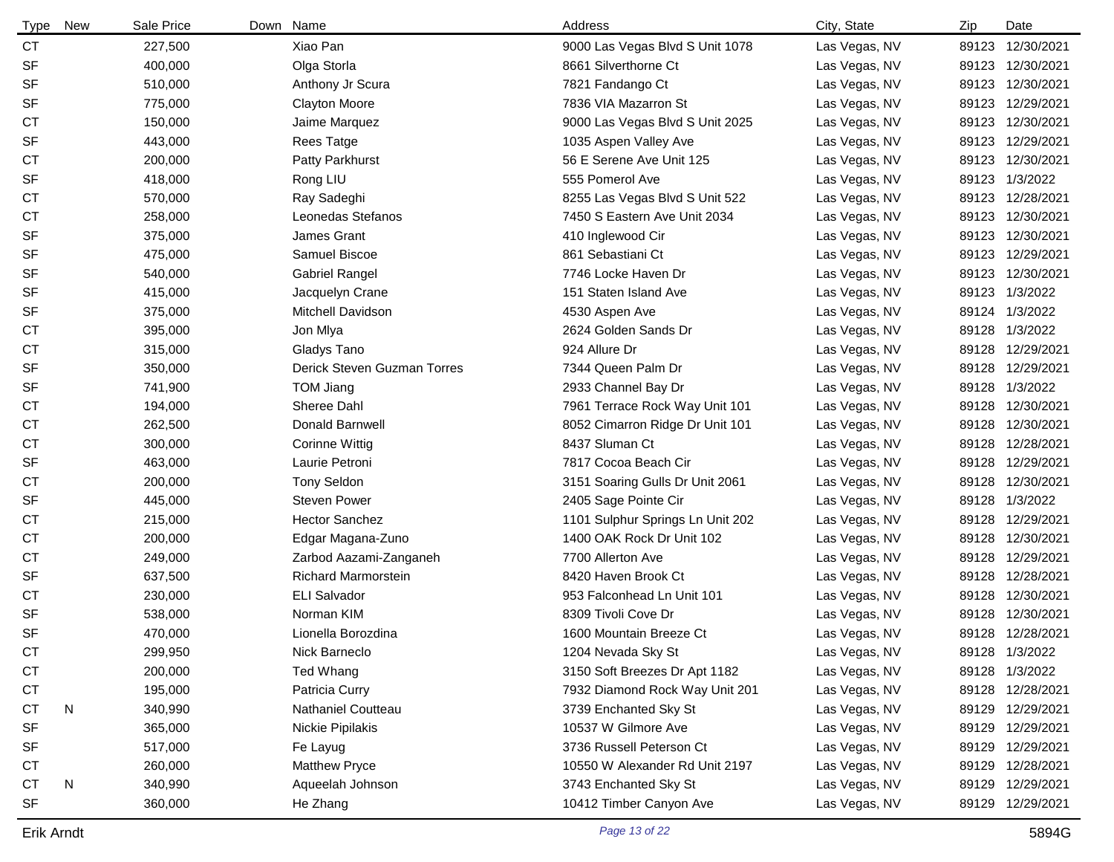| Type      | New | Sale Price | Down | Name                        | Address                          | City, State   | Zip   | Date             |
|-----------|-----|------------|------|-----------------------------|----------------------------------|---------------|-------|------------------|
| <b>CT</b> |     | 227,500    |      | Xiao Pan                    | 9000 Las Vegas Blvd S Unit 1078  | Las Vegas, NV | 89123 | 12/30/2021       |
| <b>SF</b> |     | 400,000    |      | Olga Storla                 | 8661 Silverthorne Ct             | Las Vegas, NV |       | 89123 12/30/2021 |
| <b>SF</b> |     | 510,000    |      | Anthony Jr Scura            | 7821 Fandango Ct                 | Las Vegas, NV |       | 89123 12/30/2021 |
| <b>SF</b> |     | 775,000    |      | <b>Clayton Moore</b>        | 7836 VIA Mazarron St             | Las Vegas, NV |       | 89123 12/29/2021 |
| <b>CT</b> |     | 150,000    |      | Jaime Marquez               | 9000 Las Vegas Blvd S Unit 2025  | Las Vegas, NV | 89123 | 12/30/2021       |
| <b>SF</b> |     | 443,000    |      | <b>Rees Tatge</b>           | 1035 Aspen Valley Ave            | Las Vegas, NV |       | 89123 12/29/2021 |
| <b>CT</b> |     | 200,000    |      | Patty Parkhurst             | 56 E Serene Ave Unit 125         | Las Vegas, NV |       | 89123 12/30/2021 |
| <b>SF</b> |     | 418,000    |      | Rong LIU                    | 555 Pomerol Ave                  | Las Vegas, NV |       | 89123 1/3/2022   |
| <b>CT</b> |     | 570,000    |      | Ray Sadeghi                 | 8255 Las Vegas Blvd S Unit 522   | Las Vegas, NV |       | 89123 12/28/2021 |
| <b>CT</b> |     | 258,000    |      | Leonedas Stefanos           | 7450 S Eastern Ave Unit 2034     | Las Vegas, NV |       | 89123 12/30/2021 |
| <b>SF</b> |     | 375,000    |      | James Grant                 | 410 Inglewood Cir                | Las Vegas, NV |       | 89123 12/30/2021 |
| <b>SF</b> |     | 475,000    |      | Samuel Biscoe               | 861 Sebastiani Ct                | Las Vegas, NV |       | 89123 12/29/2021 |
| <b>SF</b> |     | 540,000    |      | <b>Gabriel Rangel</b>       | 7746 Locke Haven Dr              | Las Vegas, NV | 89123 | 12/30/2021       |
| <b>SF</b> |     | 415,000    |      | Jacquelyn Crane             | 151 Staten Island Ave            | Las Vegas, NV | 89123 | 1/3/2022         |
| <b>SF</b> |     | 375,000    |      | Mitchell Davidson           | 4530 Aspen Ave                   | Las Vegas, NV |       | 89124 1/3/2022   |
| <b>CT</b> |     | 395,000    |      | Jon Mlya                    | 2624 Golden Sands Dr             | Las Vegas, NV | 89128 | 1/3/2022         |
| <b>CT</b> |     | 315,000    |      | Gladys Tano                 | 924 Allure Dr                    | Las Vegas, NV | 89128 | 12/29/2021       |
| <b>SF</b> |     | 350,000    |      | Derick Steven Guzman Torres | 7344 Queen Palm Dr               | Las Vegas, NV | 89128 | 12/29/2021       |
| <b>SF</b> |     | 741,900    |      | <b>TOM Jiang</b>            | 2933 Channel Bay Dr              | Las Vegas, NV | 89128 | 1/3/2022         |
| СT        |     | 194,000    |      | Sheree Dahl                 | 7961 Terrace Rock Way Unit 101   | Las Vegas, NV | 89128 | 12/30/2021       |
| СT        |     | 262,500    |      | Donald Barnwell             | 8052 Cimarron Ridge Dr Unit 101  | Las Vegas, NV | 89128 | 12/30/2021       |
| <b>CT</b> |     | 300,000    |      | Corinne Wittig              | 8437 Sluman Ct                   | Las Vegas, NV | 89128 | 12/28/2021       |
| <b>SF</b> |     | 463,000    |      | Laurie Petroni              | 7817 Cocoa Beach Cir             | Las Vegas, NV | 89128 | 12/29/2021       |
| <b>CT</b> |     | 200,000    |      | <b>Tony Seldon</b>          | 3151 Soaring Gulls Dr Unit 2061  | Las Vegas, NV | 89128 | 12/30/2021       |
| <b>SF</b> |     | 445,000    |      | <b>Steven Power</b>         | 2405 Sage Pointe Cir             | Las Vegas, NV | 89128 | 1/3/2022         |
| СT        |     | 215,000    |      | <b>Hector Sanchez</b>       | 1101 Sulphur Springs Ln Unit 202 | Las Vegas, NV | 89128 | 12/29/2021       |
| <b>CT</b> |     | 200,000    |      | Edgar Magana-Zuno           | 1400 OAK Rock Dr Unit 102        | Las Vegas, NV | 89128 | 12/30/2021       |
| <b>CT</b> |     | 249,000    |      | Zarbod Aazami-Zanganeh      | 7700 Allerton Ave                | Las Vegas, NV | 89128 | 12/29/2021       |
| <b>SF</b> |     | 637,500    |      | <b>Richard Marmorstein</b>  | 8420 Haven Brook Ct              | Las Vegas, NV | 89128 | 12/28/2021       |
| <b>CT</b> |     | 230,000    |      | <b>ELI Salvador</b>         | 953 Falconhead Ln Unit 101       | Las Vegas, NV | 89128 | 12/30/2021       |
| <b>SF</b> |     | 538,000    |      | Norman KIM                  | 8309 Tivoli Cove Dr              | Las Vegas, NV | 89128 | 12/30/2021       |
| <b>SF</b> |     | 470,000    |      | Lionella Borozdina          | 1600 Mountain Breeze Ct          | Las Vegas, NV |       | 89128 12/28/2021 |
| СT        |     | 299,950    |      | Nick Barneclo               | 1204 Nevada Sky St               | Las Vegas, NV |       | 89128 1/3/2022   |
| <b>CT</b> |     | 200,000    |      | <b>Ted Whang</b>            | 3150 Soft Breezes Dr Apt 1182    | Las Vegas, NV |       | 89128 1/3/2022   |
| <b>CT</b> |     | 195,000    |      | Patricia Curry              | 7932 Diamond Rock Way Unit 201   | Las Vegas, NV |       | 89128 12/28/2021 |
| <b>CT</b> | N   | 340,990    |      | Nathaniel Coutteau          | 3739 Enchanted Sky St            | Las Vegas, NV |       | 89129 12/29/2021 |
| <b>SF</b> |     | 365,000    |      | Nickie Pipilakis            | 10537 W Gilmore Ave              | Las Vegas, NV |       | 89129 12/29/2021 |
| <b>SF</b> |     | 517,000    |      | Fe Layug                    | 3736 Russell Peterson Ct         | Las Vegas, NV |       | 89129 12/29/2021 |
| СT        |     | 260,000    |      | Matthew Pryce               | 10550 W Alexander Rd Unit 2197   | Las Vegas, NV |       | 89129 12/28/2021 |
| <b>CT</b> | N   | 340,990    |      | Aqueelah Johnson            | 3743 Enchanted Sky St            | Las Vegas, NV |       | 89129 12/29/2021 |
| <b>SF</b> |     | 360,000    |      | He Zhang                    | 10412 Timber Canyon Ave          | Las Vegas, NV |       | 89129 12/29/2021 |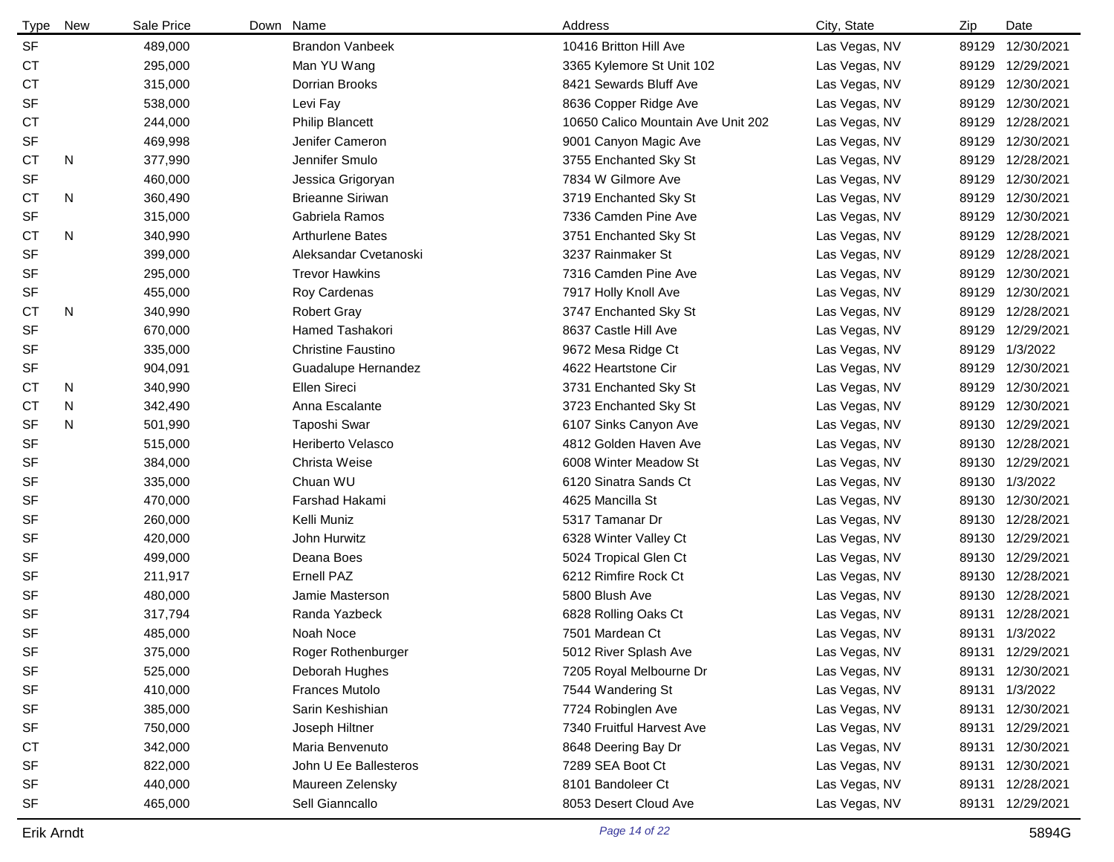| <b>Type</b> | New | Sale Price | Down Name                 | Address                            | City, State   | Zip   | Date             |
|-------------|-----|------------|---------------------------|------------------------------------|---------------|-------|------------------|
| <b>SF</b>   |     | 489,000    | <b>Brandon Vanbeek</b>    | 10416 Britton Hill Ave             | Las Vegas, NV |       | 89129 12/30/2021 |
| <b>CT</b>   |     | 295,000    | Man YU Wang               | 3365 Kylemore St Unit 102          | Las Vegas, NV |       | 89129 12/29/2021 |
| СT          |     | 315,000    | Dorrian Brooks            | 8421 Sewards Bluff Ave             | Las Vegas, NV |       | 89129 12/30/2021 |
| <b>SF</b>   |     | 538,000    | Levi Fay                  | 8636 Copper Ridge Ave              | Las Vegas, NV |       | 89129 12/30/2021 |
| <b>CT</b>   |     | 244,000    | <b>Philip Blancett</b>    | 10650 Calico Mountain Ave Unit 202 | Las Vegas, NV |       | 89129 12/28/2021 |
| <b>SF</b>   |     | 469,998    | Jenifer Cameron           | 9001 Canyon Magic Ave              | Las Vegas, NV | 89129 | 12/30/2021       |
| <b>CT</b>   | N   | 377,990    | Jennifer Smulo            | 3755 Enchanted Sky St              | Las Vegas, NV |       | 89129 12/28/2021 |
| <b>SF</b>   |     | 460,000    | Jessica Grigoryan         | 7834 W Gilmore Ave                 | Las Vegas, NV |       | 89129 12/30/2021 |
| СT          | N   | 360,490    | <b>Brieanne Siriwan</b>   | 3719 Enchanted Sky St              | Las Vegas, NV |       | 89129 12/30/2021 |
| <b>SF</b>   |     | 315,000    | Gabriela Ramos            | 7336 Camden Pine Ave               | Las Vegas, NV |       | 89129 12/30/2021 |
| СT          | N   | 340,990    | <b>Arthurlene Bates</b>   | 3751 Enchanted Sky St              | Las Vegas, NV |       | 89129 12/28/2021 |
| <b>SF</b>   |     | 399,000    | Aleksandar Cvetanoski     | 3237 Rainmaker St                  | Las Vegas, NV |       | 89129 12/28/2021 |
| SF          |     | 295,000    | <b>Trevor Hawkins</b>     | 7316 Camden Pine Ave               | Las Vegas, NV | 89129 | 12/30/2021       |
| <b>SF</b>   |     | 455,000    | Roy Cardenas              | 7917 Holly Knoll Ave               | Las Vegas, NV | 89129 | 12/30/2021       |
| СT          | N   | 340,990    | <b>Robert Gray</b>        | 3747 Enchanted Sky St              | Las Vegas, NV |       | 89129 12/28/2021 |
| <b>SF</b>   |     | 670,000    | Hamed Tashakori           | 8637 Castle Hill Ave               | Las Vegas, NV |       | 89129 12/29/2021 |
| <b>SF</b>   |     | 335,000    | <b>Christine Faustino</b> | 9672 Mesa Ridge Ct                 | Las Vegas, NV |       | 89129 1/3/2022   |
| <b>SF</b>   |     | 904,091    | Guadalupe Hernandez       | 4622 Heartstone Cir                | Las Vegas, NV |       | 89129 12/30/2021 |
| СT          | N   | 340,990    | Ellen Sireci              | 3731 Enchanted Sky St              | Las Vegas, NV |       | 89129 12/30/2021 |
| СT          | N   | 342,490    | Anna Escalante            | 3723 Enchanted Sky St              | Las Vegas, NV |       | 89129 12/30/2021 |
| <b>SF</b>   | N   | 501,990    | Taposhi Swar              | 6107 Sinks Canyon Ave              | Las Vegas, NV |       | 89130 12/29/2021 |
| <b>SF</b>   |     | 515,000    | Heriberto Velasco         | 4812 Golden Haven Ave              | Las Vegas, NV |       | 89130 12/28/2021 |
| <b>SF</b>   |     | 384,000    | Christa Weise             | 6008 Winter Meadow St              | Las Vegas, NV |       | 89130 12/29/2021 |
| <b>SF</b>   |     | 335,000    | Chuan WU                  | 6120 Sinatra Sands Ct              | Las Vegas, NV |       | 89130 1/3/2022   |
| <b>SF</b>   |     | 470,000    | Farshad Hakami            | 4625 Mancilla St                   | Las Vegas, NV |       | 89130 12/30/2021 |
| SF          |     | 260,000    | Kelli Muniz               | 5317 Tamanar Dr                    | Las Vegas, NV |       | 89130 12/28/2021 |
| <b>SF</b>   |     | 420,000    | John Hurwitz              | 6328 Winter Valley Ct              | Las Vegas, NV |       | 89130 12/29/2021 |
| <b>SF</b>   |     | 499,000    | Deana Boes                | 5024 Tropical Glen Ct              | Las Vegas, NV |       | 89130 12/29/2021 |
| <b>SF</b>   |     | 211,917    | Ernell PAZ                | 6212 Rimfire Rock Ct               | Las Vegas, NV |       | 89130 12/28/2021 |
| <b>SF</b>   |     | 480,000    | Jamie Masterson           | 5800 Blush Ave                     | Las Vegas, NV |       | 89130 12/28/2021 |
| <b>SF</b>   |     | 317,794    | Randa Yazbeck             | 6828 Rolling Oaks Ct               | Las Vegas, NV |       | 89131 12/28/2021 |
| <b>SF</b>   |     | 485,000    | Noah Noce                 | 7501 Mardean Ct                    | Las Vegas, NV |       | 89131 1/3/2022   |
| SF          |     | 375,000    | Roger Rothenburger        | 5012 River Splash Ave              | Las Vegas, NV |       | 89131 12/29/2021 |
| SF          |     | 525,000    | Deborah Hughes            | 7205 Royal Melbourne Dr            | Las Vegas, NV |       | 89131 12/30/2021 |
| SF          |     | 410,000    | <b>Frances Mutolo</b>     | 7544 Wandering St                  | Las Vegas, NV |       | 89131 1/3/2022   |
| SF          |     | 385,000    | Sarin Keshishian          | 7724 Robinglen Ave                 | Las Vegas, NV |       | 89131 12/30/2021 |
| SF          |     | 750,000    | Joseph Hiltner            | 7340 Fruitful Harvest Ave          | Las Vegas, NV |       | 89131 12/29/2021 |
| <b>CT</b>   |     | 342,000    | Maria Benvenuto           | 8648 Deering Bay Dr                | Las Vegas, NV |       | 89131 12/30/2021 |
| <b>SF</b>   |     | 822,000    | John U Ee Ballesteros     | 7289 SEA Boot Ct                   | Las Vegas, NV |       | 89131 12/30/2021 |
| SF          |     | 440,000    | Maureen Zelensky          | 8101 Bandoleer Ct                  | Las Vegas, NV |       | 89131 12/28/2021 |
| SF          |     | 465,000    | Sell Gianncallo           | 8053 Desert Cloud Ave              | Las Vegas, NV |       | 89131 12/29/2021 |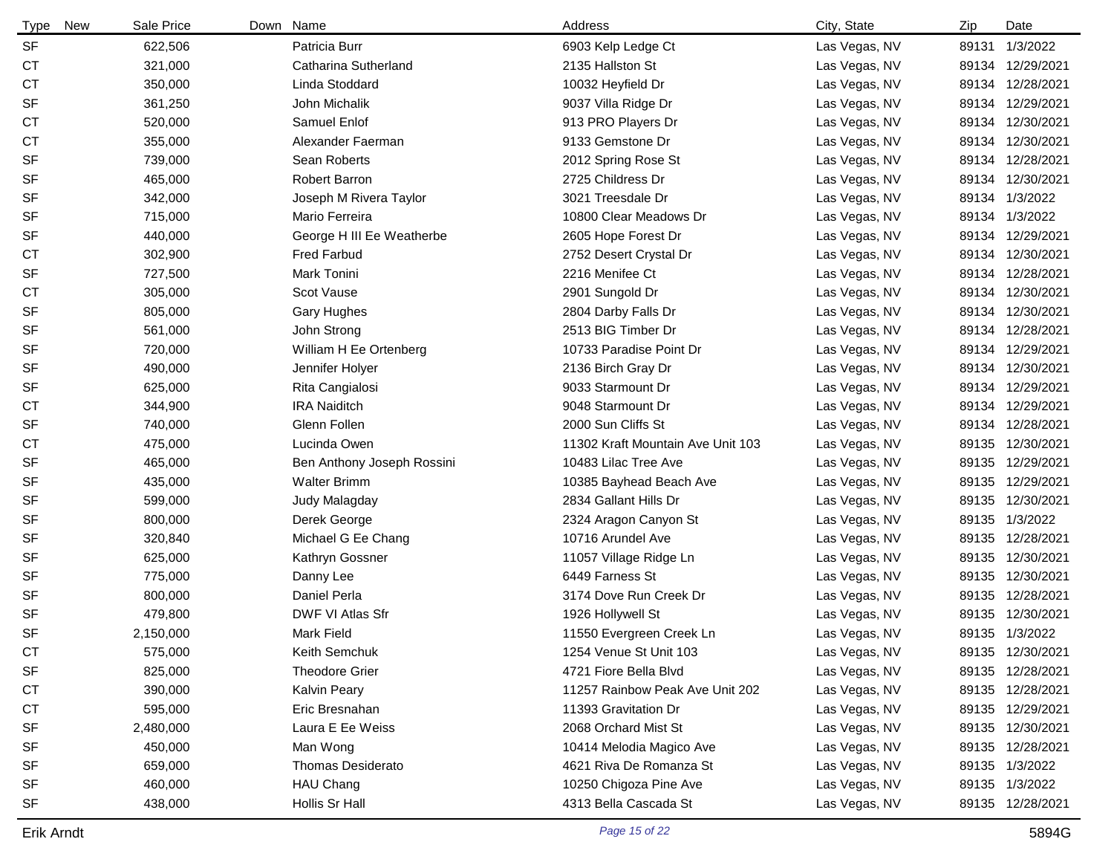| New<br>Type | Sale Price | Down Name                  | Address                           | City, State   | Zip   | Date             |
|-------------|------------|----------------------------|-----------------------------------|---------------|-------|------------------|
| <b>SF</b>   | 622,506    | Patricia Burr              | 6903 Kelp Ledge Ct                | Las Vegas, NV | 89131 | 1/3/2022         |
| <b>CT</b>   | 321,000    | Catharina Sutherland       | 2135 Hallston St                  | Las Vegas, NV |       | 89134 12/29/2021 |
| <b>CT</b>   | 350,000    | Linda Stoddard             | 10032 Heyfield Dr                 | Las Vegas, NV |       | 89134 12/28/2021 |
| <b>SF</b>   | 361,250    | John Michalik              | 9037 Villa Ridge Dr               | Las Vegas, NV |       | 89134 12/29/2021 |
| <b>CT</b>   | 520,000    | Samuel Enlof               | 913 PRO Players Dr                | Las Vegas, NV |       | 89134 12/30/2021 |
| <b>CT</b>   | 355,000    | Alexander Faerman          | 9133 Gemstone Dr                  | Las Vegas, NV |       | 89134 12/30/2021 |
| <b>SF</b>   | 739,000    | Sean Roberts               | 2012 Spring Rose St               | Las Vegas, NV |       | 89134 12/28/2021 |
| <b>SF</b>   | 465,000    | Robert Barron              | 2725 Childress Dr                 | Las Vegas, NV |       | 89134 12/30/2021 |
| <b>SF</b>   | 342,000    | Joseph M Rivera Taylor     | 3021 Treesdale Dr                 | Las Vegas, NV |       | 89134 1/3/2022   |
| <b>SF</b>   | 715,000    | Mario Ferreira             | 10800 Clear Meadows Dr            | Las Vegas, NV |       | 89134 1/3/2022   |
| <b>SF</b>   | 440,000    | George H III Ee Weatherbe  | 2605 Hope Forest Dr               | Las Vegas, NV |       | 89134 12/29/2021 |
| <b>CT</b>   | 302,900    | <b>Fred Farbud</b>         | 2752 Desert Crystal Dr            | Las Vegas, NV |       | 89134 12/30/2021 |
| <b>SF</b>   | 727,500    | Mark Tonini                | 2216 Menifee Ct                   | Las Vegas, NV |       | 89134 12/28/2021 |
| СT          | 305,000    | Scot Vause                 | 2901 Sungold Dr                   | Las Vegas, NV | 89134 | 12/30/2021       |
| <b>SF</b>   | 805,000    | <b>Gary Hughes</b>         | 2804 Darby Falls Dr               | Las Vegas, NV |       | 89134 12/30/2021 |
| <b>SF</b>   | 561,000    | John Strong                | 2513 BIG Timber Dr                | Las Vegas, NV |       | 89134 12/28/2021 |
| <b>SF</b>   | 720,000    | William H Ee Ortenberg     | 10733 Paradise Point Dr           | Las Vegas, NV |       | 89134 12/29/2021 |
| <b>SF</b>   | 490,000    | Jennifer Holyer            | 2136 Birch Gray Dr                | Las Vegas, NV | 89134 | 12/30/2021       |
| <b>SF</b>   | 625,000    | Rita Cangialosi            | 9033 Starmount Dr                 | Las Vegas, NV |       | 89134 12/29/2021 |
| <b>CT</b>   | 344,900    | <b>IRA Naiditch</b>        | 9048 Starmount Dr                 | Las Vegas, NV |       | 89134 12/29/2021 |
| <b>SF</b>   | 740,000    | Glenn Follen               | 2000 Sun Cliffs St                | Las Vegas, NV |       | 89134 12/28/2021 |
| <b>CT</b>   | 475,000    | Lucinda Owen               | 11302 Kraft Mountain Ave Unit 103 | Las Vegas, NV |       | 89135 12/30/2021 |
| <b>SF</b>   | 465,000    | Ben Anthony Joseph Rossini | 10483 Lilac Tree Ave              | Las Vegas, NV |       | 89135 12/29/2021 |
| <b>SF</b>   | 435,000    | <b>Walter Brimm</b>        | 10385 Bayhead Beach Ave           | Las Vegas, NV |       | 89135 12/29/2021 |
| <b>SF</b>   | 599,000    | Judy Malagday              | 2834 Gallant Hills Dr             | Las Vegas, NV |       | 89135 12/30/2021 |
| SF          | 800,000    | Derek George               | 2324 Aragon Canyon St             | Las Vegas, NV |       | 89135 1/3/2022   |
| <b>SF</b>   | 320,840    | Michael G Ee Chang         | 10716 Arundel Ave                 | Las Vegas, NV |       | 89135 12/28/2021 |
| <b>SF</b>   | 625,000    | Kathryn Gossner            | 11057 Village Ridge Ln            | Las Vegas, NV |       | 89135 12/30/2021 |
| <b>SF</b>   | 775,000    | Danny Lee                  | 6449 Farness St                   | Las Vegas, NV |       | 89135 12/30/2021 |
| <b>SF</b>   | 800,000    | Daniel Perla               | 3174 Dove Run Creek Dr            | Las Vegas, NV |       | 89135 12/28/2021 |
| <b>SF</b>   | 479,800    | DWF VI Atlas Sfr           | 1926 Hollywell St                 | Las Vegas, NV |       | 89135 12/30/2021 |
| <b>SF</b>   | 2,150,000  | <b>Mark Field</b>          | 11550 Evergreen Creek Ln          | Las Vegas, NV |       | 89135 1/3/2022   |
| CT          | 575,000    | Keith Semchuk              | 1254 Venue St Unit 103            | Las Vegas, NV |       | 89135 12/30/2021 |
| <b>SF</b>   | 825,000    | <b>Theodore Grier</b>      | 4721 Fiore Bella Blvd             | Las Vegas, NV |       | 89135 12/28/2021 |
| <b>CT</b>   | 390,000    | Kalvin Peary               | 11257 Rainbow Peak Ave Unit 202   | Las Vegas, NV |       | 89135 12/28/2021 |
| <b>CT</b>   | 595,000    | Eric Bresnahan             | 11393 Gravitation Dr              | Las Vegas, NV |       | 89135 12/29/2021 |
| <b>SF</b>   | 2,480,000  | Laura E Ee Weiss           | 2068 Orchard Mist St              | Las Vegas, NV |       | 89135 12/30/2021 |
| SF          | 450,000    | Man Wong                   | 10414 Melodia Magico Ave          | Las Vegas, NV |       | 89135 12/28/2021 |
| <b>SF</b>   | 659,000    | <b>Thomas Desiderato</b>   | 4621 Riva De Romanza St           | Las Vegas, NV |       | 89135 1/3/2022   |
| <b>SF</b>   | 460,000    | HAU Chang                  | 10250 Chigoza Pine Ave            | Las Vegas, NV |       | 89135 1/3/2022   |
| <b>SF</b>   | 438,000    | Hollis Sr Hall             | 4313 Bella Cascada St             | Las Vegas, NV |       | 89135 12/28/2021 |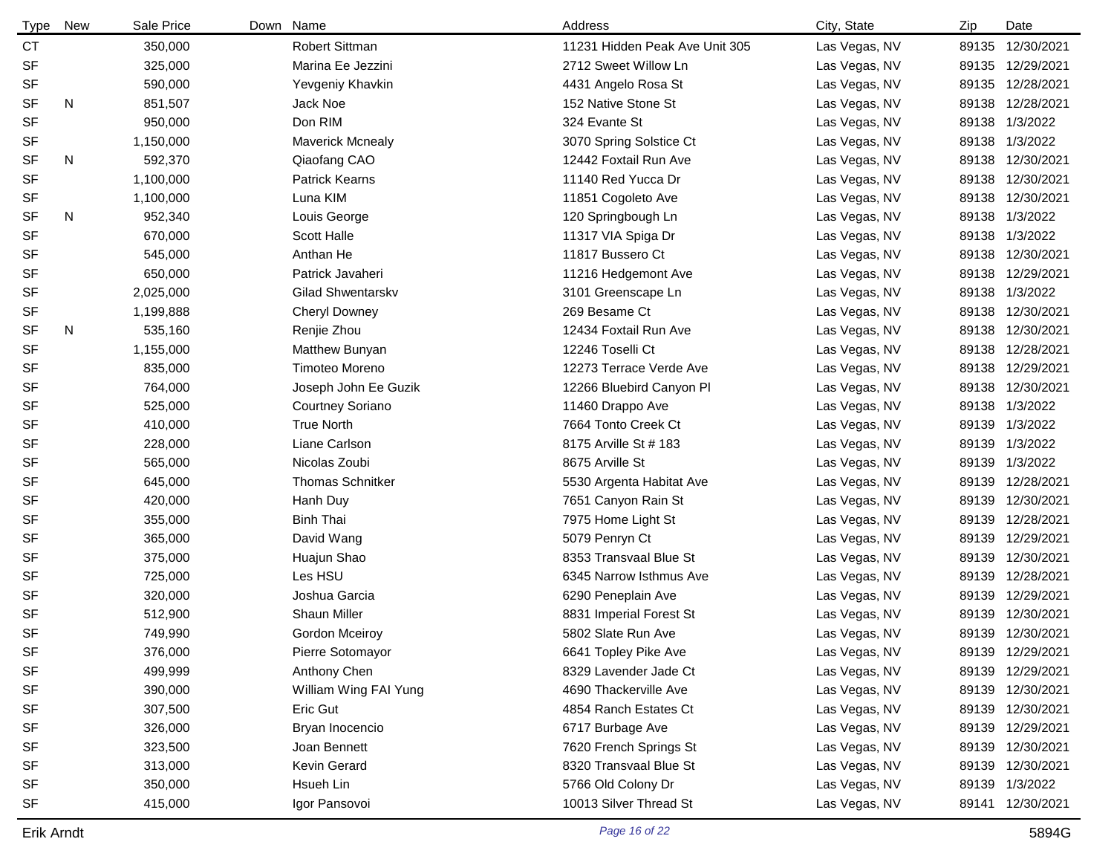| <b>Type</b> | New | Sale Price | Down | Name                    | Address                        | City, State   | Zip   | Date             |
|-------------|-----|------------|------|-------------------------|--------------------------------|---------------|-------|------------------|
| <b>CT</b>   |     | 350,000    |      | <b>Robert Sittman</b>   | 11231 Hidden Peak Ave Unit 305 | Las Vegas, NV | 89135 | 12/30/2021       |
| SF          |     | 325,000    |      | Marina Ee Jezzini       | 2712 Sweet Willow Ln           | Las Vegas, NV |       | 89135 12/29/2021 |
| <b>SF</b>   |     | 590,000    |      | Yevgeniy Khavkin        | 4431 Angelo Rosa St            | Las Vegas, NV |       | 89135 12/28/2021 |
| <b>SF</b>   | N   | 851,507    |      | Jack Noe                | 152 Native Stone St            | Las Vegas, NV |       | 89138 12/28/2021 |
| <b>SF</b>   |     | 950,000    |      | Don RIM                 | 324 Evante St                  | Las Vegas, NV | 89138 | 1/3/2022         |
| <b>SF</b>   |     | 1,150,000  |      | <b>Maverick Mcnealy</b> | 3070 Spring Solstice Ct        | Las Vegas, NV | 89138 | 1/3/2022         |
| <b>SF</b>   | N   | 592,370    |      | Qiaofang CAO            | 12442 Foxtail Run Ave          | Las Vegas, NV | 89138 | 12/30/2021       |
| <b>SF</b>   |     | 1,100,000  |      | <b>Patrick Kearns</b>   | 11140 Red Yucca Dr             | Las Vegas, NV |       | 89138 12/30/2021 |
| <b>SF</b>   |     | 1,100,000  |      | Luna KIM                | 11851 Cogoleto Ave             | Las Vegas, NV | 89138 | 12/30/2021       |
| <b>SF</b>   | N   | 952,340    |      | Louis George            | 120 Springbough Ln             | Las Vegas, NV |       | 89138 1/3/2022   |
| <b>SF</b>   |     | 670,000    |      | <b>Scott Halle</b>      | 11317 VIA Spiga Dr             | Las Vegas, NV |       | 89138 1/3/2022   |
| <b>SF</b>   |     | 545,000    |      | Anthan He               | 11817 Bussero Ct               | Las Vegas, NV |       | 89138 12/30/2021 |
| <b>SF</b>   |     | 650,000    |      | Patrick Javaheri        | 11216 Hedgemont Ave            | Las Vegas, NV | 89138 | 12/29/2021       |
| <b>SF</b>   |     | 2,025,000  |      | Gilad Shwentarskv       | 3101 Greenscape Ln             | Las Vegas, NV | 89138 | 1/3/2022         |
| <b>SF</b>   |     | 1,199,888  |      | <b>Cheryl Downey</b>    | 269 Besame Ct                  | Las Vegas, NV |       | 89138 12/30/2021 |
| <b>SF</b>   | N   | 535,160    |      | Renjie Zhou             | 12434 Foxtail Run Ave          | Las Vegas, NV |       | 89138 12/30/2021 |
| <b>SF</b>   |     | 1,155,000  |      | Matthew Bunyan          | 12246 Toselli Ct               | Las Vegas, NV |       | 89138 12/28/2021 |
| <b>SF</b>   |     | 835,000    |      | <b>Timoteo Moreno</b>   | 12273 Terrace Verde Ave        | Las Vegas, NV | 89138 | 12/29/2021       |
| <b>SF</b>   |     | 764,000    |      | Joseph John Ee Guzik    | 12266 Bluebird Canyon Pl       | Las Vegas, NV | 89138 | 12/30/2021       |
| <b>SF</b>   |     | 525,000    |      | <b>Courtney Soriano</b> | 11460 Drappo Ave               | Las Vegas, NV | 89138 | 1/3/2022         |
| <b>SF</b>   |     | 410,000    |      | <b>True North</b>       | 7664 Tonto Creek Ct            | Las Vegas, NV | 89139 | 1/3/2022         |
| <b>SF</b>   |     | 228,000    |      | Liane Carlson           | 8175 Arville St # 183          | Las Vegas, NV | 89139 | 1/3/2022         |
| <b>SF</b>   |     | 565,000    |      | Nicolas Zoubi           | 8675 Arville St                | Las Vegas, NV | 89139 | 1/3/2022         |
| <b>SF</b>   |     | 645,000    |      | <b>Thomas Schnitker</b> | 5530 Argenta Habitat Ave       | Las Vegas, NV | 89139 | 12/28/2021       |
| <b>SF</b>   |     | 420,000    |      | Hanh Duy                | 7651 Canyon Rain St            | Las Vegas, NV | 89139 | 12/30/2021       |
| <b>SF</b>   |     | 355,000    |      | <b>Binh Thai</b>        | 7975 Home Light St             | Las Vegas, NV | 89139 | 12/28/2021       |
| <b>SF</b>   |     | 365,000    |      | David Wang              | 5079 Penryn Ct                 | Las Vegas, NV | 89139 | 12/29/2021       |
| <b>SF</b>   |     | 375,000    |      | Huajun Shao             | 8353 Transvaal Blue St         | Las Vegas, NV | 89139 | 12/30/2021       |
| <b>SF</b>   |     | 725,000    |      | Les HSU                 | 6345 Narrow Isthmus Ave        | Las Vegas, NV | 89139 | 12/28/2021       |
| <b>SF</b>   |     | 320,000    |      | Joshua Garcia           | 6290 Peneplain Ave             | Las Vegas, NV | 89139 | 12/29/2021       |
| <b>SF</b>   |     | 512,900    |      | <b>Shaun Miller</b>     | 8831 Imperial Forest St        | Las Vegas, NV | 89139 | 12/30/2021       |
| <b>SF</b>   |     | 749,990    |      | Gordon Mceiroy          | 5802 Slate Run Ave             | Las Vegas, NV |       | 89139 12/30/2021 |
| SF          |     | 376,000    |      | Pierre Sotomayor        | 6641 Topley Pike Ave           | Las Vegas, NV |       | 89139 12/29/2021 |
| SF          |     | 499,999    |      | Anthony Chen            | 8329 Lavender Jade Ct          | Las Vegas, NV |       | 89139 12/29/2021 |
| SF          |     | 390,000    |      | William Wing FAI Yung   | 4690 Thackerville Ave          | Las Vegas, NV |       | 89139 12/30/2021 |
| SF          |     | 307,500    |      | Eric Gut                | 4854 Ranch Estates Ct          | Las Vegas, NV |       | 89139 12/30/2021 |
| SF          |     | 326,000    |      | Bryan Inocencio         | 6717 Burbage Ave               | Las Vegas, NV |       | 89139 12/29/2021 |
| SF          |     | 323,500    |      | Joan Bennett            | 7620 French Springs St         | Las Vegas, NV |       | 89139 12/30/2021 |
| SF          |     | 313,000    |      | Kevin Gerard            | 8320 Transvaal Blue St         | Las Vegas, NV |       | 89139 12/30/2021 |
| <b>SF</b>   |     | 350,000    |      | Hsueh Lin               | 5766 Old Colony Dr             | Las Vegas, NV |       | 89139 1/3/2022   |
| SF          |     | 415,000    |      | Igor Pansovoi           | 10013 Silver Thread St         | Las Vegas, NV |       | 89141 12/30/2021 |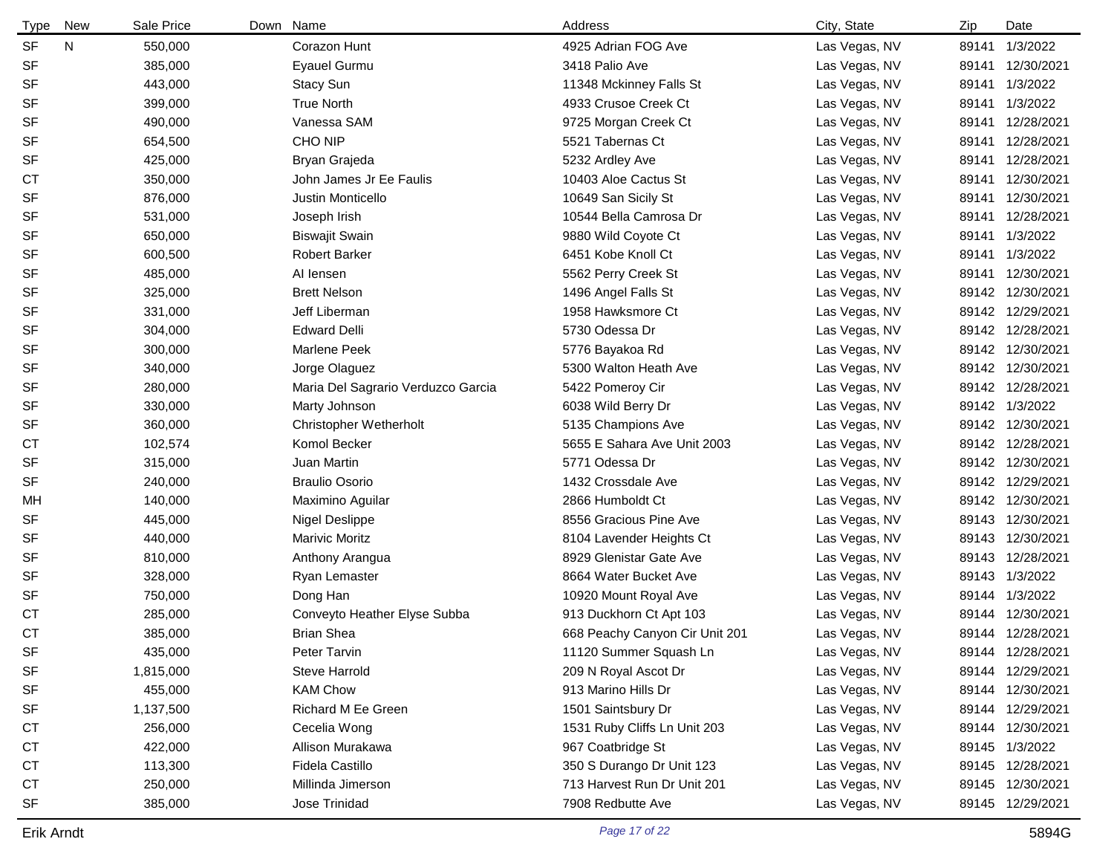| <b>Type</b> | New | Sale Price | Down Name                          | Address                        | City, State   | Zip   | Date             |
|-------------|-----|------------|------------------------------------|--------------------------------|---------------|-------|------------------|
| <b>SF</b>   | N   | 550,000    | Corazon Hunt                       | 4925 Adrian FOG Ave            | Las Vegas, NV | 89141 | 1/3/2022         |
| <b>SF</b>   |     | 385,000    | Eyauel Gurmu                       | 3418 Palio Ave                 | Las Vegas, NV | 89141 | 12/30/2021       |
| <b>SF</b>   |     | 443,000    | Stacy Sun                          | 11348 Mckinney Falls St        | Las Vegas, NV | 89141 | 1/3/2022         |
| <b>SF</b>   |     | 399,000    | <b>True North</b>                  | 4933 Crusoe Creek Ct           | Las Vegas, NV | 89141 | 1/3/2022         |
| <b>SF</b>   |     | 490,000    | Vanessa SAM                        | 9725 Morgan Creek Ct           | Las Vegas, NV | 89141 | 12/28/2021       |
| <b>SF</b>   |     | 654,500    | CHO NIP                            | 5521 Tabernas Ct               | Las Vegas, NV | 89141 | 12/28/2021       |
| <b>SF</b>   |     | 425,000    | Bryan Grajeda                      | 5232 Ardley Ave                | Las Vegas, NV | 89141 | 12/28/2021       |
| <b>CT</b>   |     | 350,000    | John James Jr Ee Faulis            | 10403 Aloe Cactus St           | Las Vegas, NV | 89141 | 12/30/2021       |
| <b>SF</b>   |     | 876,000    | Justin Monticello                  | 10649 San Sicily St            | Las Vegas, NV | 89141 | 12/30/2021       |
| <b>SF</b>   |     | 531,000    | Joseph Irish                       | 10544 Bella Camrosa Dr         | Las Vegas, NV | 89141 | 12/28/2021       |
| <b>SF</b>   |     | 650,000    | <b>Biswajit Swain</b>              | 9880 Wild Coyote Ct            | Las Vegas, NV | 89141 | 1/3/2022         |
| <b>SF</b>   |     | 600,500    | <b>Robert Barker</b>               | 6451 Kobe Knoll Ct             | Las Vegas, NV | 89141 | 1/3/2022         |
| <b>SF</b>   |     | 485,000    | Al lensen                          | 5562 Perry Creek St            | Las Vegas, NV | 89141 | 12/30/2021       |
| <b>SF</b>   |     | 325,000    | <b>Brett Nelson</b>                | 1496 Angel Falls St            | Las Vegas, NV | 89142 | 12/30/2021       |
| <b>SF</b>   |     | 331,000    | Jeff Liberman                      | 1958 Hawksmore Ct              | Las Vegas, NV |       | 89142 12/29/2021 |
| <b>SF</b>   |     | 304,000    | <b>Edward Delli</b>                | 5730 Odessa Dr                 | Las Vegas, NV |       | 89142 12/28/2021 |
| <b>SF</b>   |     | 300,000    | Marlene Peek                       | 5776 Bayakoa Rd                | Las Vegas, NV |       | 89142 12/30/2021 |
| <b>SF</b>   |     | 340,000    | Jorge Olaguez                      | 5300 Walton Heath Ave          | Las Vegas, NV |       | 89142 12/30/2021 |
| <b>SF</b>   |     | 280,000    | Maria Del Sagrario Verduzco Garcia | 5422 Pomeroy Cir               | Las Vegas, NV |       | 89142 12/28/2021 |
| <b>SF</b>   |     | 330,000    | Marty Johnson                      | 6038 Wild Berry Dr             | Las Vegas, NV |       | 89142 1/3/2022   |
| <b>SF</b>   |     | 360,000    | Christopher Wetherholt             | 5135 Champions Ave             | Las Vegas, NV |       | 89142 12/30/2021 |
| <b>CT</b>   |     | 102,574    | Komol Becker                       | 5655 E Sahara Ave Unit 2003    | Las Vegas, NV |       | 89142 12/28/2021 |
| <b>SF</b>   |     | 315,000    | Juan Martin                        | 5771 Odessa Dr                 | Las Vegas, NV |       | 89142 12/30/2021 |
| SF          |     | 240,000    | <b>Braulio Osorio</b>              | 1432 Crossdale Ave             | Las Vegas, NV |       | 89142 12/29/2021 |
| MН          |     | 140,000    | Maximino Aguilar                   | 2866 Humboldt Ct               | Las Vegas, NV |       | 89142 12/30/2021 |
| <b>SF</b>   |     | 445,000    | Nigel Deslippe                     | 8556 Gracious Pine Ave         | Las Vegas, NV | 89143 | 12/30/2021       |
| <b>SF</b>   |     | 440,000    | <b>Marivic Moritz</b>              | 8104 Lavender Heights Ct       | Las Vegas, NV | 89143 | 12/30/2021       |
| <b>SF</b>   |     | 810,000    | Anthony Arangua                    | 8929 Glenistar Gate Ave        | Las Vegas, NV | 89143 | 12/28/2021       |
| <b>SF</b>   |     | 328,000    | Ryan Lemaster                      | 8664 Water Bucket Ave          | Las Vegas, NV |       | 89143 1/3/2022   |
| <b>SF</b>   |     | 750,000    | Dong Han                           | 10920 Mount Royal Ave          | Las Vegas, NV |       | 89144 1/3/2022   |
| <b>CT</b>   |     | 285,000    | Conveyto Heather Elyse Subba       | 913 Duckhorn Ct Apt 103        | Las Vegas, NV |       | 89144 12/30/2021 |
| <b>CT</b>   |     | 385,000    | <b>Brian Shea</b>                  | 668 Peachy Canyon Cir Unit 201 | Las Vegas, NV |       | 89144 12/28/2021 |
| SF          |     | 435,000    | Peter Tarvin                       | 11120 Summer Squash Ln         | Las Vegas, NV |       | 89144 12/28/2021 |
| SF          |     | 1,815,000  | Steve Harrold                      | 209 N Royal Ascot Dr           | Las Vegas, NV |       | 89144 12/29/2021 |
| SF          |     | 455,000    | <b>KAM Chow</b>                    | 913 Marino Hills Dr            | Las Vegas, NV |       | 89144 12/30/2021 |
| SF          |     | 1,137,500  | Richard M Ee Green                 | 1501 Saintsbury Dr             | Las Vegas, NV |       | 89144 12/29/2021 |
| <b>CT</b>   |     | 256,000    | Cecelia Wong                       | 1531 Ruby Cliffs Ln Unit 203   | Las Vegas, NV |       | 89144 12/30/2021 |
| <b>CT</b>   |     | 422,000    | Allison Murakawa                   | 967 Coatbridge St              | Las Vegas, NV |       | 89145 1/3/2022   |
| <b>CT</b>   |     | 113,300    | Fidela Castillo                    | 350 S Durango Dr Unit 123      | Las Vegas, NV |       | 89145 12/28/2021 |
| <b>CT</b>   |     | 250,000    | Millinda Jimerson                  | 713 Harvest Run Dr Unit 201    | Las Vegas, NV |       | 89145 12/30/2021 |
| SF          |     | 385,000    | Jose Trinidad                      | 7908 Redbutte Ave              | Las Vegas, NV |       | 89145 12/29/2021 |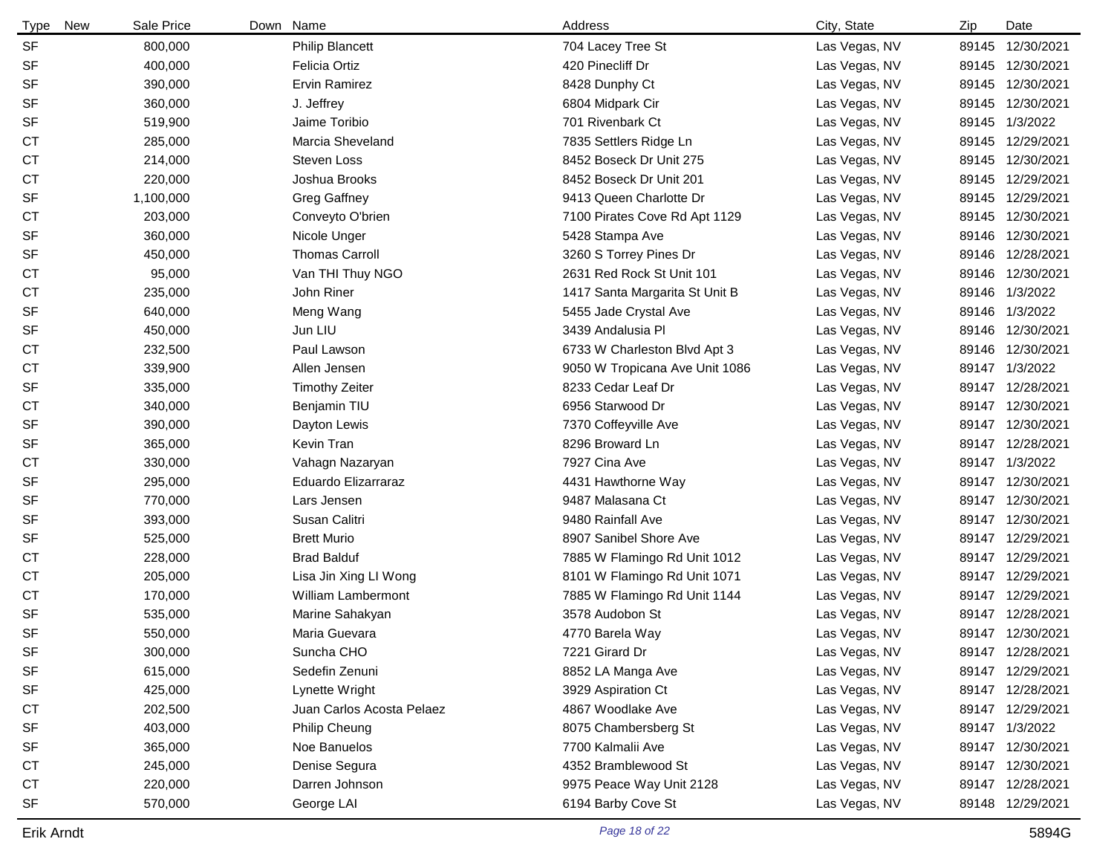| <b>New</b><br>Type | Sale Price | Down Name                 | Address                        | City, State   | Zip   | Date             |
|--------------------|------------|---------------------------|--------------------------------|---------------|-------|------------------|
| <b>SF</b>          | 800,000    | <b>Philip Blancett</b>    | 704 Lacey Tree St              | Las Vegas, NV |       | 89145 12/30/2021 |
| <b>SF</b>          | 400,000    | Felicia Ortiz             | 420 Pinecliff Dr               | Las Vegas, NV | 89145 | 12/30/2021       |
| <b>SF</b>          | 390,000    | <b>Ervin Ramirez</b>      | 8428 Dunphy Ct                 | Las Vegas, NV |       | 89145 12/30/2021 |
| <b>SF</b>          | 360,000    | J. Jeffrey                | 6804 Midpark Cir               | Las Vegas, NV |       | 89145 12/30/2021 |
| <b>SF</b>          | 519,900    | Jaime Toribio             | 701 Rivenbark Ct               | Las Vegas, NV |       | 89145 1/3/2022   |
| СT                 | 285,000    | Marcia Sheveland          | 7835 Settlers Ridge Ln         | Las Vegas, NV | 89145 | 12/29/2021       |
| <b>CT</b>          | 214,000    | <b>Steven Loss</b>        | 8452 Boseck Dr Unit 275        | Las Vegas, NV |       | 89145 12/30/2021 |
| <b>CT</b>          | 220,000    | Joshua Brooks             | 8452 Boseck Dr Unit 201        | Las Vegas, NV |       | 89145 12/29/2021 |
| <b>SF</b>          | 1,100,000  | <b>Greg Gaffney</b>       | 9413 Queen Charlotte Dr        | Las Vegas, NV |       | 89145 12/29/2021 |
| <b>CT</b>          | 203,000    | Conveyto O'brien          | 7100 Pirates Cove Rd Apt 1129  | Las Vegas, NV | 89145 | 12/30/2021       |
| <b>SF</b>          | 360,000    | Nicole Unger              | 5428 Stampa Ave                | Las Vegas, NV | 89146 | 12/30/2021       |
| <b>SF</b>          | 450,000    | <b>Thomas Carroll</b>     | 3260 S Torrey Pines Dr         | Las Vegas, NV |       | 89146 12/28/2021 |
| СT                 | 95,000     | Van THI Thuy NGO          | 2631 Red Rock St Unit 101      | Las Vegas, NV | 89146 | 12/30/2021       |
| <b>CT</b>          | 235,000    | John Riner                | 1417 Santa Margarita St Unit B | Las Vegas, NV | 89146 | 1/3/2022         |
| <b>SF</b>          | 640,000    | Meng Wang                 | 5455 Jade Crystal Ave          | Las Vegas, NV | 89146 | 1/3/2022         |
| <b>SF</b>          | 450,000    | Jun LIU                   | 3439 Andalusia Pl              | Las Vegas, NV | 89146 | 12/30/2021       |
| <b>CT</b>          | 232,500    | Paul Lawson               | 6733 W Charleston Blvd Apt 3   | Las Vegas, NV | 89146 | 12/30/2021       |
| <b>CT</b>          | 339,900    | Allen Jensen              | 9050 W Tropicana Ave Unit 1086 | Las Vegas, NV |       | 89147 1/3/2022   |
| <b>SF</b>          | 335,000    | <b>Timothy Zeiter</b>     | 8233 Cedar Leaf Dr             | Las Vegas, NV |       | 89147 12/28/2021 |
| <b>CT</b>          | 340,000    | Benjamin TIU              | 6956 Starwood Dr               | Las Vegas, NV |       | 89147 12/30/2021 |
| <b>SF</b>          | 390,000    | Dayton Lewis              | 7370 Coffeyville Ave           | Las Vegas, NV |       | 89147 12/30/2021 |
| SF                 | 365,000    | Kevin Tran                | 8296 Broward Ln                | Las Vegas, NV | 89147 | 12/28/2021       |
| <b>CT</b>          | 330,000    | Vahagn Nazaryan           | 7927 Cina Ave                  | Las Vegas, NV |       | 89147 1/3/2022   |
| <b>SF</b>          | 295,000    | Eduardo Elizarraraz       | 4431 Hawthorne Way             | Las Vegas, NV | 89147 | 12/30/2021       |
| <b>SF</b>          | 770,000    | Lars Jensen               | 9487 Malasana Ct               | Las Vegas, NV |       | 89147 12/30/2021 |
| SF                 | 393,000    | Susan Calitri             | 9480 Rainfall Ave              | Las Vegas, NV | 89147 | 12/30/2021       |
| <b>SF</b>          | 525,000    | <b>Brett Murio</b>        | 8907 Sanibel Shore Ave         | Las Vegas, NV |       | 89147 12/29/2021 |
| <b>CT</b>          | 228,000    | <b>Brad Balduf</b>        | 7885 W Flamingo Rd Unit 1012   | Las Vegas, NV |       | 89147 12/29/2021 |
| <b>CT</b>          | 205,000    | Lisa Jin Xing LI Wong     | 8101 W Flamingo Rd Unit 1071   | Las Vegas, NV |       | 89147 12/29/2021 |
| <b>CT</b>          | 170,000    | <b>William Lambermont</b> | 7885 W Flamingo Rd Unit 1144   | Las Vegas, NV |       | 89147 12/29/2021 |
| <b>SF</b>          | 535,000    | Marine Sahakyan           | 3578 Audobon St                | Las Vegas, NV |       | 89147 12/28/2021 |
| <b>SF</b>          | 550,000    | Maria Guevara             | 4770 Barela Way                | Las Vegas, NV |       | 89147 12/30/2021 |
| SF                 | 300,000    | Suncha CHO                | 7221 Girard Dr                 | Las Vegas, NV |       | 89147 12/28/2021 |
| <b>SF</b>          | 615,000    | Sedefin Zenuni            | 8852 LA Manga Ave              | Las Vegas, NV |       | 89147 12/29/2021 |
| <b>SF</b>          | 425,000    | Lynette Wright            | 3929 Aspiration Ct             | Las Vegas, NV |       | 89147 12/28/2021 |
| <b>CT</b>          | 202,500    | Juan Carlos Acosta Pelaez | 4867 Woodlake Ave              | Las Vegas, NV |       | 89147 12/29/2021 |
| <b>SF</b>          | 403,000    | Philip Cheung             | 8075 Chambersberg St           | Las Vegas, NV |       | 89147 1/3/2022   |
| <b>SF</b>          | 365,000    | Noe Banuelos              | 7700 Kalmalii Ave              | Las Vegas, NV |       | 89147 12/30/2021 |
| <b>CT</b>          | 245,000    | Denise Segura             | 4352 Bramblewood St            | Las Vegas, NV |       | 89147 12/30/2021 |
| <b>CT</b>          | 220,000    | Darren Johnson            | 9975 Peace Way Unit 2128       | Las Vegas, NV |       | 89147 12/28/2021 |
| <b>SF</b>          | 570,000    | George LAI                | 6194 Barby Cove St             | Las Vegas, NV |       | 89148 12/29/2021 |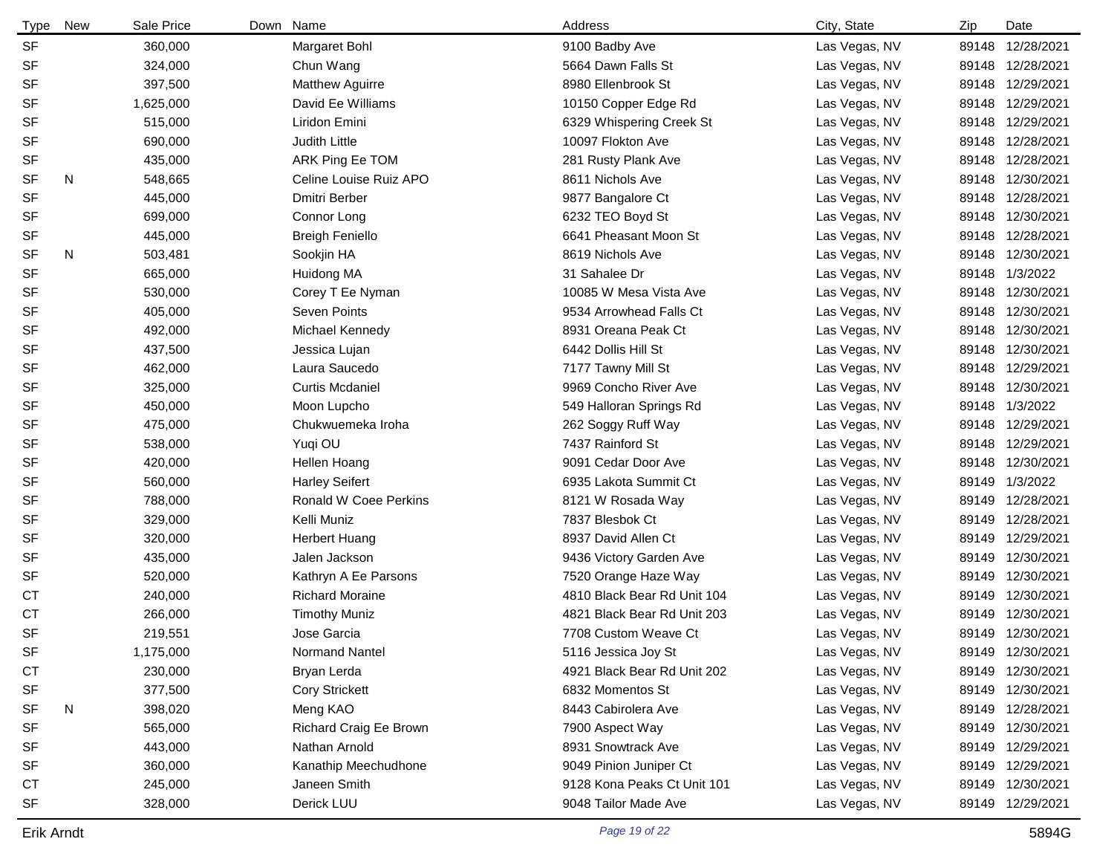| <b>Type</b> | New | Sale Price | Down Name                    | Address                     | City, State   | Zip | Date             |
|-------------|-----|------------|------------------------------|-----------------------------|---------------|-----|------------------|
| <b>SF</b>   |     | 360,000    | Margaret Bohl                | 9100 Badby Ave              | Las Vegas, NV |     | 89148 12/28/2021 |
| <b>SF</b>   |     | 324,000    | Chun Wang                    | 5664 Dawn Falls St          | Las Vegas, NV |     | 89148 12/28/2021 |
| <b>SF</b>   |     | 397,500    | Matthew Aguirre              | 8980 Ellenbrook St          | Las Vegas, NV |     | 89148 12/29/2021 |
| <b>SF</b>   |     | 1,625,000  | David Ee Williams            | 10150 Copper Edge Rd        | Las Vegas, NV |     | 89148 12/29/2021 |
| <b>SF</b>   |     | 515,000    | Liridon Emini                | 6329 Whispering Creek St    | Las Vegas, NV |     | 89148 12/29/2021 |
| <b>SF</b>   |     | 690,000    | Judith Little                | 10097 Flokton Ave           | Las Vegas, NV |     | 89148 12/28/2021 |
| <b>SF</b>   |     | 435,000    | ARK Ping Ee TOM              | 281 Rusty Plank Ave         | Las Vegas, NV |     | 89148 12/28/2021 |
| <b>SF</b>   | N   | 548,665    | Celine Louise Ruiz APO       | 8611 Nichols Ave            | Las Vegas, NV |     | 89148 12/30/2021 |
| <b>SF</b>   |     | 445,000    | Dmitri Berber                | 9877 Bangalore Ct           | Las Vegas, NV |     | 89148 12/28/2021 |
| <b>SF</b>   |     | 699,000    | Connor Long                  | 6232 TEO Boyd St            | Las Vegas, NV |     | 89148 12/30/2021 |
| SF          |     | 445,000    | <b>Breigh Feniello</b>       | 6641 Pheasant Moon St       | Las Vegas, NV |     | 89148 12/28/2021 |
| <b>SF</b>   | N   | 503,481    | Sookjin HA                   | 8619 Nichols Ave            | Las Vegas, NV |     | 89148 12/30/2021 |
| <b>SF</b>   |     | 665,000    | Huidong MA                   | 31 Sahalee Dr               | Las Vegas, NV |     | 89148 1/3/2022   |
| <b>SF</b>   |     | 530,000    | Corey T Ee Nyman             | 10085 W Mesa Vista Ave      | Las Vegas, NV |     | 89148 12/30/2021 |
| <b>SF</b>   |     | 405,000    | Seven Points                 | 9534 Arrowhead Falls Ct     | Las Vegas, NV |     | 89148 12/30/2021 |
| <b>SF</b>   |     | 492,000    | Michael Kennedy              | 8931 Oreana Peak Ct         | Las Vegas, NV |     | 89148 12/30/2021 |
| <b>SF</b>   |     | 437,500    | Jessica Lujan                | 6442 Dollis Hill St         | Las Vegas, NV |     | 89148 12/30/2021 |
| <b>SF</b>   |     | 462,000    | Laura Saucedo                | 7177 Tawny Mill St          | Las Vegas, NV |     | 89148 12/29/2021 |
| <b>SF</b>   |     | 325,000    | <b>Curtis Mcdaniel</b>       | 9969 Concho River Ave       | Las Vegas, NV |     | 89148 12/30/2021 |
| <b>SF</b>   |     | 450,000    | Moon Lupcho                  | 549 Halloran Springs Rd     | Las Vegas, NV |     | 89148 1/3/2022   |
| <b>SF</b>   |     | 475,000    | Chukwuemeka Iroha            | 262 Soggy Ruff Way          | Las Vegas, NV |     | 89148 12/29/2021 |
| <b>SF</b>   |     | 538,000    | Yuqi OU                      | 7437 Rainford St            | Las Vegas, NV |     | 89148 12/29/2021 |
| <b>SF</b>   |     | 420,000    | Hellen Hoang                 | 9091 Cedar Door Ave         | Las Vegas, NV |     | 89148 12/30/2021 |
| <b>SF</b>   |     | 560,000    | <b>Harley Seifert</b>        | 6935 Lakota Summit Ct       | Las Vegas, NV |     | 89149 1/3/2022   |
| <b>SF</b>   |     | 788,000    | <b>Ronald W Coee Perkins</b> | 8121 W Rosada Way           | Las Vegas, NV |     | 89149 12/28/2021 |
| <b>SF</b>   |     | 329,000    | Kelli Muniz                  | 7837 Blesbok Ct             | Las Vegas, NV |     | 89149 12/28/2021 |
| <b>SF</b>   |     | 320,000    | Herbert Huang                | 8937 David Allen Ct         | Las Vegas, NV |     | 89149 12/29/2021 |
| <b>SF</b>   |     | 435,000    | Jalen Jackson                | 9436 Victory Garden Ave     | Las Vegas, NV |     | 89149 12/30/2021 |
| <b>SF</b>   |     | 520,000    | Kathryn A Ee Parsons         | 7520 Orange Haze Way        | Las Vegas, NV |     | 89149 12/30/2021 |
| <b>CT</b>   |     | 240,000    | <b>Richard Moraine</b>       | 4810 Black Bear Rd Unit 104 | Las Vegas, NV |     | 89149 12/30/2021 |
| <b>CT</b>   |     | 266,000    | <b>Timothy Muniz</b>         | 4821 Black Bear Rd Unit 203 | Las Vegas, NV |     | 89149 12/30/2021 |
| <b>SF</b>   |     | 219,551    | Jose Garcia                  | 7708 Custom Weave Ct        | Las Vegas, NV |     | 89149 12/30/2021 |
| SF          |     | 1,175,000  | Normand Nantel               | 5116 Jessica Joy St         | Las Vegas, NV |     | 89149 12/30/2021 |
| <b>CT</b>   |     | 230,000    | Bryan Lerda                  | 4921 Black Bear Rd Unit 202 | Las Vegas, NV |     | 89149 12/30/2021 |
| SF          |     | 377,500    | <b>Cory Strickett</b>        | 6832 Momentos St            | Las Vegas, NV |     | 89149 12/30/2021 |
| SF          | N   | 398,020    | Meng KAO                     | 8443 Cabirolera Ave         | Las Vegas, NV |     | 89149 12/28/2021 |
| SF          |     | 565,000    | Richard Craig Ee Brown       | 7900 Aspect Way             | Las Vegas, NV |     | 89149 12/30/2021 |
| SF          |     | 443,000    | Nathan Arnold                | 8931 Snowtrack Ave          | Las Vegas, NV |     | 89149 12/29/2021 |
| <b>SF</b>   |     | 360,000    | Kanathip Meechudhone         | 9049 Pinion Juniper Ct      | Las Vegas, NV |     | 89149 12/29/2021 |
| <b>CT</b>   |     | 245,000    | Janeen Smith                 | 9128 Kona Peaks Ct Unit 101 | Las Vegas, NV |     | 89149 12/30/2021 |
| SF          |     | 328,000    | Derick LUU                   | 9048 Tailor Made Ave        | Las Vegas, NV |     | 89149 12/29/2021 |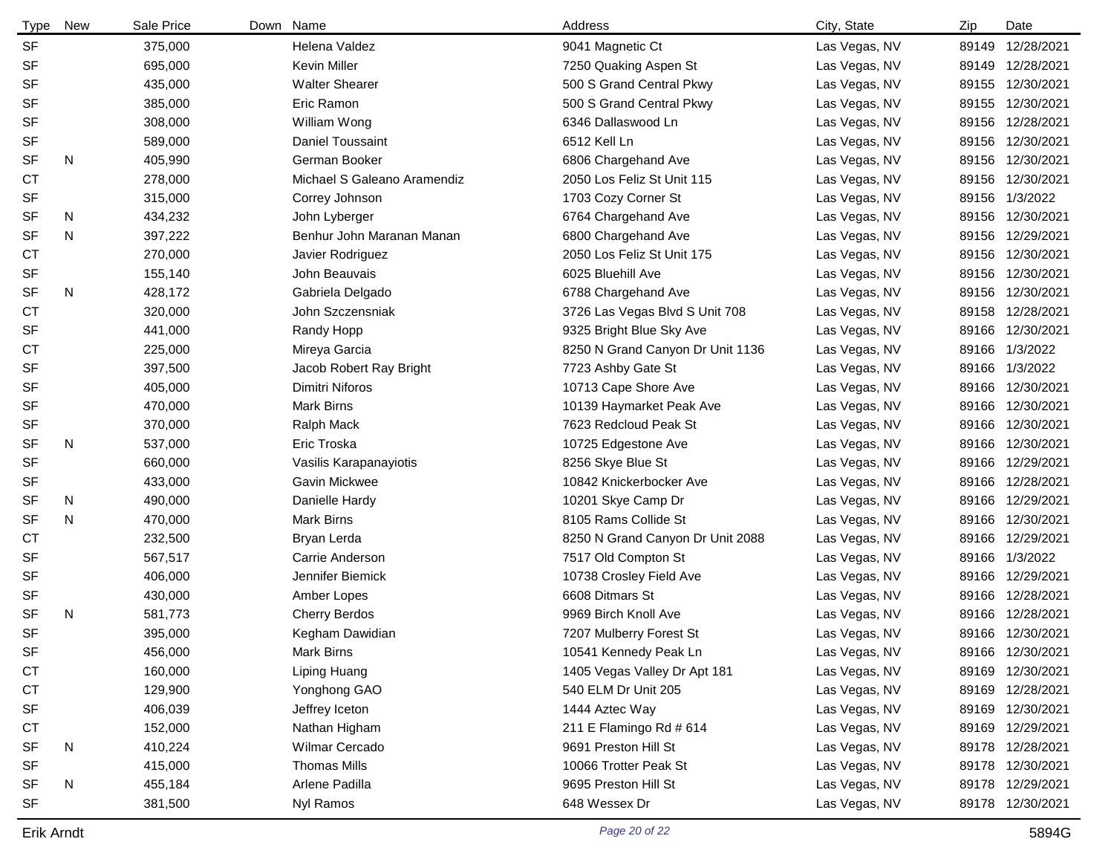| <b>Type</b> | New | Sale Price | Down Name                   | Address                          | City, State   | Zip   | Date             |
|-------------|-----|------------|-----------------------------|----------------------------------|---------------|-------|------------------|
| <b>SF</b>   |     | 375,000    | Helena Valdez               | 9041 Magnetic Ct                 | Las Vegas, NV | 89149 | 12/28/2021       |
| <b>SF</b>   |     | 695,000    | <b>Kevin Miller</b>         | 7250 Quaking Aspen St            | Las Vegas, NV | 89149 | 12/28/2021       |
| SF          |     | 435,000    | <b>Walter Shearer</b>       | 500 S Grand Central Pkwy         | Las Vegas, NV | 89155 | 12/30/2021       |
| <b>SF</b>   |     | 385,000    | Eric Ramon                  | 500 S Grand Central Pkwy         | Las Vegas, NV | 89155 | 12/30/2021       |
| <b>SF</b>   |     | 308,000    | William Wong                | 6346 Dallaswood Ln               | Las Vegas, NV | 89156 | 12/28/2021       |
| <b>SF</b>   |     | 589,000    | Daniel Toussaint            | 6512 Kell Ln                     | Las Vegas, NV | 89156 | 12/30/2021       |
| <b>SF</b>   | N   | 405,990    | German Booker               | 6806 Chargehand Ave              | Las Vegas, NV | 89156 | 12/30/2021       |
| <b>CT</b>   |     | 278,000    | Michael S Galeano Aramendiz | 2050 Los Feliz St Unit 115       | Las Vegas, NV |       | 89156 12/30/2021 |
| <b>SF</b>   |     | 315,000    | Correy Johnson              | 1703 Cozy Corner St              | Las Vegas, NV |       | 89156 1/3/2022   |
| <b>SF</b>   | N   | 434,232    | John Lyberger               | 6764 Chargehand Ave              | Las Vegas, NV |       | 89156 12/30/2021 |
| <b>SF</b>   | N   | 397,222    | Benhur John Maranan Manan   | 6800 Chargehand Ave              | Las Vegas, NV |       | 89156 12/29/2021 |
| СT          |     | 270,000    | Javier Rodriguez            | 2050 Los Feliz St Unit 175       | Las Vegas, NV |       | 89156 12/30/2021 |
| SF          |     | 155,140    | John Beauvais               | 6025 Bluehill Ave                | Las Vegas, NV | 89156 | 12/30/2021       |
| <b>SF</b>   | N   | 428,172    | Gabriela Delgado            | 6788 Chargehand Ave              | Las Vegas, NV | 89156 | 12/30/2021       |
| <b>CT</b>   |     | 320,000    | John Szczensniak            | 3726 Las Vegas Blvd S Unit 708   | Las Vegas, NV | 89158 | 12/28/2021       |
| <b>SF</b>   |     | 441,000    | Randy Hopp                  | 9325 Bright Blue Sky Ave         | Las Vegas, NV |       | 89166 12/30/2021 |
| <b>CT</b>   |     | 225,000    | Mireya Garcia               | 8250 N Grand Canyon Dr Unit 1136 | Las Vegas, NV |       | 89166 1/3/2022   |
| <b>SF</b>   |     | 397,500    | Jacob Robert Ray Bright     | 7723 Ashby Gate St               | Las Vegas, NV | 89166 | 1/3/2022         |
| <b>SF</b>   |     | 405,000    | Dimitri Niforos             | 10713 Cape Shore Ave             | Las Vegas, NV |       | 89166 12/30/2021 |
| <b>SF</b>   |     | 470,000    | <b>Mark Birns</b>           | 10139 Haymarket Peak Ave         | Las Vegas, NV |       | 89166 12/30/2021 |
| SF          |     | 370,000    | Ralph Mack                  | 7623 Redcloud Peak St            | Las Vegas, NV |       | 89166 12/30/2021 |
| <b>SF</b>   | N   | 537,000    | Eric Troska                 | 10725 Edgestone Ave              | Las Vegas, NV | 89166 | 12/30/2021       |
| SF          |     | 660,000    | Vasilis Karapanayiotis      | 8256 Skye Blue St                | Las Vegas, NV |       | 89166 12/29/2021 |
| <b>SF</b>   |     | 433,000    | Gavin Mickwee               | 10842 Knickerbocker Ave          | Las Vegas, NV | 89166 | 12/28/2021       |
| <b>SF</b>   | N   | 490,000    | Danielle Hardy              | 10201 Skye Camp Dr               | Las Vegas, NV |       | 89166 12/29/2021 |
| <b>SF</b>   | N   | 470,000    | Mark Birns                  | 8105 Rams Collide St             | Las Vegas, NV | 89166 | 12/30/2021       |
| <b>CT</b>   |     | 232,500    | Bryan Lerda                 | 8250 N Grand Canyon Dr Unit 2088 | Las Vegas, NV |       | 89166 12/29/2021 |
| <b>SF</b>   |     | 567,517    | Carrie Anderson             | 7517 Old Compton St              | Las Vegas, NV |       | 89166 1/3/2022   |
| <b>SF</b>   |     | 406,000    | Jennifer Biemick            | 10738 Crosley Field Ave          | Las Vegas, NV |       | 89166 12/29/2021 |
| <b>SF</b>   |     | 430,000    | Amber Lopes                 | 6608 Ditmars St                  | Las Vegas, NV |       | 89166 12/28/2021 |
| <b>SF</b>   | N   | 581,773    | <b>Cherry Berdos</b>        | 9969 Birch Knoll Ave             | Las Vegas, NV |       | 89166 12/28/2021 |
| <b>SF</b>   |     | 395,000    | Kegham Dawidian             | 7207 Mulberry Forest St          | Las Vegas, NV |       | 89166 12/30/2021 |
| SF          |     | 456,000    | Mark Birns                  | 10541 Kennedy Peak Ln            | Las Vegas, NV |       | 89166 12/30/2021 |
| <b>CT</b>   |     | 160,000    | Liping Huang                | 1405 Vegas Valley Dr Apt 181     | Las Vegas, NV |       | 89169 12/30/2021 |
| <b>CT</b>   |     | 129,900    | Yonghong GAO                | 540 ELM Dr Unit 205              | Las Vegas, NV |       | 89169 12/28/2021 |
| SF          |     | 406,039    | Jeffrey Iceton              | 1444 Aztec Way                   | Las Vegas, NV |       | 89169 12/30/2021 |
| <b>CT</b>   |     | 152,000    | Nathan Higham               | 211 E Flamingo Rd # 614          | Las Vegas, NV |       | 89169 12/29/2021 |
| SF          | N   | 410,224    | Wilmar Cercado              | 9691 Preston Hill St             | Las Vegas, NV |       | 89178 12/28/2021 |
| <b>SF</b>   |     | 415,000    | <b>Thomas Mills</b>         | 10066 Trotter Peak St            | Las Vegas, NV |       | 89178 12/30/2021 |
| SF          | N   | 455,184    | Arlene Padilla              | 9695 Preston Hill St             | Las Vegas, NV |       | 89178 12/29/2021 |
| SF          |     | 381,500    | Nyl Ramos                   | 648 Wessex Dr                    | Las Vegas, NV |       | 89178 12/30/2021 |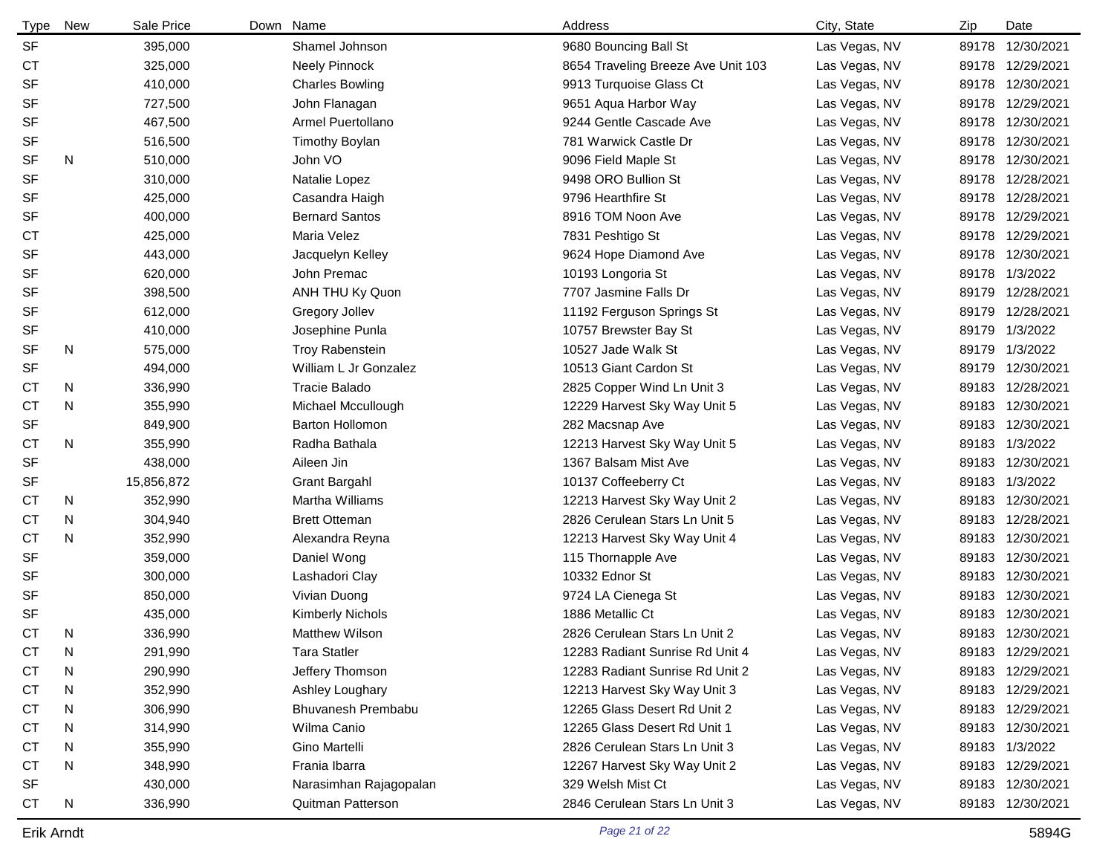| Type      | <b>New</b> | Sale Price | Down | Name                    | Address                            | City, State   | Zip   | Date             |
|-----------|------------|------------|------|-------------------------|------------------------------------|---------------|-------|------------------|
| <b>SF</b> |            | 395,000    |      | Shamel Johnson          | 9680 Bouncing Ball St              | Las Vegas, NV | 89178 | 12/30/2021       |
| <b>CT</b> |            | 325,000    |      | Neely Pinnock           | 8654 Traveling Breeze Ave Unit 103 | Las Vegas, NV |       | 89178 12/29/2021 |
| <b>SF</b> |            | 410,000    |      | <b>Charles Bowling</b>  | 9913 Turquoise Glass Ct            | Las Vegas, NV |       | 89178 12/30/2021 |
| <b>SF</b> |            | 727,500    |      | John Flanagan           | 9651 Aqua Harbor Way               | Las Vegas, NV |       | 89178 12/29/2021 |
| <b>SF</b> |            | 467,500    |      | Armel Puertollano       | 9244 Gentle Cascade Ave            | Las Vegas, NV | 89178 | 12/30/2021       |
| <b>SF</b> |            | 516,500    |      | <b>Timothy Boylan</b>   | 781 Warwick Castle Dr              | Las Vegas, NV | 89178 | 12/30/2021       |
| <b>SF</b> | N          | 510,000    |      | John VO                 | 9096 Field Maple St                | Las Vegas, NV |       | 89178 12/30/2021 |
| <b>SF</b> |            | 310,000    |      | Natalie Lopez           | 9498 ORO Bullion St                | Las Vegas, NV |       | 89178 12/28/2021 |
| <b>SF</b> |            | 425,000    |      | Casandra Haigh          | 9796 Hearthfire St                 | Las Vegas, NV |       | 89178 12/28/2021 |
| <b>SF</b> |            | 400,000    |      | <b>Bernard Santos</b>   | 8916 TOM Noon Ave                  | Las Vegas, NV |       | 89178 12/29/2021 |
| <b>CT</b> |            | 425,000    |      | Maria Velez             | 7831 Peshtigo St                   | Las Vegas, NV |       | 89178 12/29/2021 |
| <b>SF</b> |            | 443,000    |      | Jacquelyn Kelley        | 9624 Hope Diamond Ave              | Las Vegas, NV |       | 89178 12/30/2021 |
| <b>SF</b> |            | 620,000    |      | John Premac             | 10193 Longoria St                  | Las Vegas, NV | 89178 | 1/3/2022         |
| <b>SF</b> |            | 398,500    |      | ANH THU Ky Quon         | 7707 Jasmine Falls Dr              | Las Vegas, NV | 89179 | 12/28/2021       |
| <b>SF</b> |            | 612,000    |      | <b>Gregory Jollev</b>   | 11192 Ferguson Springs St          | Las Vegas, NV | 89179 | 12/28/2021       |
| <b>SF</b> |            | 410,000    |      | Josephine Punla         | 10757 Brewster Bay St              | Las Vegas, NV |       | 89179 1/3/2022   |
| <b>SF</b> | N          | 575,000    |      | <b>Troy Rabenstein</b>  | 10527 Jade Walk St                 | Las Vegas, NV | 89179 | 1/3/2022         |
| <b>SF</b> |            | 494,000    |      | William L Jr Gonzalez   | 10513 Giant Cardon St              | Las Vegas, NV | 89179 | 12/30/2021       |
| СT        | N          | 336,990    |      | <b>Tracie Balado</b>    | 2825 Copper Wind Ln Unit 3         | Las Vegas, NV | 89183 | 12/28/2021       |
| СT        | N          | 355,990    |      | Michael Mccullough      | 12229 Harvest Sky Way Unit 5       | Las Vegas, NV |       | 89183 12/30/2021 |
| <b>SF</b> |            | 849,900    |      | <b>Barton Hollomon</b>  | 282 Macsnap Ave                    | Las Vegas, NV | 89183 | 12/30/2021       |
| <b>CT</b> | N          | 355,990    |      | Radha Bathala           | 12213 Harvest Sky Way Unit 5       | Las Vegas, NV | 89183 | 1/3/2022         |
| <b>SF</b> |            | 438,000    |      | Aileen Jin              | 1367 Balsam Mist Ave               | Las Vegas, NV | 89183 | 12/30/2021       |
| <b>SF</b> |            | 15,856,872 |      | <b>Grant Bargahl</b>    | 10137 Coffeeberry Ct               | Las Vegas, NV | 89183 | 1/3/2022         |
| <b>CT</b> | N          | 352,990    |      | Martha Williams         | 12213 Harvest Sky Way Unit 2       | Las Vegas, NV | 89183 | 12/30/2021       |
| СT        | N          | 304,940    |      | <b>Brett Otteman</b>    | 2826 Cerulean Stars Ln Unit 5      | Las Vegas, NV | 89183 | 12/28/2021       |
| <b>CT</b> | N          | 352,990    |      | Alexandra Reyna         | 12213 Harvest Sky Way Unit 4       | Las Vegas, NV |       | 89183 12/30/2021 |
| SF        |            | 359,000    |      | Daniel Wong             | 115 Thornapple Ave                 | Las Vegas, NV |       | 89183 12/30/2021 |
| <b>SF</b> |            | 300,000    |      | Lashadori Clay          | 10332 Ednor St                     | Las Vegas, NV | 89183 | 12/30/2021       |
| SF        |            | 850,000    |      | Vivian Duong            | 9724 LA Cienega St                 | Las Vegas, NV | 89183 | 12/30/2021       |
| <b>SF</b> |            | 435,000    |      | <b>Kimberly Nichols</b> | 1886 Metallic Ct                   | Las Vegas, NV |       | 89183 12/30/2021 |
| <b>CT</b> | N          | 336,990    |      | <b>Matthew Wilson</b>   | 2826 Cerulean Stars Ln Unit 2      | Las Vegas, NV |       | 89183 12/30/2021 |
| СT        | N          | 291,990    |      | Tara Statler            | 12283 Radiant Sunrise Rd Unit 4    | Las Vegas, NV |       | 89183 12/29/2021 |
| <b>CT</b> | N          | 290,990    |      | Jeffery Thomson         | 12283 Radiant Sunrise Rd Unit 2    | Las Vegas, NV |       | 89183 12/29/2021 |
| <b>CT</b> | N          | 352,990    |      | Ashley Loughary         | 12213 Harvest Sky Way Unit 3       | Las Vegas, NV |       | 89183 12/29/2021 |
| <b>CT</b> | N          | 306,990    |      | Bhuvanesh Prembabu      | 12265 Glass Desert Rd Unit 2       | Las Vegas, NV |       | 89183 12/29/2021 |
| <b>CT</b> | N          | 314,990    |      | Wilma Canio             | 12265 Glass Desert Rd Unit 1       | Las Vegas, NV |       | 89183 12/30/2021 |
| <b>CT</b> | N          | 355,990    |      | Gino Martelli           | 2826 Cerulean Stars Ln Unit 3      | Las Vegas, NV |       | 89183 1/3/2022   |
| <b>CT</b> | N          | 348,990    |      | Frania Ibarra           | 12267 Harvest Sky Way Unit 2       | Las Vegas, NV |       | 89183 12/29/2021 |
| <b>SF</b> |            | 430,000    |      | Narasimhan Rajagopalan  | 329 Welsh Mist Ct                  | Las Vegas, NV |       | 89183 12/30/2021 |
| <b>CT</b> | N          | 336,990    |      | Quitman Patterson       | 2846 Cerulean Stars Ln Unit 3      | Las Vegas, NV |       | 89183 12/30/2021 |